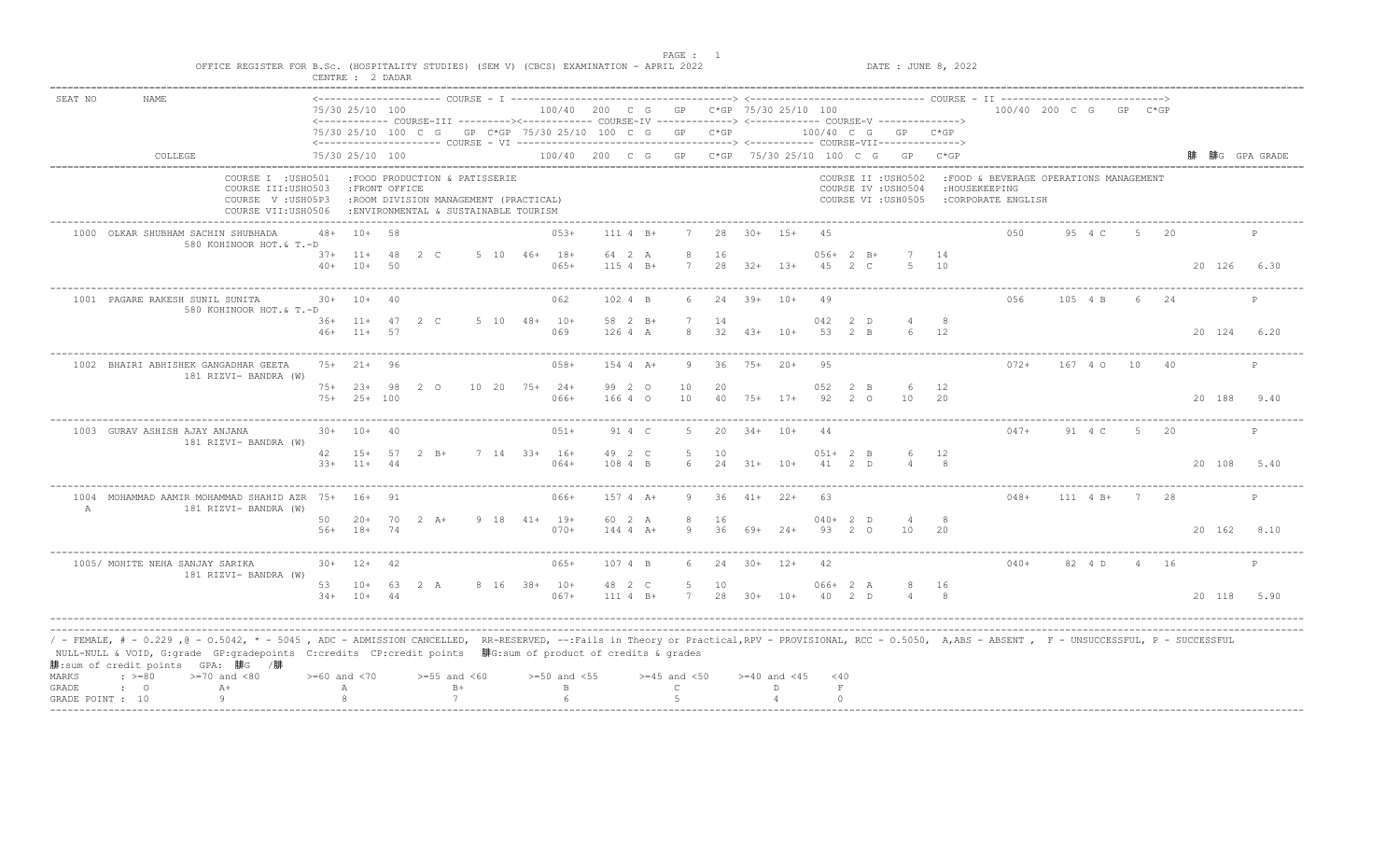| SEAT NO        | <b>NAME</b>                                                                                                                                                                                                                                                                                                                                                                                    |       | 75/30 25/10 100               |    |                                                                                                                 |                                     | 100/40 200 C G GP C*GP 75/30 25/10 100 |                           |                  |                    |            |                  |           |                      | <------------ COURSE-III ---------><----------- COURSE-IV -------------> <------------- COURSE-V ------------->> |            | 100/40 200 C G GP C*GP                                                         |             |                |      |             |              |
|----------------|------------------------------------------------------------------------------------------------------------------------------------------------------------------------------------------------------------------------------------------------------------------------------------------------------------------------------------------------------------------------------------------------|-------|-------------------------------|----|-----------------------------------------------------------------------------------------------------------------|-------------------------------------|----------------------------------------|---------------------------|------------------|--------------------|------------|------------------|-----------|----------------------|------------------------------------------------------------------------------------------------------------------|------------|--------------------------------------------------------------------------------|-------------|----------------|------|-------------|--------------|
|                |                                                                                                                                                                                                                                                                                                                                                                                                |       |                               |    | 75/30 25/10 100 C G GP C*GP 75/30 25/10 100 C G GP C*GP                                                         |                                     |                                        |                           |                  |                    |            |                  |           |                      | 100/40 C G GP C*GP                                                                                               |            |                                                                                |             |                |      |             |              |
|                | COLLEGE                                                                                                                                                                                                                                                                                                                                                                                        |       | 75/30 25/10 100               |    |                                                                                                                 |                                     |                                        |                           |                  |                    |            |                  |           |                      | 100/40 200 C G GP C*GP 75/30 25/10 100 C G GP C*GP                                                               |            |                                                                                |             |                |      |             | 腓G GPA GRADE |
|                | COURSE I : USHO501<br>COURSE III: USHO503<br>COURSE V: USH05P3<br>COURSE VII:USH0506                                                                                                                                                                                                                                                                                                           |       | : FRONT OFFICE                |    | :FOOD PRODUCTION & PATISSERIE<br>:ROOM DIVISION MANAGEMENT (PRACTICAL)<br>: ENVIRONMENTAL & SUSTAINABLE TOURISM |                                     |                                        |                           |                  |                    |            |                  |           |                      | COURSE II : USHO502<br>COURSE IV : USHO504<br>COURSE VI : USH0505                                                |            | :FOOD & BEVERAGE OPERATIONS MANAGEMENT<br>: HOUSEKEEPING<br>:CORPORATE ENGLISH |             |                |      |             |              |
|                | 1000 OLKAR SHUBHAM SACHIN SHUBHADA<br>580 KOHINOOR HOT.& T.-D                                                                                                                                                                                                                                                                                                                                  | 48+   | $10+58$                       |    |                                                                                                                 |                                     | $053+$                                 | $111 4 B+$                |                  | 28                 | $30+ 15+$  |                  | 4.5       |                      |                                                                                                                  |            | 0.50                                                                           | 95 4 C      | 5 -            | - 20 |             |              |
|                |                                                                                                                                                                                                                                                                                                                                                                                                | $40+$ | $37+$ 11+ 48<br>$10+$         | 50 | 2 C                                                                                                             |                                     | 5 10 46+ 18+<br>$065+$                 | 64 2 A<br>$115 4 B+$      | 8<br>7           | -16<br>28          |            | $32+$ 13+        |           | $056+2 B+$<br>45 2 C | $5 -$                                                                                                            | 14<br>10   |                                                                                |             |                |      | 20 126 6.30 |              |
|                | 1001 PAGARE RAKESH SUNIL SUNITA<br>580 KOHINOOR HOT.& T.-D                                                                                                                                                                                                                                                                                                                                     | $30+$ | $10+$                         | 40 |                                                                                                                 |                                     | 062                                    | 102 4 B                   | 6.               | 24                 | $39+ 10+$  |                  | 49        |                      |                                                                                                                  |            | 056                                                                            | 105 4 B     | -6             | 24   |             | $\mathbb P$  |
|                |                                                                                                                                                                                                                                                                                                                                                                                                | $46+$ | $36+11+47$ 2 C<br>$11+$       | 57 |                                                                                                                 |                                     | 5 10 48+ 10+<br>069                    | 58 2 B+<br>126 4 A        | 8                | 14<br>32           | $43+$      | $10+$            | 042<br>53 | $2$ D<br>$2 \quad B$ | $\overline{4}$                                                                                                   | 8<br>12    |                                                                                |             |                |      | 20 124 6.20 |              |
|                | 1002 BHAIRI ABHISHEK GANGADHAR GEETA<br>181 RIZVI- BANDRA (W)                                                                                                                                                                                                                                                                                                                                  |       | 75+ 21+ 96                    |    |                                                                                                                 |                                     | $058+$                                 | 154 4 A+                  | 9                | -36                |            | 75+ 20+          | 95        |                      |                                                                                                                  |            | $072+$                                                                         | 167 4 0     | 10 40          |      |             | P            |
|                |                                                                                                                                                                                                                                                                                                                                                                                                |       | 75+ 23+ 98<br>$75+25+100$     |    | - 20                                                                                                            | $10 \quad 20 \quad 75 + \quad 24 +$ | $066+$                                 | 99 2 0<br>166 4 0         | 10<br>10         | 20<br>40           |            | $75+$ 17+        | 052<br>92 | 2 B<br>20            | 6<br>10                                                                                                          | 12<br>-20  |                                                                                |             |                |      | 20 188 9.40 |              |
|                | 1003 GURAV ASHISH AJAY ANJANA<br>181 RIZVI- BANDRA (W)                                                                                                                                                                                                                                                                                                                                         |       | $30+ 10+ 40$                  |    |                                                                                                                 |                                     | $051+$                                 | 91 4 C                    | 5                | 20                 | $34+$      | $10+$            |           |                      |                                                                                                                  |            | $047+$                                                                         | 91 4 C      |                | 20   |             |              |
|                |                                                                                                                                                                                                                                                                                                                                                                                                | 42    | $15+ 57$<br>$33+11+44$        |    | $2 \quad B+$                                                                                                    |                                     | 7 14 33+ 16+<br>$064+$                 | 49 2 C<br>108 4 B         | 5<br>6           | 10                 | 24 31+ 10+ |                  | 41        | $051+ 2 B$<br>2 D    | 6                                                                                                                | 12         |                                                                                |             |                |      | 20 108 5.40 |              |
| $\overline{A}$ | 1004 MOHAMMAD AAMIR MOHAMMAD SHAHID AZR 75+ 16+<br>181 RIZVI- BANDRA (W)                                                                                                                                                                                                                                                                                                                       |       |                               | 91 |                                                                                                                 |                                     | $066+$                                 | $157 + 4 + 15$            | 9.               | 36                 | $41 +$     | $2.2 +$          | 63        |                      |                                                                                                                  |            | $048+$                                                                         | 111 4 B+    | $7\phantom{0}$ | -28  |             | P            |
|                |                                                                                                                                                                                                                                                                                                                                                                                                | 50    | $56+ 18+ 74$                  |    | $20+ 70 2 A+$                                                                                                   |                                     | $9$ 18 41+ 19+<br>$070+$               | 60 2 A<br>$1444$ $4$ $A+$ | 8<br>9           | 16<br>36           | 69+        | $24+$            |           | $040+2$ D<br>93 2 0  | 10                                                                                                               | - 8<br>-20 |                                                                                |             |                |      | 20 162 8.10 |              |
|                | 1005/ MOHITE NEHA SANJAY SARIKA<br>181 RIZVI- BANDRA (W)                                                                                                                                                                                                                                                                                                                                       |       | $30+ 12+ 42$                  |    |                                                                                                                 |                                     | $065+$                                 | 107 4 B                   | 6                | 24 30+ 12+         |            |                  | 42        |                      |                                                                                                                  |            | $040+$                                                                         | 82 4 D 4 16 |                |      |             | $_{\rm P}$   |
|                |                                                                                                                                                                                                                                                                                                                                                                                                |       | 53 10+ 63 2 A<br>$34+ 10+ 44$ |    |                                                                                                                 |                                     | 8 16 38+ 10+<br>$067+$                 | 48 2 C<br>111 4 B+        | 5                | 10<br>7 28 30+ 10+ |            |                  |           | $066+2 A$<br>40 2 D  |                                                                                                                  | 16<br>8    |                                                                                |             |                |      | 20 118 5.90 |              |
| MARKS          | / - FEMALE, # - 0.229 ,@ - 0.5042, * - 5045 , ADC - ADMISSION CANCELLED, RR-RESERVED, --:Fails in Theory or Practical,RPV - PROVISIONAL, RCC - 0.5050, A,ABS - ABSENT , F - UNSUCCESSFUL, P - SUCCESSFUL/<br>NULL-NULL & VOID, G:grade GP:gradepoints C:credits CP:credit points 腓G:sum of product of credits & grades<br>腓:sum of credit points GPA: 腓G /腓<br>$\div$ >=80<br>$>=70$ and $<80$ |       | $>= 60$ and $< 70$            |    | $>=55$ and $<60$                                                                                                |                                     | $>=50$ and $<55$                       |                           | $>=45$ and $<50$ |                    |            | $>=40$ and $<45$ | $<$ 40    |                      |                                                                                                                  |            |                                                                                |             |                |      |             |              |
| GRADE          | $A+$<br>$\cdot$ 0                                                                                                                                                                                                                                                                                                                                                                              |       | А                             |    | $B+$                                                                                                            |                                     | $\mathbf{B}$                           |                           | $\mathcal{C}$    |                    |            | D.               | $\;$ F    |                      |                                                                                                                  |            |                                                                                |             |                |      |             |              |
|                | 9<br>GRADE POINT : 10                                                                                                                                                                                                                                                                                                                                                                          |       |                               |    | 7                                                                                                               |                                     | $\kappa$                               |                           |                  |                    |            |                  | $\cap$    |                      |                                                                                                                  |            |                                                                                |             |                |      |             |              |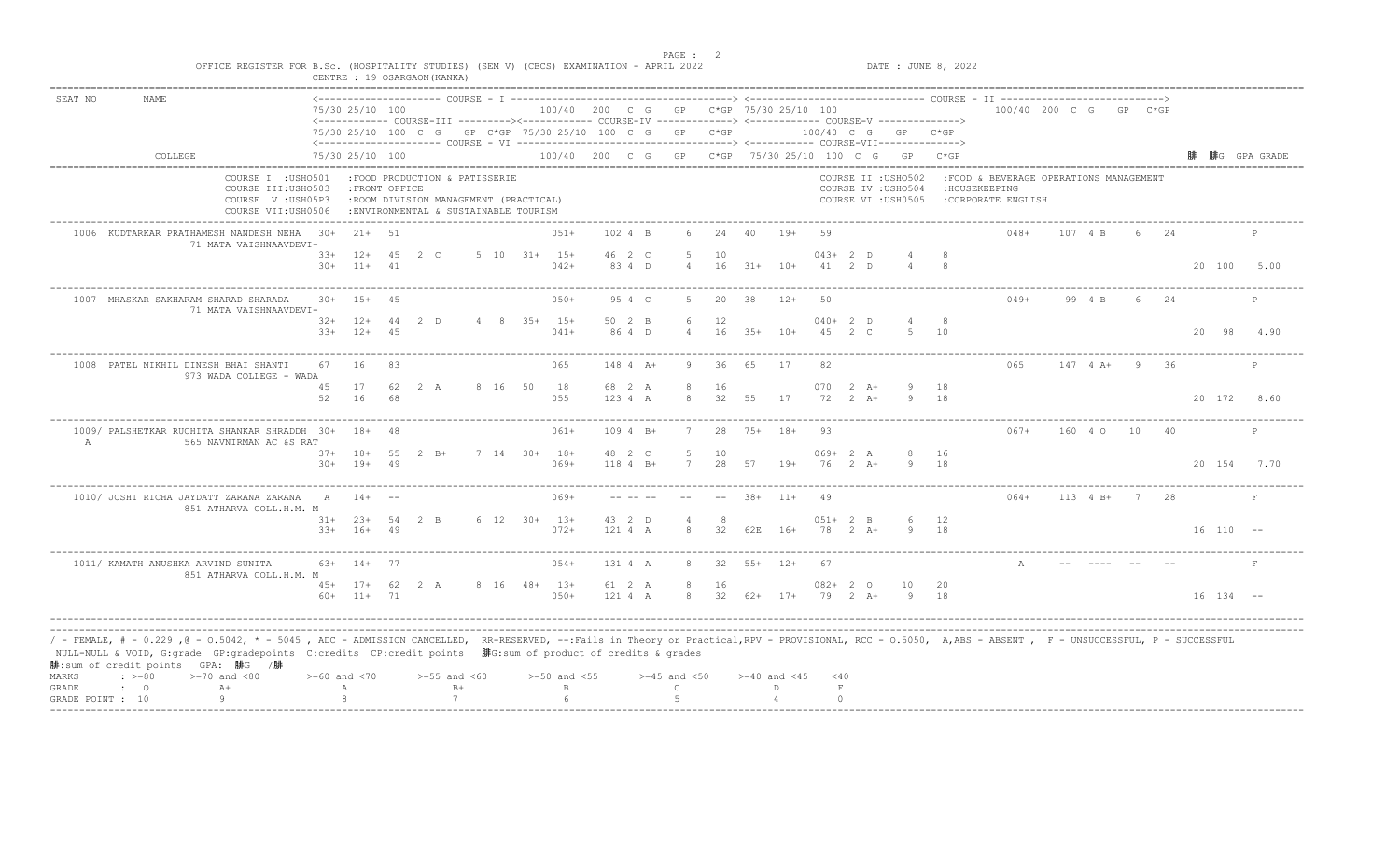| SEAT NO | <b>NAME</b>                                                                                                                                                                                                                                                                                                                                                                                 |                                                                                      | 75/30 25/10 100                  |                | <------------ COURSE-III ---------><----------- COURSE-IV -------------> <------------- COURSE-V ------------->> |                                | 100/40 200 C G GP C*GP 75/30 25/10 100 |                    |                                 |          |                  |                    |            |                              |                                                                   |           | 100/40 200 C G GP C*GP                                                          |                 |     |     |               |              |      |
|---------|---------------------------------------------------------------------------------------------------------------------------------------------------------------------------------------------------------------------------------------------------------------------------------------------------------------------------------------------------------------------------------------------|--------------------------------------------------------------------------------------|----------------------------------|----------------|------------------------------------------------------------------------------------------------------------------|--------------------------------|----------------------------------------|--------------------|---------------------------------|----------|------------------|--------------------|------------|------------------------------|-------------------------------------------------------------------|-----------|---------------------------------------------------------------------------------|-----------------|-----|-----|---------------|--------------|------|
|         |                                                                                                                                                                                                                                                                                                                                                                                             |                                                                                      |                                  |                | 75/30 25/10 100 C G GP C*GP 75/30 25/10 100 C G GP C*GP                                                          |                                |                                        |                    |                                 |          |                  |                    |            |                              | 100/40 C G GP C*GP                                                |           |                                                                                 |                 |     |     |               |              |      |
|         | COLLEGE                                                                                                                                                                                                                                                                                                                                                                                     |                                                                                      | 75/30 25/10 100                  |                |                                                                                                                  |                                |                                        |                    |                                 |          |                  |                    |            |                              | 100/40 200 C G GP C*GP 75/30 25/10 100 C G GP C*GP                |           |                                                                                 |                 |     |     |               | 腓G GPA GRADE |      |
|         |                                                                                                                                                                                                                                                                                                                                                                                             | COURSE I : USHO501<br>COURSE III: USHO503<br>COURSE V: USH05P3<br>COURSE VII:USH0506 |                                  | : FRONT OFFICE | :FOOD PRODUCTION & PATISSERIE<br>:ROOM DIVISION MANAGEMENT (PRACTICAL)<br>: ENVIRONMENTAL & SUSTAINABLE TOURISM  |                                |                                        |                    |                                 |          |                  |                    |            |                              | COURSE II : USHO502<br>COURSE IV : USHO504<br>COURSE VI : USH0505 |           | : FOOD & BEVERAGE OPERATIONS MANAGEMENT<br>: HOUSEKEEPING<br>:CORPORATE ENGLISH |                 |     |     |               |              |      |
|         | 1006 KUDTARKAR PRATHAMESH NANDESH NEHA 30+                                                                                                                                                                                                                                                                                                                                                  | 71 MATA VAISHNAAVDEVI-                                                               | $21+$ 51                         |                |                                                                                                                  |                                | $051+$                                 | 102 4 B            | 6                               | 24       | 40               | $19+$              | 59         |                              |                                                                   |           | $048+$                                                                          | 107 4 B         | 6 - | 2.4 |               |              | P    |
|         |                                                                                                                                                                                                                                                                                                                                                                                             |                                                                                      | $33+12+45$ 2 C<br>$30+ 11+ 41$   |                |                                                                                                                  | $5\quad 10\quad 31+ \quad 15+$ | $042+$                                 | 46 2 C<br>83 4 D   | $\overline{4}$                  | 10       | $16$ $31+$ $10+$ |                    | $043+2$ D  | 41 2 D                       |                                                                   |           |                                                                                 |                 |     |     | 20 100 5.00   |              |      |
|         | 1007 MHASKAR SAKHARAM SHARAD SHARADA                                                                                                                                                                                                                                                                                                                                                        | 71 MATA VAISHNAAVDEVI-                                                               | $30+ 15+$                        | 4.5            |                                                                                                                  |                                | $050+$                                 | 95 4 C             | 5                               | 20       | 38               | $12+$              | 50         |                              |                                                                   |           | $049+$                                                                          | 99 4 B          | 6.  | 24  |               |              | P    |
|         |                                                                                                                                                                                                                                                                                                                                                                                             |                                                                                      | $32+12+44$ 2 D<br>$33+$<br>$12+$ | 45             |                                                                                                                  | 4 8 35+ 15+                    | $041+$                                 | 50 2 B<br>86 4 D   | 6                               | 12<br>16 | $35+$            | $10+$              | $040+2$ D  | 45 2 C                       | $4\degree$                                                        | - 8<br>10 |                                                                                 |                 |     |     | 20            | 98           | 4.90 |
|         | 1008 PATEL NIKHIL DINESH BHAI SHANTI                                                                                                                                                                                                                                                                                                                                                        | 67<br>973 WADA COLLEGE - WADA                                                        | -16                              | R3             |                                                                                                                  |                                | 065                                    | 148 4 A+           | -9                              | 36       | 65               | 17                 | 82         |                              |                                                                   |           | 065                                                                             | $147$ 4 A+ 9 36 |     |     |               |              | P    |
|         |                                                                                                                                                                                                                                                                                                                                                                                             | 45<br>52                                                                             | 17<br>16                         | 62<br>68       | 2 A                                                                                                              | 8 16 50 18                     | 055                                    | 68 2 A<br>123 4 A  | 8<br>8                          | 16<br>32 | 55               | 17                 | 070<br>72  | $2 \overline{A}$ +<br>$2+A+$ | 9 18                                                              | 18        |                                                                                 |                 |     |     | 20 172 8.60   |              |      |
| A       | 1009/ PALSHETKAR RUCHITA SHANKAR SHRADDH 30+ 18+ 48                                                                                                                                                                                                                                                                                                                                         | 565 NAVNIRMAN AC &S RAT                                                              |                                  |                |                                                                                                                  |                                | $061+$                                 | $1094 B+$          |                                 | 28       | $75+$ 18+        |                    | 93         |                              |                                                                   |           | $067+$                                                                          | 160 4 0         | 10  |     |               |              | P    |
|         |                                                                                                                                                                                                                                                                                                                                                                                             |                                                                                      | $37+$ 18+ 55<br>$30+$<br>$19+49$ |                | $2 \quad B+$                                                                                                     | 7 14 30+ 18+                   | $069+$                                 | 48 2 C<br>118 4 B+ | 5<br>7                          | 10       | 28 57 19+        |                    |            | $069+2 A$<br>$76$ 2 A+       | 8<br>9                                                            | 16<br>18  |                                                                                 |                 |     |     | 20 154 7.70   |              |      |
|         | 1010/ JOSHI RICHA JAYDATT ZARANA ZARANA                                                                                                                                                                                                                                                                                                                                                     | $\overline{A}$<br>851 ATHARVA COLL.H.M. M                                            | $14+$                            |                |                                                                                                                  |                                | $069+$                                 |                    |                                 |          | $38+$            | $11+$              | 49         |                              |                                                                   |           | $064+$                                                                          | $113 \t 4 B+ 7$ |     | -28 |               |              | F    |
|         |                                                                                                                                                                                                                                                                                                                                                                                             |                                                                                      | $31+ 23+ 54$ 2 B<br>$33+16+49$   |                |                                                                                                                  | $6$ 12 30+ 13+                 | $072+$                                 | 43 2 D<br>121 4 A  | $\overline{4}$<br>$\mathcal{R}$ | 8        | 32 62E 16+       |                    | $051+2 B$  | 78 2 A+                      |                                                                   | 12<br>18  |                                                                                 |                 |     |     | $16$ $110$ -- |              |      |
|         | 1011/ KAMATH ANUSHKA ARVIND SUNITA                                                                                                                                                                                                                                                                                                                                                          | 851 ATHARVA COLL.H.M. M                                                              | $63+$ 14+ 77                     |                |                                                                                                                  |                                | $054+$                                 | 131 4 A            | 8                               | 32       | $55+$ 12+        |                    | 67         |                              |                                                                   |           | A                                                                               |                 |     |     |               |              | F    |
|         |                                                                                                                                                                                                                                                                                                                                                                                             |                                                                                      | 45+ 17+ 62 2 A<br>$60+ 11+ 71$   |                |                                                                                                                  |                                | 8 16 48+ 13+<br>$050+$                 | 61 2 A<br>121 4 A  | 8<br>8                          | 16       |                  | 32 62+ 17+ 79 2 A+ | $082 + 20$ |                              | 10<br>-9                                                          | 20<br>18  |                                                                                 |                 |     |     | $16$ $134$ -- |              |      |
| MARKS   | / - FEMALE, # - 0.229 ,@ - 0.5042, * - 5045 , ADC - ADMISSION CANCELLED, RR-RESERVED, --:Fails in Theory or Practical,RPV - PROVISIONAL, RCC - 0.5050, A,ABS - ABSENT , F - UNSUCCESSFUL, P - SUCCESSFUL/<br>NULL-NULL & VOID, G:grade GP:gradepoints C:credits CP:credit points 腓G:sum of product of credits & grades<br>腓:sum of credit points GPA: 腓G /腓<br>$: >=80$<br>$>=70$ and $<80$ |                                                                                      | $>= 60$ and $< 70$               |                | $>=55$ and $<60$                                                                                                 |                                | $>=50$ and $<55$                       |                    | $>=45$ and $<50$                |          |                  | $>=40$ and $<45$   | $<$ 40     |                              |                                                                   |           |                                                                                 |                 |     |     |               |              |      |
| GRADE   | $A+$<br>$\mathbf{C}$                                                                                                                                                                                                                                                                                                                                                                        |                                                                                      | А                                |                | $B+$                                                                                                             |                                | $\mathbb B$                            |                    | $\mathsf{C}$                    |          |                  | D.                 | $\;$ F     |                              |                                                                   |           |                                                                                 |                 |     |     |               |              |      |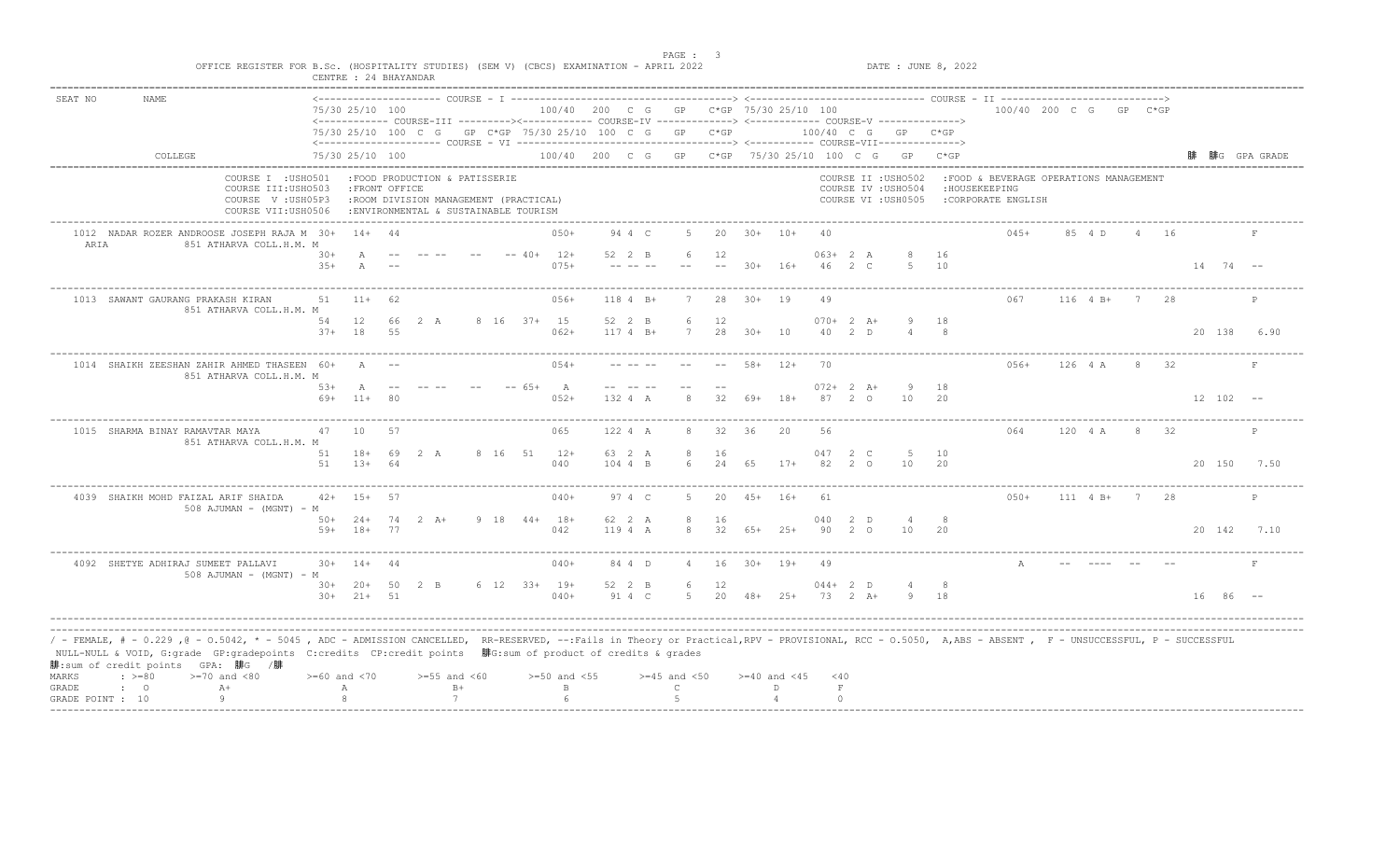|                       |                                                                                                                                                                                                                                                                                                                                                                                      | OFFICE REGISTER FOR B.Sc. (HOSPITALITY STUDIES) (SEM V) (CBCS) EXAMINATION - APRIL 2022 |                 | CENTRE : 24 BHAYANDAR           |    |                                                                                                                 |  |                                                                                                                 |                     |                                  |          |        |                                                    |                                   |             | DATE : JUNE 8, 2022                                               |           |                                                                                |            |          |      |              |              |
|-----------------------|--------------------------------------------------------------------------------------------------------------------------------------------------------------------------------------------------------------------------------------------------------------------------------------------------------------------------------------------------------------------------------------|-----------------------------------------------------------------------------------------|-----------------|---------------------------------|----|-----------------------------------------------------------------------------------------------------------------|--|-----------------------------------------------------------------------------------------------------------------|---------------------|----------------------------------|----------|--------|----------------------------------------------------|-----------------------------------|-------------|-------------------------------------------------------------------|-----------|--------------------------------------------------------------------------------|------------|----------|------|--------------|--------------|
| SEAT NO               | NAME                                                                                                                                                                                                                                                                                                                                                                                 |                                                                                         |                 | 75/30 25/10 100                 |    |                                                                                                                 |  | <------------ COURSE-III ---------><----------- COURSE-IV -------------> <------------ COURSE-V ------------->> |                     |                                  |          |        | 100/40 200 C G GP C*GP 75/30 25/10 100             |                                   |             |                                                                   |           | 100/40 200 C G GP C*GP                                                         |            |          |      |              |              |
|                       |                                                                                                                                                                                                                                                                                                                                                                                      |                                                                                         |                 |                                 |    |                                                                                                                 |  | 75/30 25/10 100 C G GP C*GP 75/30 25/10 100 C G GP C*GP                                                         |                     |                                  |          |        |                                                    |                                   |             | 100/40 C G GP C*GP                                                |           |                                                                                |            |          |      |              |              |
|                       | COLLEGE                                                                                                                                                                                                                                                                                                                                                                              |                                                                                         |                 | 75/30 25/10 100                 |    |                                                                                                                 |  |                                                                                                                 |                     |                                  |          |        | 100/40 200 C G GP C*GP 75/30 25/10 100 C G GP C*GP |                                   |             |                                                                   |           |                                                                                |            |          |      |              | 腓G GPA GRADE |
|                       |                                                                                                                                                                                                                                                                                                                                                                                      | COURSE I : USHO501<br>COURSE III: USHO503<br>COURSE V: USH05P3<br>COURSE VII:USH0506    |                 | : FRONT OFFICE                  |    | :FOOD PRODUCTION & PATISSERIE<br>:ROOM DIVISION MANAGEMENT (PRACTICAL)<br>: ENVIRONMENTAL & SUSTAINABLE TOURISM |  |                                                                                                                 |                     |                                  |          |        |                                                    |                                   |             | COURSE II : USHO502<br>COURSE IV : USHO504<br>COURSE VI : USH0505 |           | :FOOD & BEVERAGE OPERATIONS MANAGEMENT<br>: HOUSEKEEPING<br>:CORPORATE ENGLISH |            |          |      |              |              |
| ARIA                  | 1012 NADAR ROZER ANDROOSE JOSEPH RAJA M 30+                                                                                                                                                                                                                                                                                                                                          | 851 ATHARVA COLL.H.M. M                                                                 |                 | $14+44$                         |    |                                                                                                                 |  | $050+$                                                                                                          | 94 4 C              | .5.                              | 20       |        | $30+ 10+$                                          | 40                                |             |                                                                   |           | $045+$                                                                         | 85 4 D     | $\sim$ 4 | - 16 |              |              |
|                       |                                                                                                                                                                                                                                                                                                                                                                                      |                                                                                         | $30+$<br>$3.5+$ |                                 |    |                                                                                                                 |  | $-- 40+$<br>$12+$<br>$075+$                                                                                     | 52 2 B              | 6                                | 12       | $30+$  | $16+$                                              | $063+2 A$<br>$46 \quad 2 \quad C$ |             | -5                                                                | 16<br>10  |                                                                                |            |          |      | $14$ 74 --   |              |
|                       | 1013 SAWANT GAURANG PRAKASH KIRAN                                                                                                                                                                                                                                                                                                                                                    | 851 ATHARVA COLL.H.M. M                                                                 | 51              | $11+$                           | 62 |                                                                                                                 |  | $056+$                                                                                                          | 118 4 B+            | 7                                | 28       |        | $30 + 19$                                          | 49                                |             |                                                                   |           | 067                                                                            | 116 4 B+ 7 |          | 28   |              | P            |
|                       |                                                                                                                                                                                                                                                                                                                                                                                      |                                                                                         | 54<br>$37+$     | 12<br>18                        | 55 | 66 2 A                                                                                                          |  | 8 16 37+ 15<br>$062+$                                                                                           | 52 2 B<br>$1174 B+$ | 6<br>7                           | 12<br>28 | $30+$  | 10                                                 | $070+2 A+$<br>$40 \t 2 \t D$      |             |                                                                   | 18        |                                                                                |            |          |      | 20 138       | 6.90         |
|                       | 1014 SHAIKH ZEESHAN ZAHIR AHMED THASEEN 60+                                                                                                                                                                                                                                                                                                                                          | 851 ATHARVA COLL.H.M. M                                                                 |                 | $\overline{A}$                  |    |                                                                                                                 |  | ----------------------------------<br>$0.54+$                                                                   |                     |                                  |          | $58+$  | $12+$                                              | 70                                |             |                                                                   |           | 056+                                                                           | 126 4 A    |          | 8 32 |              | F            |
|                       |                                                                                                                                                                                                                                                                                                                                                                                      |                                                                                         | $53+$<br>69+    | A<br>$11+$                      |    |                                                                                                                 |  | $-- 65+$<br>A<br>$0.52+$                                                                                        | 132 4 A             |                                  | 32       | 69+    | $18+$                                              | $072+2$ A+<br>87                  | 20          | -9<br>10                                                          | 18<br>20  |                                                                                |            |          |      | $12 102 - -$ |              |
|                       | 1015 SHARMA BINAY RAMAVTAR MAYA                                                                                                                                                                                                                                                                                                                                                      | 851 ATHARVA COLL.H.M. M                                                                 | 47              | 10                              | 57 |                                                                                                                 |  | --------------------------------<br>065                                                                         | 122 4 A             |                                  | 32       | 36     | 20                                                 | 56                                |             |                                                                   |           | 064                                                                            | 120 4 A    |          | 32   |              | $\mathbb{P}$ |
|                       |                                                                                                                                                                                                                                                                                                                                                                                      |                                                                                         | 51<br>51        | $18 +$<br>$13+64$               | 69 | 2 A                                                                                                             |  | 8 16 51 12+<br>040                                                                                              | 63 2 A<br>104 4 B   | 8<br>$6^{\circ}$                 | 16<br>24 | 65     | $17+$                                              | 047 2 C<br>82                     | $2^{\circ}$ | 5<br>10                                                           | 10<br>20  |                                                                                |            |          |      |              | 20 150 7.50  |
|                       | 4039 SHAIKH MOHD FAIZAL ARIF SHAIDA                                                                                                                                                                                                                                                                                                                                                  | 508 AJUMAN - (MGNT) - M                                                                 | $42+ 15+$       |                                 | 57 |                                                                                                                 |  | $040+$                                                                                                          | 97 4 C              | .5.                              | 20       | $4.5+$ | $16+$                                              | 61                                |             |                                                                   |           | $0.50+$                                                                        | $111$ 4 B+ | 7        | -28  |              | P            |
|                       |                                                                                                                                                                                                                                                                                                                                                                                      |                                                                                         |                 | $50+24+74$ 2 A+<br>$59+ 18+ 77$ |    |                                                                                                                 |  | $9$ 18 44+ 18+<br>042                                                                                           | 62 2 A<br>119 4 A   | 8<br>8                           | 16<br>32 | 65+    | $2.5+$                                             | 040<br>90 2 0                     | -2 D        | 10                                                                | 20        |                                                                                |            |          |      |              | 20 142 7.10  |
|                       | 4092 SHETYE ADHIRAJ SUMEET PALLAVI                                                                                                                                                                                                                                                                                                                                                   | $508$ AJUMAN - (MGNT) - M                                                               |                 | $30+ 14+ 44$                    |    |                                                                                                                 |  | $040+$                                                                                                          | 84 4 D              | 4                                | 16       |        | $30+ 19+$                                          | 49                                |             |                                                                   |           | $\mathbb A$                                                                    |            |          |      |              | $\,$ F       |
|                       |                                                                                                                                                                                                                                                                                                                                                                                      |                                                                                         |                 | $30+20+50$ 2 B<br>$30+21+51$    |    |                                                                                                                 |  | 6 12 33+ 19+<br>$040+$                                                                                          | 52 2 B<br>91 4 C    | 6<br>-5                          | 12       |        | $20 \t 48+ 25+$                                    | $044 + 2 D$<br>73 2 A+            |             | 9                                                                 | - 8<br>18 |                                                                                |            |          |      | $16 86$ --   |              |
| MARKS<br><b>GRADE</b> | / - FEMALE, # - 0.229 ,@ - 0.5042, * - 5045 , ADC - ADMISSION CANCELLED, RR-RESERVED, --:Fails in Theory or Practical,RPV - PROVISIONAL, RCC - 0.5050, A,ABS - ABSENT , F - UNSUCCESSFUL, P - SUCCESSFUL<br>NULL-NULL & VOID, G:grade GP:gradepoints C:credits CP:credit points WFG:sum of product of credits & grades<br>腓:sum of credit points GPA: 腓G /腓<br>$: >=80$<br>$\cdot$ 0 | $>=70$ and $<80$<br>$A+$                                                                | Α               | $>= 60$ and $< 70$              |    | $>=55$ and $<60$<br>$B +$                                                                                       |  | $>=50$ and $<55$<br>$\mathbf B$                                                                                 |                     | $>=45$ and $<50$<br>$\mathsf{C}$ |          |        | $>=40$ and $<45$<br>D.                             | $<$ 40<br>$\,$ F                  |             |                                                                   |           |                                                                                |            |          |      |              |              |
|                       | GRADE POINT : 10                                                                                                                                                                                                                                                                                                                                                                     | 9                                                                                       |                 |                                 |    | 7                                                                                                               |  |                                                                                                                 |                     | $\overline{a}$                   |          |        |                                                    | $\cap$                            |             |                                                                   |           |                                                                                |            |          |      |              |              |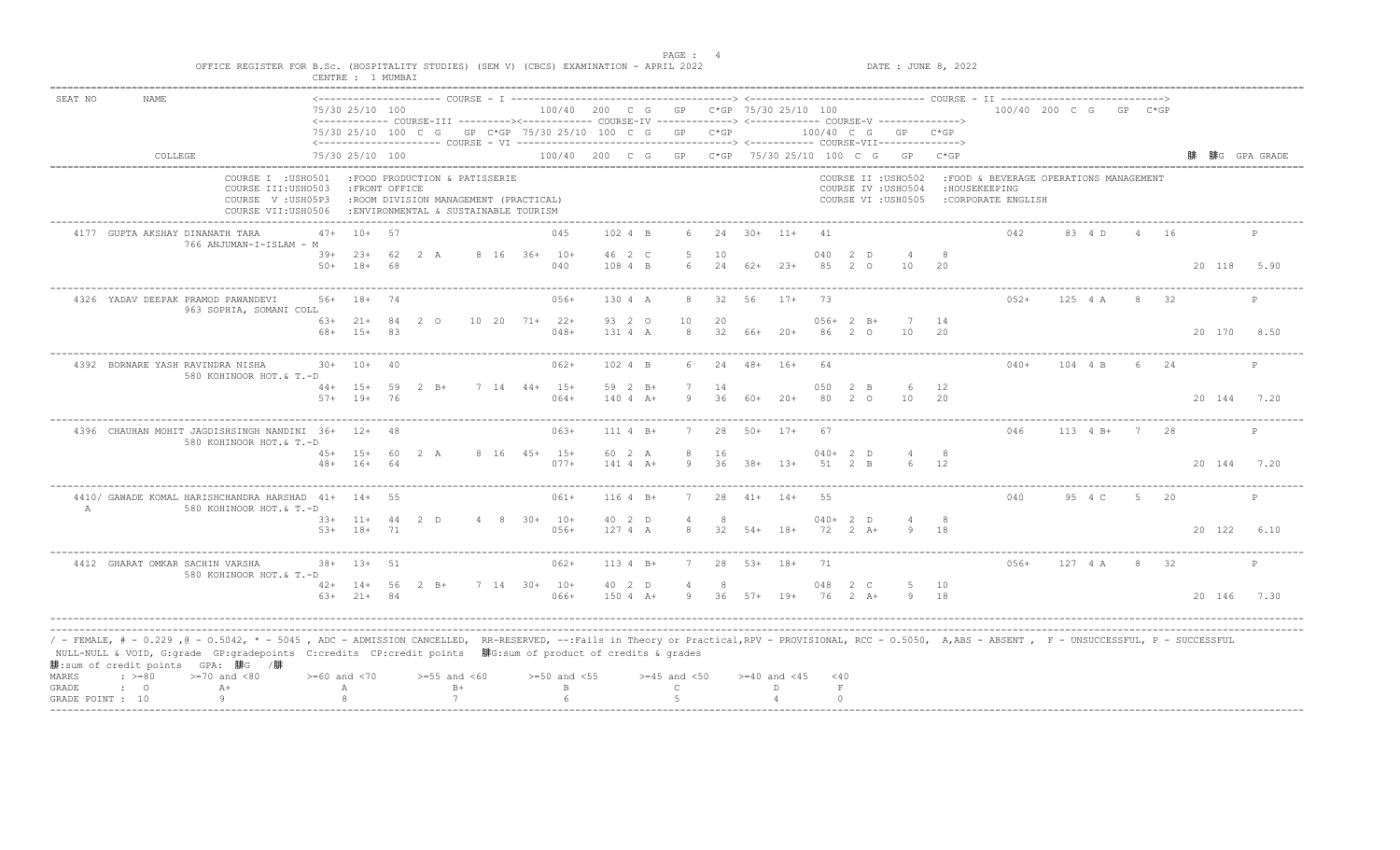|                |                                                                                                                                                                                                                                                                                                                                                                                                | CENTRE : 1 MUMBAI                                                                    |                              |          |                                                                                                                 |  |                                                         |                       |                     |              |                  |                  |           |                            |                                                                                                                  |            |                                                                                |               |      |      |             |              |
|----------------|------------------------------------------------------------------------------------------------------------------------------------------------------------------------------------------------------------------------------------------------------------------------------------------------------------------------------------------------------------------------------------------------|--------------------------------------------------------------------------------------|------------------------------|----------|-----------------------------------------------------------------------------------------------------------------|--|---------------------------------------------------------|-----------------------|---------------------|--------------|------------------|------------------|-----------|----------------------------|------------------------------------------------------------------------------------------------------------------|------------|--------------------------------------------------------------------------------|---------------|------|------|-------------|--------------|
| SEAT NO        | <b>NAME</b>                                                                                                                                                                                                                                                                                                                                                                                    |                                                                                      | 75/30 25/10 100              |          |                                                                                                                 |  | 100/40 200 C G GP C*GP 75/30 25/10 100                  |                       |                     |              |                  |                  |           |                            | <------------ COURSE-III ---------><----------- COURSE-IV -------------> <------------- COURSE-V ------------->> |            | 100/40 200 C G GP C*GP                                                         |               |      |      |             |              |
|                |                                                                                                                                                                                                                                                                                                                                                                                                |                                                                                      |                              |          |                                                                                                                 |  | 75/30 25/10 100 C G GP C*GP 75/30 25/10 100 C G GP C*GP |                       |                     |              |                  |                  |           |                            | 100/40 C G GP C*GP                                                                                               |            |                                                                                |               |      |      |             |              |
|                | COLLEGE                                                                                                                                                                                                                                                                                                                                                                                        |                                                                                      | 75/30 25/10 100              |          |                                                                                                                 |  |                                                         |                       |                     |              |                  |                  |           |                            | 100/40 200 C G GP C*GP 75/30 25/10 100 C G GP C*GP                                                               |            |                                                                                |               |      |      |             | 腓G GPA GRADE |
|                |                                                                                                                                                                                                                                                                                                                                                                                                | COURSE I : USHO501<br>COURSE III: USHO503<br>COURSE V: USH05P3<br>COURSE VII:USH0506 | : FRONT OFFICE               |          | :FOOD PRODUCTION & PATISSERIE<br>:ROOM DIVISION MANAGEMENT (PRACTICAL)<br>: ENVIRONMENTAL & SUSTAINABLE TOURISM |  |                                                         |                       |                     |              |                  |                  |           |                            | COURSE II : USHO502<br>COURSE IV : USHO504<br>COURSE VI : USH0505                                                |            | :FOOD & BEVERAGE OPERATIONS MANAGEMENT<br>: HOUSEKEEPING<br>:CORPORATE ENGLISH |               |      |      |             |              |
|                | 4177 GUPTA AKSHAY DINANATH TARA<br>766 ANJUMAN-I-ISLAM - M                                                                                                                                                                                                                                                                                                                                     | $47+$                                                                                | $10+57$                      |          |                                                                                                                 |  | 045                                                     | 102 4 B               | 6                   |              | $24$ $30+$ $11+$ |                  | 41        |                            |                                                                                                                  |            | 042                                                                            | 83 4 D        |      | 4 16 |             | P            |
|                |                                                                                                                                                                                                                                                                                                                                                                                                | $50+$                                                                                | $39+23+$<br>$18+$            | 62<br>68 | 2 A                                                                                                             |  | 8 16 36+ 10+<br>040                                     | 46 2 C<br>108 4 B     | 6                   | 10           | $24$ $62+$ $23+$ |                  | 040<br>85 | 2 D<br>2 0                 | 4<br>10                                                                                                          | 20         |                                                                                |               |      |      | 20 118 5.90 |              |
|                | 4326 YADAV DEEPAK PRAMOD PAWANDEVI<br>963 SOPHIA, SOMANI COLL                                                                                                                                                                                                                                                                                                                                  | $56+$                                                                                | $18+$                        |          |                                                                                                                 |  | $056+$                                                  | 130 4 A               | 8                   | 32           | 56               | $17+$            | 73        |                            |                                                                                                                  |            | $052+$                                                                         | 125 4 A       | 8    | 32   |             | $\mathsf{P}$ |
|                |                                                                                                                                                                                                                                                                                                                                                                                                | $68+$                                                                                | $63+21+84$<br>$15+$          | 83       | 2 0                                                                                                             |  | $10 \quad 20 \quad 71+ \quad 22+$<br>$048+$             | 93 2 0<br>131 4 A     | 10<br>8             | 20<br>32     | 66+              | $20+$            |           | $056+2 B+$<br>86 2 0       | 10                                                                                                               | 7 14<br>20 |                                                                                |               |      |      | 20 170 8.50 |              |
|                | 4392 BORNARE YASH RAVINDRA NISHA<br>580 KOHINOOR HOT.& T.-D                                                                                                                                                                                                                                                                                                                                    |                                                                                      | $30+ 10+$                    | 20       |                                                                                                                 |  | $062+$                                                  | 102 4 B               | 6                   | 24           | $48 + 16 +$      |                  | 64        |                            |                                                                                                                  |            | $040+$                                                                         | 104 4 B       |      | 6 24 |             | P            |
|                |                                                                                                                                                                                                                                                                                                                                                                                                | $57+$                                                                                | $44+ 15+$<br>$19+$           | 59<br>76 | 2 B+                                                                                                            |  | $7 \t14 \t44+ \t15+$<br>$064+$                          | 59 2 B+<br>$1404 A+$  | 9                   | 14<br>36     | 60+              | $20+$            | 050<br>80 | 2 B<br>20                  | 6<br>10                                                                                                          | 12<br>-20  |                                                                                |               |      |      | 20 144 7.20 |              |
|                | 4396 CHAUHAN MOHIT JAGDISHSINGH NANDINI 36+<br>580 KOHINOOR HOT.& T.-D                                                                                                                                                                                                                                                                                                                         |                                                                                      | $12+48$                      |          |                                                                                                                 |  | $063+$                                                  | 111 4 B+              |                     | 28           |                  | $50+$ 17+        | 67        |                            |                                                                                                                  |            | 046                                                                            | $113 \t 4 B+$ | 7    | 28   |             | P            |
|                |                                                                                                                                                                                                                                                                                                                                                                                                |                                                                                      | 45+ 15+ 60<br>$48+ 16+ 64$   |          | 2 A                                                                                                             |  | 8 16 45+ 15+<br>$077+$                                  | 60 2 A<br>$141 4 A+$  | 8<br>9              | 16<br>36     | $38 + 13 +$      |                  |           | $040+2$ D<br>51 2 B        | $\overline{4}$<br>6                                                                                              | - 8<br>12  |                                                                                |               |      |      | 20 144 7.20 |              |
| $\overline{A}$ | 4410/ GAWADE KOMAL HARISHCHANDRA HARSHAD 41+ 14+<br>580 KOHINOOR HOT.& T.-D                                                                                                                                                                                                                                                                                                                    |                                                                                      |                              | 55       |                                                                                                                 |  | 061+                                                    | $1164 B+$             |                     | 28           | $41 +$           | $14+$            | 55        |                            |                                                                                                                  |            | 040                                                                            | 95 4 C        | - 5  | 20   |             | P            |
|                |                                                                                                                                                                                                                                                                                                                                                                                                |                                                                                      | $33+11+44$ 2 D<br>53+ 18+ 71 |          |                                                                                                                 |  | $4 \t 8 \t 30+ \t 10+$<br>$056+$                        | 40 2 D<br>127 4 A     | $\overline{a}$<br>8 | -8<br>32     | $54+$ 18+        |                  |           | $040+2$ D<br>$72 \t2 \tA+$ |                                                                                                                  | - 8<br>18  |                                                                                |               |      |      | 20 122 6.10 |              |
|                | 4412 GHARAT OMKAR SACHIN VARSHA<br>580 KOHINOOR HOT.& T.-D                                                                                                                                                                                                                                                                                                                                     |                                                                                      | $38 + 13 + 51$               |          |                                                                                                                 |  | $062+$                                                  | $1134 B+$             | 7                   | 28           | $53+ 18+$        |                  | 71        |                            |                                                                                                                  |            | $056+$                                                                         | 127 4 A       | 8 32 |      |             | $\mathbb{P}$ |
|                |                                                                                                                                                                                                                                                                                                                                                                                                |                                                                                      | $42+ 14+ 56$<br>$63+21+84$   |          | $2 \quad B+$                                                                                                    |  | 7 14 30+ 10+<br>$066+$                                  | 40 2 D<br>$150 + A +$ |                     | 9 36 57+ 19+ |                  |                  |           | 048 2 C<br>76 2 A+         | -5                                                                                                               | 10<br>9 18 |                                                                                |               |      |      | 20 146 7.30 |              |
| MARKS          | / - FEMALE, # - 0.229 ,@ - 0.5042, * - 5045 , ADC - ADMISSION CANCELLED, RR-RESERVED, --:Fails in Theory or Practical,RPV - PROVISIONAL, RCC - 0.5050, A,ABS - ABSENT , F - UNSUCCESSFUL, P - SUCCESSFUL/<br>NULL-NULL & VOID, G:grade GP:gradepoints C:credits CP:credit points 腓G:sum of product of credits & grades<br>腓:sum of credit points GPA: 腓G /腓<br>$\div$ >=80<br>$>=70$ and $<80$ | $>= 60$ and $< 70$                                                                   |                              |          | $>=55$ and $<60$                                                                                                |  | $>=50$ and $<55$                                        |                       | $>=45$ and $<50$    |              |                  | $>=40$ and $<45$ | $<$ 40    |                            |                                                                                                                  |            |                                                                                |               |      |      |             |              |
| GRADE          | $A+$<br>$\cdot$ 0                                                                                                                                                                                                                                                                                                                                                                              |                                                                                      | А                            |          | $B+$                                                                                                            |  | $\mathbf{B}$                                            |                       | $\subset$           |              |                  | D.               | $\;$ F    |                            |                                                                                                                  |            |                                                                                |               |      |      |             |              |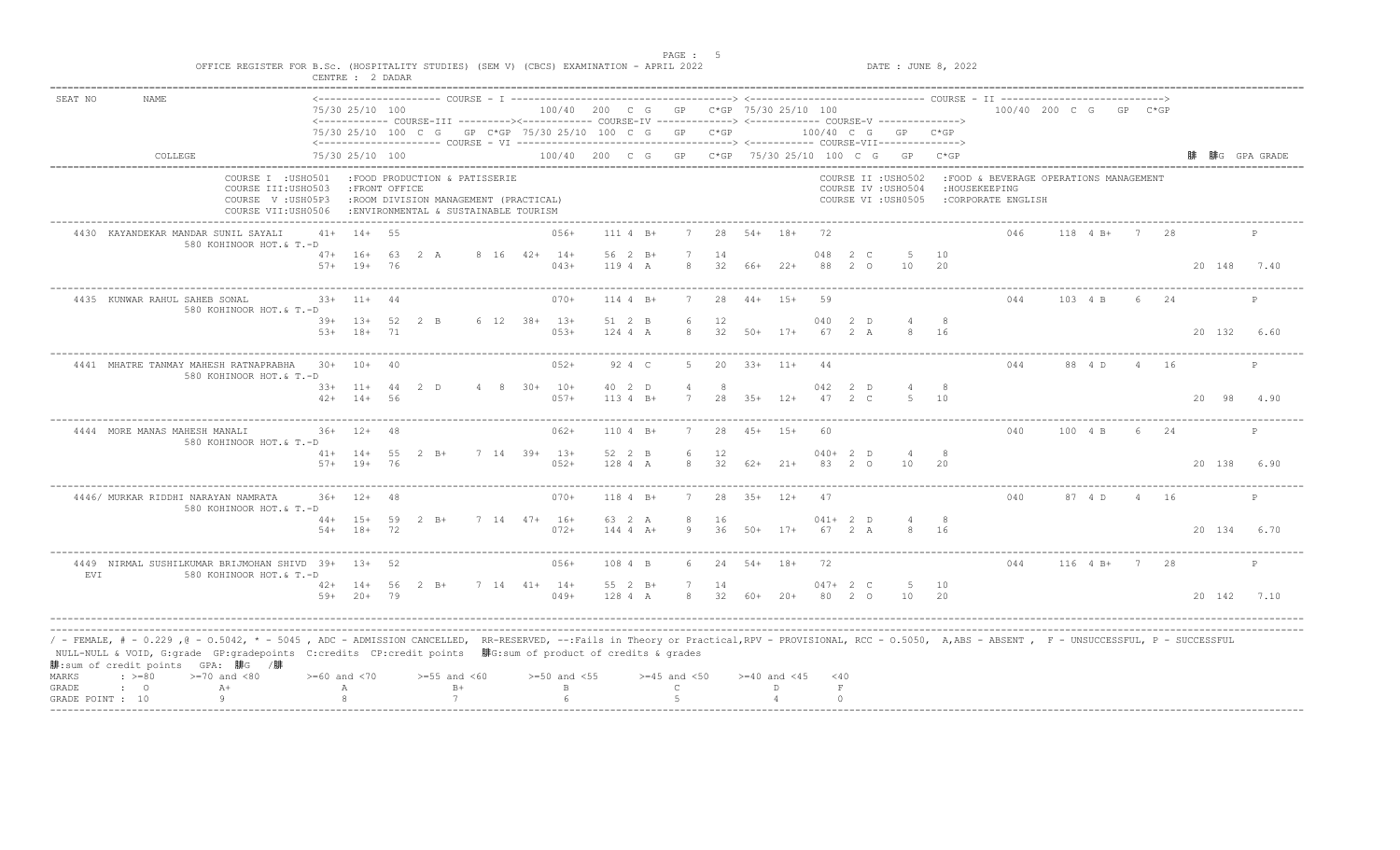| <b>NAME</b>                                                          |       |                                                                                                                                                                                                                                                        |                                                                                                                                      |                                                                                                                                                                                                                                        |                                                                                                           |                          |                               |                                                                                                                                                                                                    |                  |                                                                                                                                                                                                                    |          |                                                                                                                                     |                                                         |                                                                                                                            |                                                            |                                                                                                                                             |             |                                                                                                                                                          |                                                                                                                                                          |                                                      |      |                                                                                           |                                                                                                                                                                                                           |
|----------------------------------------------------------------------|-------|--------------------------------------------------------------------------------------------------------------------------------------------------------------------------------------------------------------------------------------------------------|--------------------------------------------------------------------------------------------------------------------------------------|----------------------------------------------------------------------------------------------------------------------------------------------------------------------------------------------------------------------------------------|-----------------------------------------------------------------------------------------------------------|--------------------------|-------------------------------|----------------------------------------------------------------------------------------------------------------------------------------------------------------------------------------------------|------------------|--------------------------------------------------------------------------------------------------------------------------------------------------------------------------------------------------------------------|----------|-------------------------------------------------------------------------------------------------------------------------------------|---------------------------------------------------------|----------------------------------------------------------------------------------------------------------------------------|------------------------------------------------------------|---------------------------------------------------------------------------------------------------------------------------------------------|-------------|----------------------------------------------------------------------------------------------------------------------------------------------------------|----------------------------------------------------------------------------------------------------------------------------------------------------------|------------------------------------------------------|------|-------------------------------------------------------------------------------------------|-----------------------------------------------------------------------------------------------------------------------------------------------------------------------------------------------------------|
|                                                                      |       |                                                                                                                                                                                                                                                        |                                                                                                                                      |                                                                                                                                                                                                                                        |                                                                                                           |                          |                               |                                                                                                                                                                                                    |                  |                                                                                                                                                                                                                    |          |                                                                                                                                     |                                                         |                                                                                                                            |                                                            |                                                                                                                                             |             |                                                                                                                                                          |                                                                                                                                                          |                                                      |      |                                                                                           |                                                                                                                                                                                                           |
| COLLEGE                                                              |       |                                                                                                                                                                                                                                                        |                                                                                                                                      |                                                                                                                                                                                                                                        |                                                                                                           |                          |                               |                                                                                                                                                                                                    |                  |                                                                                                                                                                                                                    |          |                                                                                                                                     |                                                         |                                                                                                                            |                                                            |                                                                                                                                             |             |                                                                                                                                                          |                                                                                                                                                          |                                                      |      |                                                                                           | 腓G GPA GRADE                                                                                                                                                                                              |
|                                                                      |       |                                                                                                                                                                                                                                                        |                                                                                                                                      |                                                                                                                                                                                                                                        |                                                                                                           |                          |                               |                                                                                                                                                                                                    |                  |                                                                                                                                                                                                                    |          |                                                                                                                                     |                                                         |                                                                                                                            |                                                            |                                                                                                                                             |             |                                                                                                                                                          |                                                                                                                                                          |                                                      |      |                                                                                           |                                                                                                                                                                                                           |
| 4430 KAYANDEKAR MANDAR SUNIL SAYALI                                  |       |                                                                                                                                                                                                                                                        |                                                                                                                                      |                                                                                                                                                                                                                                        |                                                                                                           |                          | $056+$                        |                                                                                                                                                                                                    |                  |                                                                                                                                                                                                                    | 28       |                                                                                                                                     |                                                         | - 72                                                                                                                       |                                                            |                                                                                                                                             |             | 046                                                                                                                                                      |                                                                                                                                                          | $7\phantom{0}$                                       | -28  |                                                                                           | P                                                                                                                                                                                                         |
|                                                                      |       |                                                                                                                                                                                                                                                        |                                                                                                                                      |                                                                                                                                                                                                                                        |                                                                                                           |                          | $043+$                        |                                                                                                                                                                                                    |                  | 8                                                                                                                                                                                                                  | 14<br>32 |                                                                                                                                     |                                                         | 048<br>88                                                                                                                  |                                                            | -5<br>10                                                                                                                                    | 10<br>- 2.0 |                                                                                                                                                          |                                                                                                                                                          |                                                      |      | 20 148 7.40                                                                               |                                                                                                                                                                                                           |
| 4435 KUNWAR RAHUL SAHEB SONAL                                        |       | $11 +$                                                                                                                                                                                                                                                 |                                                                                                                                      |                                                                                                                                                                                                                                        |                                                                                                           |                          | $070+$                        |                                                                                                                                                                                                    |                  |                                                                                                                                                                                                                    | 28       |                                                                                                                                     |                                                         | 59                                                                                                                         |                                                            |                                                                                                                                             |             | 044                                                                                                                                                      |                                                                                                                                                          | -6                                                   | 24   |                                                                                           | $\mathsf{P}$                                                                                                                                                                                              |
|                                                                      | $53+$ | $18+$                                                                                                                                                                                                                                                  | 71                                                                                                                                   |                                                                                                                                                                                                                                        |                                                                                                           |                          | $053+$                        |                                                                                                                                                                                                    |                  | 8                                                                                                                                                                                                                  | 32       | $50+$                                                                                                                               | $17+$                                                   | 040<br>67                                                                                                                  |                                                            | $\overline{4}$<br>$\mathcal{R}$                                                                                                             | 16          |                                                                                                                                                          |                                                                                                                                                          |                                                      |      | 20 132                                                                                    | 6.60                                                                                                                                                                                                      |
|                                                                      |       |                                                                                                                                                                                                                                                        |                                                                                                                                      |                                                                                                                                                                                                                                        |                                                                                                           |                          | $052+$                        |                                                                                                                                                                                                    |                  | 5                                                                                                                                                                                                                  | 20       |                                                                                                                                     |                                                         | 44                                                                                                                         |                                                            |                                                                                                                                             |             | 044                                                                                                                                                      |                                                                                                                                                          |                                                      |      |                                                                                           | P                                                                                                                                                                                                         |
|                                                                      |       |                                                                                                                                                                                                                                                        |                                                                                                                                      |                                                                                                                                                                                                                                        |                                                                                                           |                          | $057+$                        |                                                                                                                                                                                                    |                  | $\overline{4}$<br>$\overline{7}$                                                                                                                                                                                   | 2.8      |                                                                                                                                     | $12+$                                                   | 042<br>47                                                                                                                  |                                                            |                                                                                                                                             | 10          |                                                                                                                                                          |                                                                                                                                                          |                                                      |      | 20 98                                                                                     | 4.90                                                                                                                                                                                                      |
| 4444 MORE MANAS MAHESH MANALI                                        |       |                                                                                                                                                                                                                                                        |                                                                                                                                      |                                                                                                                                                                                                                                        |                                                                                                           |                          | $062+$                        |                                                                                                                                                                                                    |                  |                                                                                                                                                                                                                    | 28       |                                                                                                                                     |                                                         | 60                                                                                                                         |                                                            |                                                                                                                                             |             | 040                                                                                                                                                      |                                                                                                                                                          |                                                      |      |                                                                                           |                                                                                                                                                                                                           |
|                                                                      |       |                                                                                                                                                                                                                                                        |                                                                                                                                      |                                                                                                                                                                                                                                        |                                                                                                           |                          | $052+$                        |                                                                                                                                                                                                    |                  | 6<br>8                                                                                                                                                                                                             | 12<br>32 |                                                                                                                                     |                                                         |                                                                                                                            |                                                            | $\overline{4}$<br>10                                                                                                                        | - 8<br>- 20 |                                                                                                                                                          |                                                                                                                                                          |                                                      |      | 20 138 6.90                                                                               |                                                                                                                                                                                                           |
| 4446/ MURKAR RIDDHI NARAYAN NAMRATA                                  |       |                                                                                                                                                                                                                                                        |                                                                                                                                      |                                                                                                                                                                                                                                        |                                                                                                           |                          | $070+$                        |                                                                                                                                                                                                    |                  |                                                                                                                                                                                                                    | 28       | $3.5+$                                                                                                                              | $12+$                                                   | 47                                                                                                                         |                                                            |                                                                                                                                             |             | 040                                                                                                                                                      |                                                                                                                                                          | $\overline{4}$                                       | - 16 |                                                                                           | P                                                                                                                                                                                                         |
|                                                                      |       |                                                                                                                                                                                                                                                        |                                                                                                                                      |                                                                                                                                                                                                                                        |                                                                                                           |                          | $072+$                        |                                                                                                                                                                                                    |                  | 8<br>9                                                                                                                                                                                                             | 16<br>36 |                                                                                                                                     |                                                         |                                                                                                                            |                                                            |                                                                                                                                             | - 8<br>16   |                                                                                                                                                          |                                                                                                                                                          |                                                      |      | 20 134 6.70                                                                               |                                                                                                                                                                                                           |
|                                                                      |       |                                                                                                                                                                                                                                                        |                                                                                                                                      |                                                                                                                                                                                                                                        |                                                                                                           |                          | $056+$                        |                                                                                                                                                                                                    |                  | 6                                                                                                                                                                                                                  | 24       |                                                                                                                                     |                                                         | 72                                                                                                                         |                                                            |                                                                                                                                             |             | 044                                                                                                                                                      |                                                                                                                                                          |                                                      |      |                                                                                           | $\mathbb{P}$                                                                                                                                                                                              |
|                                                                      |       |                                                                                                                                                                                                                                                        |                                                                                                                                      |                                                                                                                                                                                                                                        |                                                                                                           |                          | $049+$                        |                                                                                                                                                                                                    |                  | 7                                                                                                                                                                                                                  | 14       |                                                                                                                                     |                                                         |                                                                                                                            |                                                            | -5<br>10                                                                                                                                    | 10          |                                                                                                                                                          |                                                                                                                                                          |                                                      |      | 20 142 7.10                                                                               |                                                                                                                                                                                                           |
| 腓:sum of credit points GPA: 腓G /腓<br>$\div$ >=80<br>$>=70$ and $<80$ |       |                                                                                                                                                                                                                                                        |                                                                                                                                      |                                                                                                                                                                                                                                        |                                                                                                           |                          |                               |                                                                                                                                                                                                    |                  |                                                                                                                                                                                                                    |          |                                                                                                                                     |                                                         |                                                                                                                            |                                                            |                                                                                                                                             |             |                                                                                                                                                          |                                                                                                                                                          |                                                      |      |                                                                                           |                                                                                                                                                                                                           |
| $A+$<br>$\cdot$ 0<br>9<br>GRADE POINT : 10                           |       |                                                                                                                                                                                                                                                        |                                                                                                                                      | 7                                                                                                                                                                                                                                      |                                                                                                           |                          | $\mathbf{B}$<br>$6^{\circ}$   |                                                                                                                                                                                                    |                  | $\mathcal{C}$                                                                                                                                                                                                      |          |                                                                                                                                     | D.                                                      |                                                                                                                            |                                                            |                                                                                                                                             |             |                                                                                                                                                          |                                                                                                                                                          |                                                      |      |                                                                                           |                                                                                                                                                                                                           |
|                                                                      |       | COURSE I : USHO501<br>COURSE III: USHO503<br>COURSE V: USH05P3<br>COURSE VII:USH0506<br>580 KOHINOOR HOT.& T.-D<br>580 KOHINOOR HOT.& T.-D<br>580 KOHINOOR HOT.& T.-D<br>580 KOHINOOR HOT.& T.-D<br>580 KOHINOOR HOT.& T.-D<br>580 KOHINOOR HOT.& T.-D | $47+ 16+$<br>$57+$ 19+<br>$33+$<br>4441 MHATRE TANMAY MAHESH RATNAPRABHA 30+ 10+<br>$36+12+$<br>$36+ 12+$<br>$>= 60$ and $< 70$<br>А | 75/30 25/10 100<br>75/30 25/10 100<br>$41+ 14+ 55$<br>76<br>44<br>$39+ 13+ 52$<br>20<br>$42+ 14+ 56$<br>- 48<br>$41+ 14+ 55$<br>$57+$ 19+ 76<br>48<br>$54+ 18+ 72$<br>4449 NIRMAL SUSHILKUMAR BRIJMOHAN SHIVD 39+ 13+ 52<br>59+ 20+ 79 | : FRONT OFFICE<br>63 2 A<br>2 B<br>$33+11+44$ 2 D<br>$2 \quad B+$<br>44+ 15+ 59 2 B+<br>$42+ 14+ 56 2 B+$ | $>=55$ and $<60$<br>$B+$ | :FOOD PRODUCTION & PATISSERIE | :ROOM DIVISION MANAGEMENT (PRACTICAL)<br>: ENVIRONMENTAL & SUSTAINABLE TOURISM<br>8 16 42+ 14+<br>6 12 38+ 13+<br>$4 \t 8 \t 30+ \t 10+$<br>7 14 39+ 13+<br>$7$ 14 47+ 16+<br>$7 \t14 \t41+ \t14+$ | $>=50$ and $<55$ | $111 4 B+$<br>56 2 B+<br>119 4 A<br>$114 4 B+$<br>51 2 B<br>124 4 A<br>92 4 C<br>40 2 D<br>$113.4 B+$<br>$1104 B+$<br>52 2 B<br>128 4 A<br>$1184 B+$<br>63 2 A<br>$1444$ $4$ $A+$<br>108 4 B<br>55 2 B+<br>128 4 A | 6        | 12<br>NULL-NULL & VOID, G:grade GP:gradepoints C:credits CP:credit points 腓G:sum of product of credits & grades<br>$>=45$ and $<50$ | 75/30 25/10 100 C G GP C*GP 75/30 25/10 100 C G GP C*GP | $54+$ 18+<br>66+ 22+<br>$44+15+$<br>$33+$ 11+<br>$35+$<br>$45+ 15+$<br>62+ 21+<br>$50+$ 17+<br>$54 + 18 +$<br>8 32 60+ 20+ | 100/40 200 C G GP C*GP 75/30 25/10 100<br>$>=40$ and $<45$ | 2 C<br>$2^{\circ}$<br>2 D<br>2 A<br>2 D<br>-2 C<br>$040+2$ D<br>83 2 0<br>$041+ 2 D$<br>67 2 A<br>$047 + 2 C$<br>80 2 0<br>$<$ 40<br>$\;$ F |             | 100/40 C G GP C*GP<br>100/40 200 C G GP C*GP 75/30 25/10 100 C G GP C*GP<br>COURSE II : USHO502<br>COURSE IV : USHO504<br>COURSE VI : USH0505<br>8<br>20 | <------------ COURSE-III ---------><----------- COURSE-IV -------------> <------------- COURSE-V ------------->><br>: HOUSEKEEPING<br>:CORPORATE ENGLISH | $118$ 4 B+<br>103 4 B<br>88 4 D<br>100 4 B<br>87 4 D |      | 100/40 200 C G GP C*GP<br>:FOOD & BEVERAGE OPERATIONS MANAGEMENT<br>4 16<br>116 4 B+ 7 28 | / - FEMALE, # - 0.229 ,@ - 0.5042, * - 5045 , ADC - ADMISSION CANCELLED, RR-RESERVED, --:Fails in Theory or Practical,RPV - PROVISIONAL, RCC - 0.5050, A,ABS - ABSENT , F - UNSUCCESSFUL, P - SUCCESSFUL/ |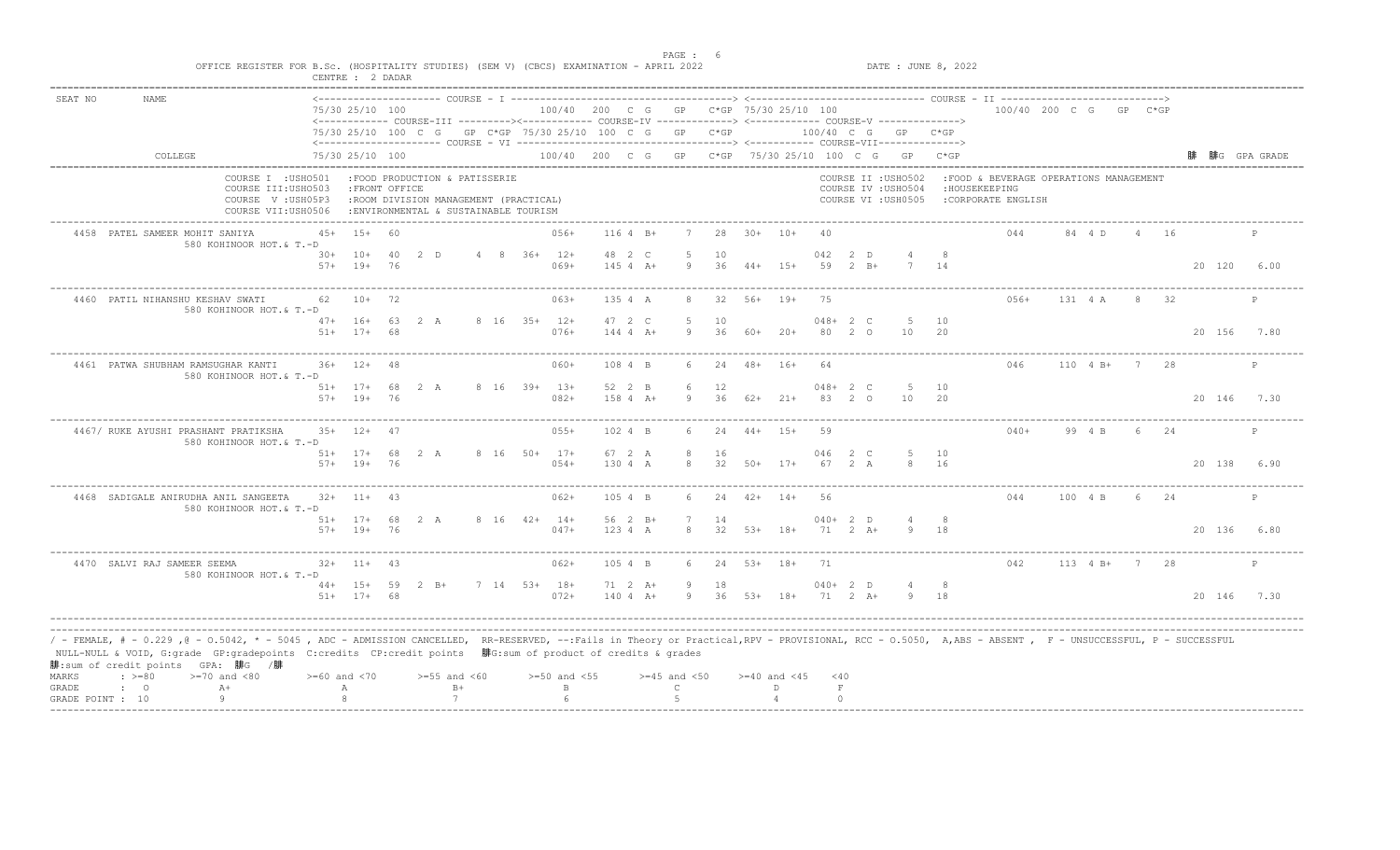|         |                                                                                                                                                                                                                                                                                                                                                                                                |                    | CENTRE : 2 DADAR               |          |                                                                                                                  |  |                          |                            |                                 |          |       |                                        |           |                            |                                                                   |             |                                                                                 |               |    |      |             |              |
|---------|------------------------------------------------------------------------------------------------------------------------------------------------------------------------------------------------------------------------------------------------------------------------------------------------------------------------------------------------------------------------------------------------|--------------------|--------------------------------|----------|------------------------------------------------------------------------------------------------------------------|--|--------------------------|----------------------------|---------------------------------|----------|-------|----------------------------------------|-----------|----------------------------|-------------------------------------------------------------------|-------------|---------------------------------------------------------------------------------|---------------|----|------|-------------|--------------|
| SEAT NO | <b>NAME</b>                                                                                                                                                                                                                                                                                                                                                                                    |                    | 75/30 25/10 100                |          | <------------ COURSE-III ---------><----------- COURSE-IV -------------> <------------- COURSE-V ------------->> |  |                          |                            |                                 |          |       | 100/40 200 C G GP C*GP 75/30 25/10 100 |           |                            |                                                                   |             | 100/40 200 C G GP C*GP                                                          |               |    |      |             |              |
|         |                                                                                                                                                                                                                                                                                                                                                                                                |                    |                                |          | 75/30 25/10 100 C G GP C*GP 75/30 25/10 100 C G GP C*GP                                                          |  |                          |                            |                                 |          |       |                                        |           |                            | 100/40 C G GP C*GP                                                |             |                                                                                 |               |    |      |             |              |
|         | COLLEGE                                                                                                                                                                                                                                                                                                                                                                                        |                    | 75/30 25/10 100                |          |                                                                                                                  |  |                          |                            |                                 |          |       |                                        |           |                            | 100/40 200 C G GP C*GP 75/30 25/10 100 C G GP C*GP                |             |                                                                                 |               |    |      |             | 腓G GPA GRADE |
|         | COURSE I : USHO501<br>COURSE III: USHO503<br>COURSE V: USH05P3<br>COURSE VII:USH0506                                                                                                                                                                                                                                                                                                           |                    | : FRONT OFFICE                 |          | :FOOD PRODUCTION & PATISSERIE<br>:ROOM DIVISION MANAGEMENT (PRACTICAL)<br>: ENVIRONMENTAL & SUSTAINABLE TOURISM  |  |                          |                            |                                 |          |       |                                        |           |                            | COURSE II : USHO502<br>COURSE IV : USHO504<br>COURSE VI : USH0505 |             | : FOOD & BEVERAGE OPERATIONS MANAGEMENT<br>: HOUSEKEEPING<br>:CORPORATE ENGLISH |               |    |      |             |              |
|         | 4458 PATEL SAMEER MOHIT SANIYA<br>580 KOHINOOR HOT.& T.-D                                                                                                                                                                                                                                                                                                                                      | $45+$              | $15+$                          | 60       |                                                                                                                  |  | $056+$                   | $1164$ B+                  |                                 | 28       |       | $30+ 10+$                              | 40        |                            |                                                                   |             | 044                                                                             | 84 4 D        |    | 4 16 |             |              |
|         |                                                                                                                                                                                                                                                                                                                                                                                                |                    | $30+ 10+$<br>$57+$ 19+         | 40<br>76 | 2 D                                                                                                              |  | 4 8 36+ 12+<br>$069+$    | 48 2 C<br>$1454A+$         | .5<br>9                         | 10<br>36 |       | $44+15+$                               | 042<br>59 | 2 D<br>$2 \quad B+$        |                                                                   | 14          |                                                                                 |               |    |      | 20 120 6.00 |              |
|         | 4460 PATIL NIHANSHU KESHAV SWATI<br>580 KOHINOOR HOT.& T.-D                                                                                                                                                                                                                                                                                                                                    | 62                 | $10+$                          | 72       |                                                                                                                  |  | $063+$                   | 135 4 A                    | 8                               | 32       |       | 56+ 19+                                | 75        |                            |                                                                   |             | $056+$                                                                          | 131 4 A       | 8  | 32   |             | $\mathsf{P}$ |
|         |                                                                                                                                                                                                                                                                                                                                                                                                | $51+$              | $47+ 16+ 63 2 A$<br>$17+$      | 68       |                                                                                                                  |  | 8 16 35+ 12+<br>$076+$   | 47 2 C<br>$1444$ $A +$     | 5<br>9                          | 10<br>36 | 60+   | $20+$                                  | 80        | $048 + 2 C$<br>$2^{\circ}$ | -5<br>10                                                          | 10<br>20    |                                                                                 |               |    |      | 20 156      | 7.80         |
|         | 4461 PATWA SHUBHAM RAMSUGHAR KANTI<br>580 KOHINOOR HOT.& T.-D                                                                                                                                                                                                                                                                                                                                  |                    | $36+$ 12+                      | - 48     |                                                                                                                  |  | $060+$                   | 108 4 B                    | 6                               | 24       |       | 48+ 16+                                | 64        |                            |                                                                   |             | 046                                                                             | $110 \t 4 B+$ |    | 7 28 |             | P            |
|         |                                                                                                                                                                                                                                                                                                                                                                                                |                    | $51+$ 17+<br>$57+$ 19+         | 76       | 68 2 A                                                                                                           |  | 8 16 39+ 13+<br>$082+$   | 52 2 B<br>$1584 A+$        | 6<br>Q                          | 12<br>36 |       | $62+21+$                               | 83        | $048 + 2 C$<br>20          | -5<br>10                                                          | 10<br>- 2.0 |                                                                                 |               |    |      | 20 146 7.30 |              |
|         | 4467/ RUKE AYUSHI PRASHANT PRATIKSHA<br>580 KOHINOOR HOT.& T.-D                                                                                                                                                                                                                                                                                                                                |                    | $35+12+$                       | 47       |                                                                                                                  |  | $055+$                   | 102 4 B                    |                                 | 24       | $44+$ | $15+$                                  | 59        |                            |                                                                   |             | $040+$                                                                          | 99 4 B        |    |      |             | P            |
|         |                                                                                                                                                                                                                                                                                                                                                                                                |                    | $51+ 17+ 68$<br>$57+$ 19+ 76   |          | 2 A                                                                                                              |  | 8 16 50+ 17+<br>$054+$   | 67 2 A<br>130 4 A          | 8<br>8                          | 16<br>32 |       | $50+$ 17+                              | 67        | 046 2 C<br>2 A             | -5<br>8                                                           | 10<br>16    |                                                                                 |               |    |      | 20 138 6.90 |              |
|         | 4468 SADIGALE ANIRUDHA ANIL SANGEETA<br>580 KOHINOOR HOT.& T.-D                                                                                                                                                                                                                                                                                                                                |                    | $32+$ 11+                      | 43       |                                                                                                                  |  | $062+$                   | 105 4 B                    |                                 | 2.4      | $42+$ | $14+$                                  | 56        |                            |                                                                   |             | 044                                                                             | 100 4 B       | -6 | 2.4  |             | P            |
|         |                                                                                                                                                                                                                                                                                                                                                                                                |                    | $51+ 17+ 68$ 2 A<br>57+ 19+ 76 |          |                                                                                                                  |  | 8 16 42+ 14+<br>$047+$   | $56 \t2 B+$<br>123 4 A     | 8                               | 14<br>32 |       | $53+$ 18+                              |           | $040+2$ D<br>$71 \t2 \tA+$ |                                                                   | -8<br>18    |                                                                                 |               |    |      | 20 136 6.80 |              |
|         | 4470 SALVI RAJ SAMEER SEEMA<br>580 KOHINOOR HOT.& T.-D                                                                                                                                                                                                                                                                                                                                         |                    | $32+$ 11+ 43                   |          |                                                                                                                  |  | 062+                     | 105 4 B                    | 6                               | 24       |       | $53+ 18+$                              | 71        |                            |                                                                   |             | 042                                                                             | 113 4 B+ 7 28 |    |      |             | P            |
|         |                                                                                                                                                                                                                                                                                                                                                                                                |                    | $51+ 17+ 68$                   |          | 44+ 15+ 59 2 B+                                                                                                  |  | $7$ 14 53+ 18+<br>$072+$ | $71 \t2 \tA+$<br>$1404 A+$ | 9                               | 18       |       | 9 36 53+ 18+                           |           | $040+2$ D<br>71 2 A+       |                                                                   | - 8<br>9 18 |                                                                                 |               |    |      | 20 146 7.30 |              |
| MARKS   | / - FEMALE, # - 0.229 ,@ - 0.5042, * - 5045 , ADC - ADMISSION CANCELLED, RR-RESERVED, --:Fails in Theory or Practical,RPV - PROVISIONAL, RCC - 0.5050, A,ABS - ABSENT , F - UNSUCCESSFUL, P - SUCCESSFUL/<br>NULL-NULL & VOID, G:grade GP:gradepoints C:credits CP:credit points 腓G:sum of product of credits & grades<br>腓:sum of credit points GPA: 腓G /腓<br>$\div$ >=80<br>$>=70$ and $<80$ | $>= 60$ and $< 70$ |                                |          | $>=55$ and $<60$                                                                                                 |  | $>=50$ and $<55$         |                            | $>=45$ and $<50$                |          |       | $>=40$ and $<45$                       | $<$ 40    |                            |                                                                   |             |                                                                                 |               |    |      |             |              |
| GRADE   | $A+$<br>$\cdot$ 0<br>9                                                                                                                                                                                                                                                                                                                                                                         |                    | А                              |          | $B+$<br>7                                                                                                        |  | $\mathbf{B}$<br>$\kappa$ |                            | $\mathcal{C}$<br>$\overline{5}$ |          |       | D.                                     |           | $\;$ F<br>$\cap$           |                                                                   |             |                                                                                 |               |    |      |             |              |
|         | GRADE POINT : 10                                                                                                                                                                                                                                                                                                                                                                               |                    |                                |          |                                                                                                                  |  |                          |                            |                                 |          |       |                                        |           |                            |                                                                   |             |                                                                                 |               |    |      |             |              |

example of the state of the state of the state of the state of the state of the state of the state of the state of the state of the state of the state of the state of the state of the state of the state of the state of the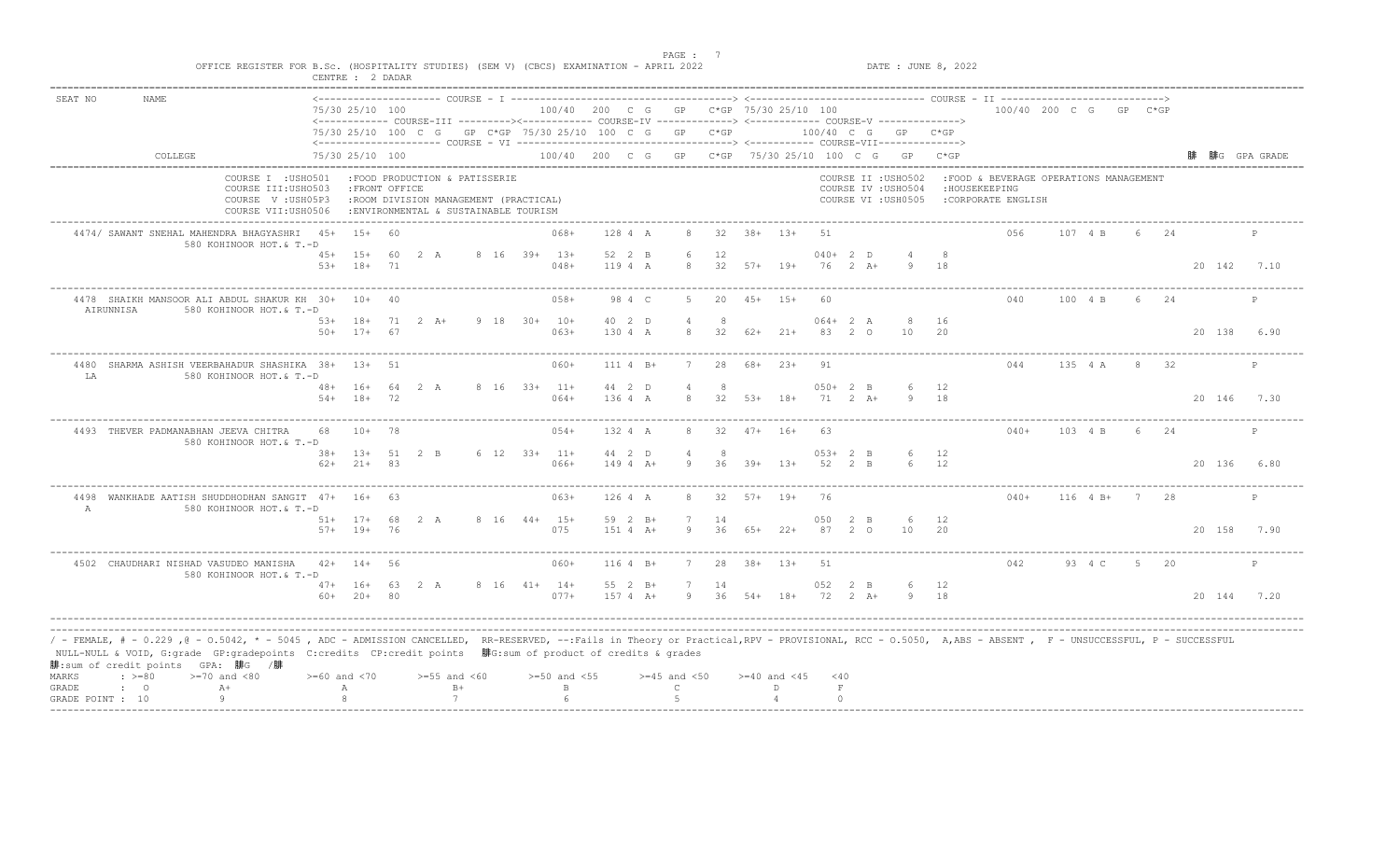|                                                                                                                                                                                                                                                                                                                                                                                                         |                  | CENTRE : 2 DADAR                 |    | OFFICE REGISTER FOR B.Sc. (HOSPITALITY STUDIES) (SEM V) (CBCS) EXAMINATION - APRIL 2022                         |                |                                        |                       |                     |          |       |                  |                       |     |                                                                   | DATE : JUNE 8, 2022 |                                                                                |              |   |      |             |              |
|---------------------------------------------------------------------------------------------------------------------------------------------------------------------------------------------------------------------------------------------------------------------------------------------------------------------------------------------------------------------------------------------------------|------------------|----------------------------------|----|-----------------------------------------------------------------------------------------------------------------|----------------|----------------------------------------|-----------------------|---------------------|----------|-------|------------------|-----------------------|-----|-------------------------------------------------------------------|---------------------|--------------------------------------------------------------------------------|--------------|---|------|-------------|--------------|
| SEAT NO<br><b>NAME</b>                                                                                                                                                                                                                                                                                                                                                                                  |                  | 75/30 25/10 100                  |    | <------------ COURSE-III ---------><----------- COURSE-IV -------------> <------------ COURSE-V ------------->> |                | 100/40 200 C G GP C*GP 75/30 25/10 100 |                       |                     |          |       |                  |                       |     |                                                                   |                     | 100/40 200 C G GP C*GP                                                         |              |   |      |             |              |
|                                                                                                                                                                                                                                                                                                                                                                                                         |                  |                                  |    | 75/30 25/10 100 C G GP C*GP 75/30 25/10 100 C G GP C*GP                                                         |                |                                        |                       |                     |          |       |                  |                       |     | 100/40 C G GP C*GP                                                |                     |                                                                                |              |   |      |             |              |
| COLLEGE                                                                                                                                                                                                                                                                                                                                                                                                 |                  | 75/30 25/10 100                  |    |                                                                                                                 |                |                                        |                       |                     |          |       |                  |                       |     | 100/40 200 C G GP C*GP 75/30 25/10 100 C G GP C*GP                |                     |                                                                                |              |   |      |             | 腓G GPA GRADE |
| COURSE I : USHO501<br>COURSE III: USHO503<br>COURSE V: USH05P3<br>COURSE VII:USH0506                                                                                                                                                                                                                                                                                                                    |                  | : FRONT OFFICE                   |    | :FOOD PRODUCTION & PATISSERIE<br>:ROOM DIVISION MANAGEMENT (PRACTICAL)<br>:ENVIRONMENTAL & SUSTAINABLE TOURISM  |                |                                        |                       |                     |          |       |                  |                       |     | COURSE II : USHO502<br>COURSE IV : USHO504<br>COURSE VI : USH0505 |                     | :FOOD & BEVERAGE OPERATIONS MANAGEMENT<br>: HOUSEKEEPING<br>:CORPORATE ENGLISH |              |   |      |             |              |
| 4474/ SAWANT SNEHAL MAHENDRA BHAGYASHRI 45+ 15+ 60<br>580 KOHINOOR HOT.& T.-D                                                                                                                                                                                                                                                                                                                           |                  |                                  |    |                                                                                                                 |                | $068+$                                 | 128 4 A               | 8                   |          |       | $32 \t38+ \t13+$ | 51                    |     |                                                                   |                     | 0.56                                                                           | 107 4 B      |   | 6 24 |             | P            |
|                                                                                                                                                                                                                                                                                                                                                                                                         |                  | 45+ 15+ 60 2 A<br>$53+ 18+ 71$   |    |                                                                                                                 | 8 16 39+ 13+   | $048+$                                 | 52 2 B<br>119 4 A     | 6<br>8              | 12       |       | $32$ $57+$ 19+   | $040+2$ D<br>76 2 A+  |     | 9                                                                 | 18                  |                                                                                |              |   |      | 20 142 7.10 |              |
| 4478 SHAIKH MANSOOR ALI ABDUL SHAKUR KH 30+ 10+ 40<br>AIRUNNISA<br>580 KOHINOOR HOT.& T.-D                                                                                                                                                                                                                                                                                                              |                  |                                  |    |                                                                                                                 |                | $058+$                                 | 98 4 C                | -5                  | 20       |       | $45+15+$         | 60                    |     |                                                                   |                     | 040                                                                            | 100 4 B      | 6 | 2.4  |             | P            |
|                                                                                                                                                                                                                                                                                                                                                                                                         | $50+$            | $17+ 67$                         |    | 53+ 18+ 71 2 A+                                                                                                 | $9$ 18 30+ 10+ | $063+$                                 | 40 2 D<br>130 4 A     | 8                   | 32       |       | $62+$ 21+        | $064 + 2 A$<br>83 2 0 |     | 10                                                                | 8 16<br>20          |                                                                                |              |   |      | 20 138      | 6.90         |
| 4480 SHARMA ASHISH VEERBAHADUR SHASHIKA 38+ 13+ 51<br>LA<br>580 KOHINOOR HOT.& T.-D                                                                                                                                                                                                                                                                                                                     |                  |                                  |    |                                                                                                                 |                | 060+                                   | $1114$ B+             | $7^{\circ}$         | 28       |       | $68 + 23 +$      | 91                    |     |                                                                   |                     | 044                                                                            | 135 4 A 8 32 |   |      |             | P            |
|                                                                                                                                                                                                                                                                                                                                                                                                         | $54+$            | 48+ 16+ 64 2 A<br>$18+72$        |    |                                                                                                                 |                | $8 \t16 \t33+ \t11+$<br>$064+$         | 44 2 D<br>136 4 A     | $\overline{4}$<br>8 | 32       |       | $53+$ 18+        | $050+2$ B<br>71 2 A+  |     | 6                                                                 | 12<br>9 18          |                                                                                |              |   |      | 20 146 7.30 |              |
| 4493 THEVER PADMANABHAN JEEVA CHITRA<br>580 KOHINOOR HOT.& T.-D                                                                                                                                                                                                                                                                                                                                         | 68               | $10+$                            | 78 |                                                                                                                 |                | $054+$                                 | 132 4 A               | 8                   | 32       |       | $47+ 16+$        | 63                    |     |                                                                   |                     | $040+$                                                                         | 103 4 B      |   | 24   |             | P            |
|                                                                                                                                                                                                                                                                                                                                                                                                         |                  | 38+ 13+ 51 2 B<br>$62+21+83$     |    |                                                                                                                 |                | $6$ 12 33+ 11+<br>$066+$               | 44 2 D<br>$1494 A+$   | $\overline{4}$<br>9 | 8<br>36  |       | $39+$ 13+        | $053+2$ B<br>52 2 B   |     | 6<br>6                                                            | 12<br>12            |                                                                                |              |   |      | 20 136 6.80 |              |
| 4498 WANKHADE AATISH SHUDDHODHAN SANGIT 47+ 16+ 63<br>$\overline{A}$<br>580 KOHINOOR HOT.& T.-D                                                                                                                                                                                                                                                                                                         |                  |                                  |    |                                                                                                                 |                | $063+$                                 | 126 4 A               | 8                   | -32      | $57+$ | $19+$            | 76                    |     |                                                                   |                     | $040+$                                                                         | $116 + 4 +$  | 7 | -28  |             | P            |
|                                                                                                                                                                                                                                                                                                                                                                                                         |                  | $51+ 17+ 68$ 2 A<br>$57+$ 19+ 76 |    |                                                                                                                 | 8 16 44+ 15+   | 075                                    | 59 2 B+<br>$151 4 A+$ | Q                   | 14<br>36 | 65+   | $22+$            | 050<br>87 2 0         | 2 B | 10                                                                | 12<br>20            |                                                                                |              |   |      | 20 158 7.90 |              |
| 4502 CHAUDHARI NISHAD VASUDEO MANISHA<br>580 KOHINOOR HOT.& T.-D                                                                                                                                                                                                                                                                                                                                        |                  | $42+$ 14+ 56                     |    |                                                                                                                 |                | $060+$                                 | $1164$ B+             | $7^{\circ}$         | 28       |       | $38 + 13 +$      | 51                    |     |                                                                   |                     | 042                                                                            | 93 4 C 5 20  |   |      |             | P            |
|                                                                                                                                                                                                                                                                                                                                                                                                         |                  | $47+ 16+ 63 2 A$<br>$60+ 20+ 80$ |    |                                                                                                                 |                | 8 16 41+ 14+<br>$077+$                 | 55 2 B+<br>157 4 A+   | 7                   | 14       |       | 9 36 54+ 18+     | 052 2 B<br>72 2 A+    |     | 6                                                                 | 12<br>9 18          |                                                                                |              |   |      | 20 144 7.20 |              |
| / - FEMALE, # - 0.229 ,@ - 0.5042, * - 5045 , ADC - ADMISSION CANCELLED, RR-RESERVED, --:Fails in Theory or Practical,RPV - PROVISIONAL, RCC - 0.5050, A,ABS - ABSENT , F - UNSUCCESSFUL, P - SUCCESSFUL/<br>NULL-NULL & VOID, G:grade GP:gradepoints C:credits CP:credit points 腓G:sum of product of credits & grades<br>腓:sum of credit points GPA: 腓G /腓<br>$\div$ >=80<br>$>=70$ and $<80$<br>MARKS | $>=60$ and $<70$ |                                  |    | $>=55$ and $<60$                                                                                                |                | $>=50$ and $<55$                       |                       | $>=45$ and $<50$    |          |       | $>=40$ and $<45$ | $<$ 40                |     |                                                                   |                     |                                                                                |              |   |      |             |              |
| $A+$<br>GRADE<br>$\cdot$ 0                                                                                                                                                                                                                                                                                                                                                                              |                  | Α                                |    | $B+$                                                                                                            |                | $\mathbf{B}$                           |                       | $\mathsf{C}$        |          |       | D.               | $\;$ F                |     |                                                                   |                     |                                                                                |              |   |      |             |              |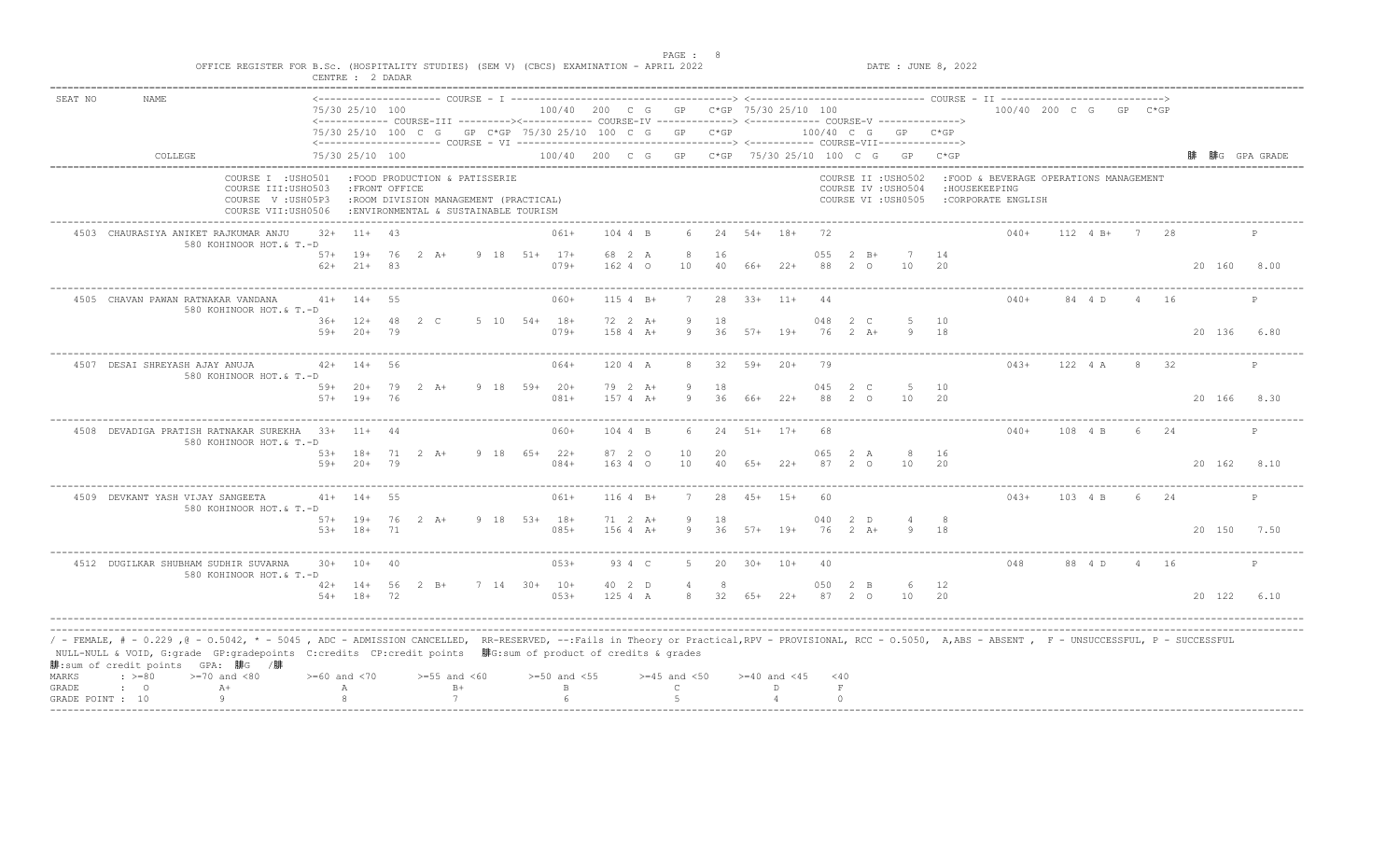|         | OFFICE REGISTER FOR B.Sc. (HOSPITALITY STUDIES) (SEM V) (CBCS) EXAMINATION - APRIL 2022                                                                                                                                                                                                                                                                                                    |                    | CENTRE : 2 DADAR                |          |                                                                                                                 |                  |                                        |                            |                  |              |                  |                    |               |                     |                                                                   | DATE : JUNE 8, 2022 |                                                                                |              |                |      |        |              |
|---------|--------------------------------------------------------------------------------------------------------------------------------------------------------------------------------------------------------------------------------------------------------------------------------------------------------------------------------------------------------------------------------------------|--------------------|---------------------------------|----------|-----------------------------------------------------------------------------------------------------------------|------------------|----------------------------------------|----------------------------|------------------|--------------|------------------|--------------------|---------------|---------------------|-------------------------------------------------------------------|---------------------|--------------------------------------------------------------------------------|--------------|----------------|------|--------|--------------|
| SEAT NO | <b>NAME</b>                                                                                                                                                                                                                                                                                                                                                                                |                    | 75/30 25/10 100                 |          | <------------ COURSE-III ---------><----------- COURSE-IV -------------> <------------ COURSE-V ------------->> |                  | 100/40 200 C G GP C*GP 75/30 25/10 100 |                            |                  |              |                  |                    |               |                     |                                                                   |                     | 100/40 200 C G GP C*GP                                                         |              |                |      |        |              |
|         |                                                                                                                                                                                                                                                                                                                                                                                            |                    |                                 |          | 75/30 25/10 100 C G GP C*GP 75/30 25/10 100 C G GP C*GP                                                         |                  |                                        |                            |                  |              |                  |                    |               |                     | 100/40 C G GP C*GP                                                |                     |                                                                                |              |                |      |        |              |
|         | COLLEGE                                                                                                                                                                                                                                                                                                                                                                                    |                    | 75/30 25/10 100                 |          |                                                                                                                 |                  |                                        |                            |                  |              |                  |                    |               |                     | 100/40 200 C G GP C*GP 75/30 25/10 100 C G GP C*GP                |                     |                                                                                |              |                |      |        | 腓G GPA GRADE |
|         | COURSE I : USHO501<br>COURSE III: USHO503<br>COURSE V: USH05P3<br>COURSE VII:USH0506                                                                                                                                                                                                                                                                                                       |                    | : FRONT OFFICE                  |          | :FOOD PRODUCTION & PATISSERIE<br>:ROOM DIVISION MANAGEMENT (PRACTICAL)<br>: ENVIRONMENTAL & SUSTAINABLE TOURISM |                  |                                        |                            |                  |              |                  |                    |               |                     | COURSE II : USHO502<br>COURSE IV : USHO504<br>COURSE VI : USH0505 |                     | :FOOD & BEVERAGE OPERATIONS MANAGEMENT<br>: HOUSEKEEPING<br>:CORPORATE ENGLISH |              |                |      |        |              |
|         | 4503 CHAURASIYA ANIKET RAJKUMAR ANJU<br>580 KOHINOOR HOT.& T.-D                                                                                                                                                                                                                                                                                                                            | $32+$              | $11 + 43$                       |          |                                                                                                                 |                  | $061+$                                 | 104 4 B                    |                  |              | 24 54+ 18+       |                    | 72            |                     |                                                                   |                     | $040+$                                                                         | $112 \t 4B+$ |                | 7 28 |        | P            |
|         |                                                                                                                                                                                                                                                                                                                                                                                            | $62+$              | 57+ 19+<br>$21+ 83$             |          | 76 2 A+                                                                                                         | $9$ 18 51+ 17+   | $079+$                                 | 68 2 A<br>16240            | 8<br>10          | 16<br>40     | 66+              | $22+$              | 055<br>88     | $2 \quad B+$<br>2 0 | 10                                                                | 14<br>-20           |                                                                                |              |                |      | 20 160 | 8.00         |
|         | 4505 CHAVAN PAWAN RATNAKAR VANDANA<br>580 KOHINOOR HOT.& T.-D                                                                                                                                                                                                                                                                                                                              |                    | $41+ 14+$                       | 55       |                                                                                                                 |                  | $060+$                                 | $1154 B+$                  |                  | 2.8          |                  | $33+$ 11+          | 44            |                     |                                                                   |                     | $040+$                                                                         | 84 4 D       | $\overline{4}$ | 16   |        |              |
|         |                                                                                                                                                                                                                                                                                                                                                                                            | $59+$              | $36+ 12+ 48$<br>$20+$           | 79       | 2 C                                                                                                             | $5$ 10 $54+$ 18+ | $079+$                                 | 72 2 A+<br>$1584 A+$       | 9                | 18<br>36     | $57+$            | $19+$              | 048<br>76     | 2 C<br>$2+A+$       | 9                                                                 | 5 10<br>18          |                                                                                |              |                |      | 20 136 | 6.80         |
|         | 4507 DESAI SHREYASH AJAY ANUJA<br>580 KOHINOOR HOT.& T.-D                                                                                                                                                                                                                                                                                                                                  |                    | $42+$ 14+                       | 56       |                                                                                                                 |                  | $064+$                                 | 120 4 A                    | 8                | - 32         | $59+20+$         |                    | 79            |                     |                                                                   |                     | $04.3+$                                                                        | 122 4 A      |                | 8 32 |        |              |
|         |                                                                                                                                                                                                                                                                                                                                                                                            |                    | $59+20+$<br>$57+$ 19+           | 79<br>76 | 2 A+                                                                                                            | $9$ 18 59+ 20+   | $081+$                                 | 79 2 A+<br>$157 + A + A +$ | 9                | 18<br>36     | 66+              | $22+$              | 045<br>88     | 2 C<br>20           | -5<br>10                                                          | 10<br>20            |                                                                                |              |                |      |        | 20 166 8.30  |
|         | 4508 DEVADIGA PRATISH RATNAKAR SUREKHA 33+ 11+ 44<br>580 KOHINOOR HOT.& T.-D                                                                                                                                                                                                                                                                                                               |                    |                                 |          |                                                                                                                 |                  | $060+$                                 | 104 4 B                    |                  | 24           | $51+$ $17+$      |                    | 68            |                     |                                                                   |                     | $040+$                                                                         | 108 4 B      | 6              | 24   |        | P            |
|         |                                                                                                                                                                                                                                                                                                                                                                                            |                    | 53+ 18+ 71 2 A+<br>$59+20+79$   |          |                                                                                                                 | 9 18 65+ 22+     | $084+$                                 | 87 2 0<br>16340            | 10<br>10         | 20<br>40     |                  | $65+22+$           | 065<br>87     | 2 A<br>2 0          | 8<br>10                                                           | 16<br>20            |                                                                                |              |                |      |        | 20 162 8.10  |
|         | 4509 DEVKANT YASH VIJAY SANGEETA<br>580 KOHINOOR HOT.& T.-D                                                                                                                                                                                                                                                                                                                                |                    | $41+ 14+$                       | 55       |                                                                                                                 |                  | $061+$                                 | $1164$ B+                  |                  | 28           | $4.5+$           | $1.5+$             |               |                     |                                                                   |                     | $043+$                                                                         | 103 4 B      | 6              | 2.4  |        | P            |
|         |                                                                                                                                                                                                                                                                                                                                                                                            |                    | $57+$ 19+ 76 2 A+<br>53+ 18+ 71 |          |                                                                                                                 | $9$ 18 53+ 18+   | $085+$                                 | 71 2 A+<br>$1564 +$        | 9<br>9           | - 18         | $36$ $57+$ $19+$ |                    | 04 Q          | 2 D<br>$76$ 2 $A+$  |                                                                   | - 8<br>18           |                                                                                |              |                |      |        | 20 150 7.50  |
|         | 4512 DUGILKAR SHUBHAM SUDHIR SUVARNA<br>580 KOHINOOR HOT.& T.-D                                                                                                                                                                                                                                                                                                                            |                    | $30+ 10+ 40$                    |          |                                                                                                                 |                  | $053+$                                 | 93 4 C                     | 5.               | 20           | $30+ 10+$        |                    | 40            |                     |                                                                   |                     | 048                                                                            | 88 4 D       |                | 4 16 |        | P            |
|         |                                                                                                                                                                                                                                                                                                                                                                                            |                    | 42+ 14+ 56 2 B+<br>$54+ 18+ 72$ |          |                                                                                                                 | 7 14 30+ 10+     | $053+$                                 | 40 2 D<br>125 4 A          | 4                | 8 32 65+ 22+ |                  |                    | 050<br>87 2 0 | 2 B                 | 6<br>10                                                           | 12<br>20            |                                                                                |              |                |      | 20 122 | 6.10         |
| MARKS   | / - FEMALE, # - 0.229 ,@ - 0.5042, * - 5045 , ADC - ADMISSION CANCELLED, RR-RESERVED, --:Fails in Theory or Practical,RPV - PROVISIONAL, RCC - 0.5050, A,ABS - ABSENT , F - UNSUCCESSFUL, P - SUCCESSFUL<br>NULL-NULL & VOID, G:grade GP:gradepoints C:credits CP:credit points 腓G:sum of product of credits & grades<br>腓:sum of credit points GPA: 腓G /腓<br>$: >=80$<br>$>=70$ and $<80$ | $>= 60$ and $< 70$ |                                 |          | $>=55$ and $<60$                                                                                                |                  | $>=50$ and $<55$                       |                            | $>=45$ and $<50$ |              |                  | $>= 40$ and $< 45$ | $<$ 40        |                     |                                                                   |                     |                                                                                |              |                |      |        |              |
| GRADE   | $A+$<br>$\cdot$ 0<br>9                                                                                                                                                                                                                                                                                                                                                                     |                    | А                               |          | $B+$                                                                                                            |                  | $\mathbf{B}$                           |                            | $\mathcal{C}$    |              |                  | D.                 | $\;$ F        |                     |                                                                   |                     |                                                                                |              |                |      |        |              |

example of the state of the state of the state of the state of the state of the state of the state of the state of the state of the state of the state of the state of the state of the state of the state of the state of the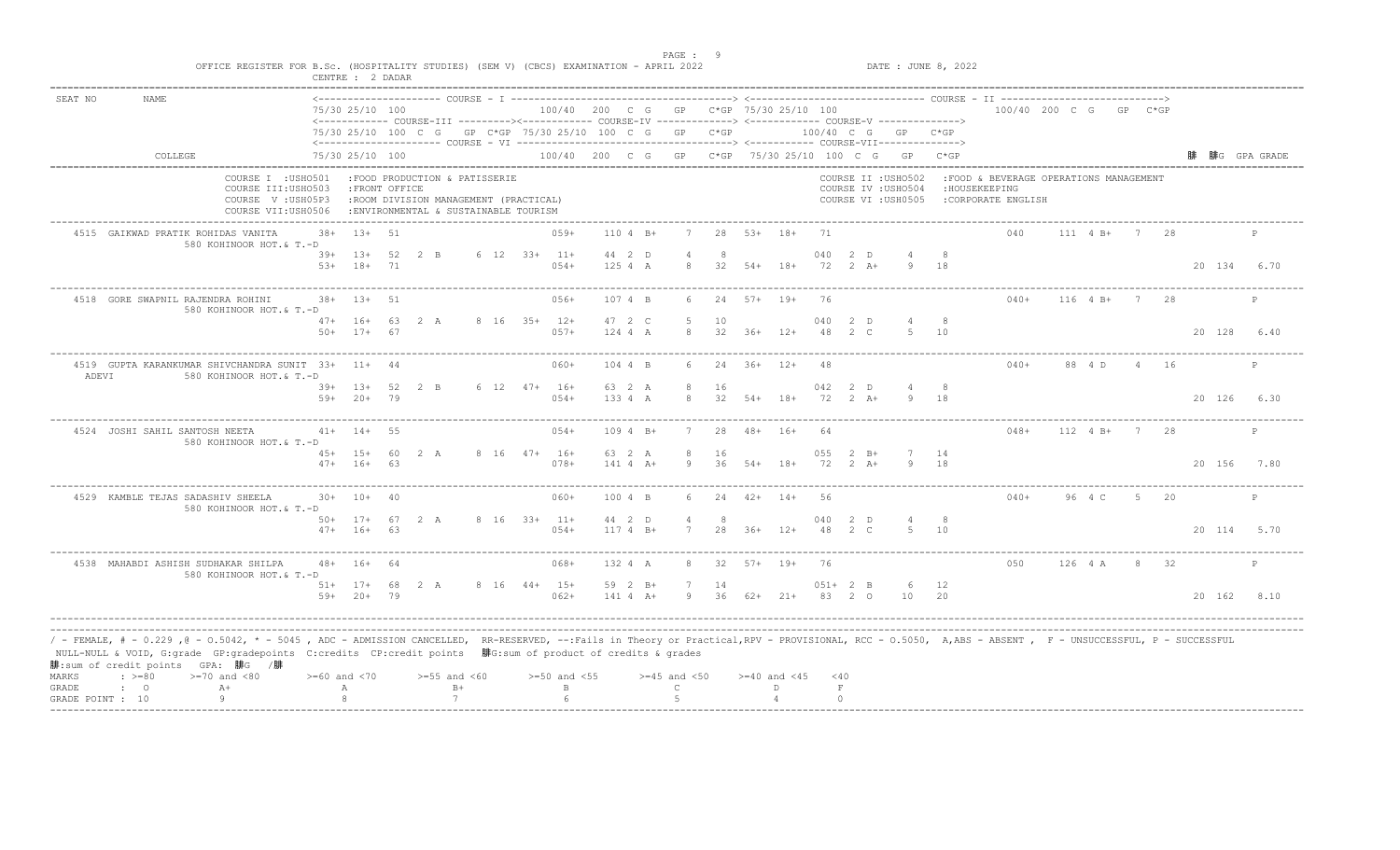|                |                                                               | OFFICE REGISTER FOR B.Sc. (HOSPITALITY STUDIES) (SEM V) (CBCS) EXAMINATION - APRIL 2022                                                                                                                                                                                                                                                           | CENTRE : 2 DADAR                 |                |                                                                                                                 |              |                                                    |                       |                                   |                      |                  |                        |                     |                        |                                                                   | DATE : JUNE 8, 2022 |                                                                                |               |    |          |             |              |
|----------------|---------------------------------------------------------------|---------------------------------------------------------------------------------------------------------------------------------------------------------------------------------------------------------------------------------------------------------------------------------------------------------------------------------------------------|----------------------------------|----------------|-----------------------------------------------------------------------------------------------------------------|--------------|----------------------------------------------------|-----------------------|-----------------------------------|----------------------|------------------|------------------------|---------------------|------------------------|-------------------------------------------------------------------|---------------------|--------------------------------------------------------------------------------|---------------|----|----------|-------------|--------------|
| SEAT NO        | <b>NAME</b>                                                   |                                                                                                                                                                                                                                                                                                                                                   | 75/30 25/10 100                  |                | <------------ COURSE-III ---------><----------- COURSE-IV -------------> <------------ COURSE-V ------------->> |              | 100/40 200 C G GP C*GP 75/30 25/10 100             |                       |                                   |                      |                  |                        |                     |                        |                                                                   |                     | 100/40 200 C G GP C*GP                                                         |               |    |          |             |              |
|                |                                                               |                                                                                                                                                                                                                                                                                                                                                   |                                  |                | 75/30 25/10 100 C G GP C*GP 75/30 25/10 100 C G GP C*GP                                                         |              |                                                    |                       |                                   |                      |                  |                        |                     |                        | 100/40 C G GP C*GP                                                |                     |                                                                                |               |    |          |             |              |
|                | COLLEGE                                                       |                                                                                                                                                                                                                                                                                                                                                   | 75/30 25/10 100                  |                |                                                                                                                 |              | 100/40 200 C G GP C*GP 75/30 25/10 100 C G GP C*GP |                       |                                   |                      |                  |                        |                     |                        |                                                                   |                     |                                                                                |               |    |          |             | 腓G GPA GRADE |
|                |                                                               | COURSE I : USHO501<br>COURSE III: USHO503<br>COURSE V: USH05P3<br>COURSE VII:USH0506                                                                                                                                                                                                                                                              |                                  | : FRONT OFFICE | :FOOD PRODUCTION & PATISSERIE<br>:ROOM DIVISION MANAGEMENT (PRACTICAL)<br>: ENVIRONMENTAL & SUSTAINABLE TOURISM |              |                                                    |                       |                                   |                      |                  |                        |                     |                        | COURSE II : USHO502<br>COURSE IV : USHO504<br>COURSE VI : USH0505 |                     | :FOOD & BEVERAGE OPERATIONS MANAGEMENT<br>: HOUSEKEEPING<br>:CORPORATE ENGLISH |               |    |          |             |              |
|                | 4515 GAIKWAD PRATIK ROHIDAS VANITA                            | $38+$<br>580 KOHINOOR HOT.& T.-D                                                                                                                                                                                                                                                                                                                  | $13+51$                          |                |                                                                                                                 |              | $0.59+$                                            | $1104 B+$             |                                   | 28                   | 53+ 18+          |                        | 71                  |                        |                                                                   |                     | 040                                                                            | 111 4 B+ 7 28 |    |          |             | P            |
|                |                                                               |                                                                                                                                                                                                                                                                                                                                                   | $39+$ 13+<br>$53+ 18+$           | 71             | 52 2 B                                                                                                          | 6 12 33+ 11+ | $054+$                                             | 44 2 D<br>125 4 A     | 8                                 | 32                   | $54+$ 18+        |                        | 040<br>72           | 2 D<br>$2+A+$          | 9                                                                 | 18                  |                                                                                |               |    |          | 20 134 6.70 |              |
|                | 4518 GORE SWAPNIL RAJENDRA ROHINI                             | 580 KOHINOOR HOT.& T.-D                                                                                                                                                                                                                                                                                                                           | $38+$<br>$1.3 +$                 | 51             |                                                                                                                 |              | $056+$                                             | 107 4 B               |                                   | 2.4                  | $57+$ 19+        |                        | 76                  |                        |                                                                   |                     | $040+$                                                                         | $116 + 4 + 1$ | 7  | - 28     |             |              |
|                |                                                               | $50+$                                                                                                                                                                                                                                                                                                                                             | $47+ 16+ 63 2 A$<br>$17+$        | 67             |                                                                                                                 | 8 16 35+ 12+ | $057+$                                             | 47 2 C<br>124 4 A     | $\sqrt{2}$<br>8                   | 10<br>32             | $36+$            | $12+$                  | 040<br>48           | 2 D<br>$2 \quad C$     | $\overline{4}$<br>-5                                              | 8<br>10             |                                                                                |               |    |          | 20 128      | 6.40         |
| ADEVI          |                                                               | 4519 GUPTA KARANKUMAR SHIVCHANDRA SUNIT 33+ 11+ 44<br>580 KOHINOOR HOT.& T.-D                                                                                                                                                                                                                                                                     |                                  |                |                                                                                                                 |              | $060+$                                             | 104 4 B               | 6                                 | 2.4                  | $36+$ 12+        |                        | 48                  |                        |                                                                   |                     | $040+$                                                                         | 88 4 D        |    | $4 \t16$ |             | $\mathbb{P}$ |
|                |                                                               |                                                                                                                                                                                                                                                                                                                                                   | $39+ 13+$<br>$59+20+79$          | 52             | 2 B                                                                                                             | 6 12 47+ 16+ | $054+$                                             | 63 2 A<br>133 4 A     | 8<br>8                            | 16<br>32             | $54+$ 18+        |                        | 042<br>72           | 2 D<br>$2 A +$         |                                                                   | 8<br>9 18           |                                                                                |               |    |          | 20 126 6.30 |              |
|                | 4524 JOSHI SAHIL SANTOSH NEETA                                | 580 KOHINOOR HOT.& T.-D                                                                                                                                                                                                                                                                                                                           | $41+ 14+ 55$                     |                |                                                                                                                 |              | $054+$                                             | $1094 B+$             |                                   | 28                   | $48 + 16 +$      |                        | 64                  |                        |                                                                   |                     | $048+$                                                                         | 112 4 B+      | 7  | 28       |             | P            |
|                |                                                               |                                                                                                                                                                                                                                                                                                                                                   | 45+ 15+ 60 2 A<br>$47+ 16+ 63$   |                |                                                                                                                 | 8 16 47+ 16+ | $078+$                                             | 63 2 A<br>$141 4 A+$  | 8<br>9                            | 16                   | $36$ $54+$ $18+$ |                        | 055<br>72           | $2 \quad B+$<br>$2+A+$ |                                                                   | 14<br>18            |                                                                                |               |    |          | 20 156 7.80 |              |
|                | 4529 KAMBLE TEJAS SADASHIV SHEELA                             | 580 KOHINOOR HOT.& T.-D                                                                                                                                                                                                                                                                                                                           | $30+$<br>$10+$                   | 40             |                                                                                                                 |              | $060+$                                             | 100 4 B               |                                   | 24                   | $42+$            | $14+$                  | 56                  |                        |                                                                   |                     | $040+$                                                                         | 96 4 C        | -5 | -20      |             | P            |
|                |                                                               |                                                                                                                                                                                                                                                                                                                                                   | $50+ 17+ 67 2 A$<br>$47+ 16+ 63$ |                |                                                                                                                 | 8 16 33+ 11+ | $054+$                                             | 44 2 D<br>$1174 B+$   | $\overline{4}$<br>7               | -8<br>2.8            | $36+$ 12+        |                        | 040                 | 2 D<br>48 2 C          |                                                                   | - 8<br>10           |                                                                                |               |    |          | 20 114 5.70 |              |
|                | 4538 MAHABDI ASHISH SUDHAKAR SHILPA                           | 580 KOHINOOR HOT.& T.-D                                                                                                                                                                                                                                                                                                                           | $48 + 16 + 64$                   |                |                                                                                                                 |              | $068+$                                             | 132 4 A               | 8                                 | 32                   | $57 + 19 +$      |                        | 76                  |                        |                                                                   |                     | 050                                                                            | 126 4 A       |    | 8 32     |             | $\mathbf{P}$ |
|                |                                                               |                                                                                                                                                                                                                                                                                                                                                   | $51+ 17+ 68$ 2 A<br>59+ 20+ 79   |                |                                                                                                                 |              | 8 16 44+ 15+<br>$062+$                             | 59 2 B+<br>$141 4 A+$ | 7                                 | 14<br>$9$ 36 62+ 21+ |                  |                        | $051+2$ B<br>83 2 0 |                        | 6<br>10                                                           | 12<br>20            |                                                                                |               |    |          | 20 162 8.10 |              |
| MARKS<br>GRADE | 腓:sum of credit points GPA: 腓G /腓<br>$\div$ >=80<br>$\cdot$ 0 | / - FEMALE, # - 0.229 ,@ - 0.5042, * - 5045 , ADC - ADMISSION CANCELLED, RR-RESERVED, --:Fails in Theory or Practical,RPV - PROVISIONAL, RCC - 0.5050, A,ABS - ABSENT , F - UNSUCCESSFUL, P - SUCCESSFUL<br>NULL-NULL & VOID, G:grade GP:gradepoints C:credits CP:credit points 腓G:sum of product of credits & grades<br>$>=70$ and $<80$<br>$A+$ | $>= 60$ and $< 70$<br>А          |                | $>=55$ and $<60$<br>$B+$                                                                                        |              | $>=50$ and $<55$<br>$\mathbf{B}$                   |                       | $>=45$ and $<50$<br>$\mathcal{C}$ |                      |                  | $>=40$ and $<45$<br>D. | $<$ 40<br>$\;$ F    |                        |                                                                   |                     |                                                                                |               |    |          |             |              |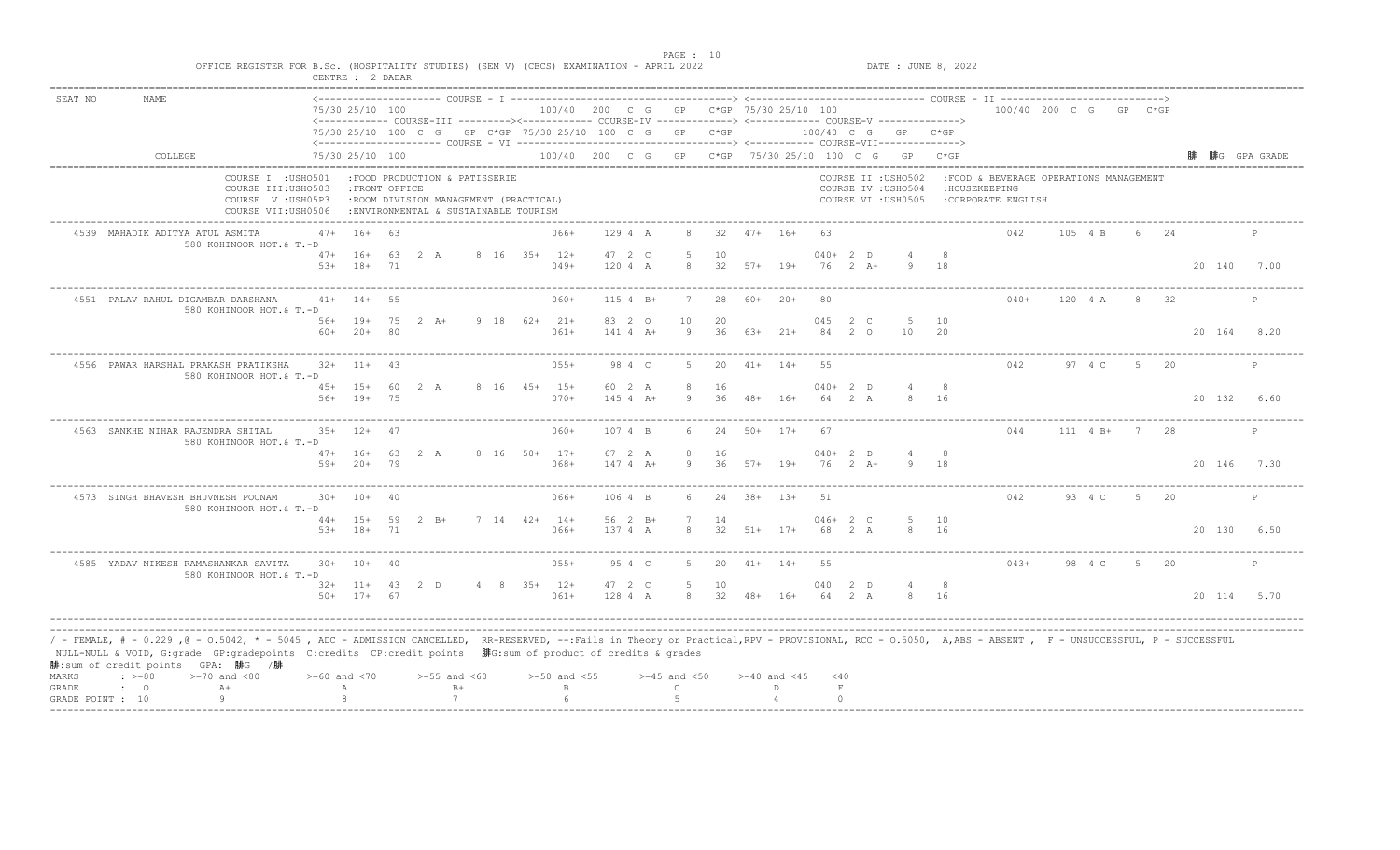|         |                                                                                                                                                                                                                                                                                                                                                                                                |                    | CENTRE : 2 DADAR                |          |                                                                                                                  |  |                                        |                        |                  |                    |                  |                  |                     |             |                                                                   |             |                                                                                |            |                |      |             |              |
|---------|------------------------------------------------------------------------------------------------------------------------------------------------------------------------------------------------------------------------------------------------------------------------------------------------------------------------------------------------------------------------------------------------|--------------------|---------------------------------|----------|------------------------------------------------------------------------------------------------------------------|--|----------------------------------------|------------------------|------------------|--------------------|------------------|------------------|---------------------|-------------|-------------------------------------------------------------------|-------------|--------------------------------------------------------------------------------|------------|----------------|------|-------------|--------------|
| SEAT NO | <b>NAME</b>                                                                                                                                                                                                                                                                                                                                                                                    |                    | 75/30 25/10 100                 |          | <------------ COURSE-III ---------><----------- COURSE-IV -------------> <------------- COURSE-V ------------->> |  | 100/40 200 C G GP C*GP 75/30 25/10 100 |                        |                  |                    |                  |                  |                     |             |                                                                   |             | 100/40 200 C G GP C*GP                                                         |            |                |      |             |              |
|         |                                                                                                                                                                                                                                                                                                                                                                                                |                    |                                 |          | 75/30 25/10 100 C G GP C*GP 75/30 25/10 100 C G GP C*GP                                                          |  |                                        |                        |                  |                    |                  |                  |                     |             | 100/40 C G GP C*GP                                                |             |                                                                                |            |                |      |             |              |
|         | COLLEGE                                                                                                                                                                                                                                                                                                                                                                                        |                    | 75/30 25/10 100                 |          |                                                                                                                  |  |                                        |                        |                  |                    |                  |                  |                     |             | 100/40 200 C G GP C*GP 75/30 25/10 100 C G GP C*GP                |             |                                                                                |            |                |      |             | 腓G GPA GRADE |
|         | COURSE I : USHO501<br>COURSE III: USHO503<br>COURSE V: USH05P3<br>COURSE VII:USH0506                                                                                                                                                                                                                                                                                                           |                    | : FRONT OFFICE                  |          | :FOOD PRODUCTION & PATISSERIE<br>:ROOM DIVISION MANAGEMENT (PRACTICAL)<br>: ENVIRONMENTAL & SUSTAINABLE TOURISM  |  |                                        |                        |                  |                    |                  |                  |                     |             | COURSE II : USHO502<br>COURSE IV : USHO504<br>COURSE VI : USH0505 |             | :FOOD & BEVERAGE OPERATIONS MANAGEMENT<br>: HOUSEKEEPING<br>:CORPORATE ENGLISH |            |                |      |             |              |
|         | 4539 MAHADIK ADITYA ATUL ASMITA<br>580 KOHINOOR HOT.& T.-D                                                                                                                                                                                                                                                                                                                                     | $47+$              | 16+ 63                          |          |                                                                                                                  |  | $066+$                                 | 129 4 A                | 8                | 32                 | $47+ 16+$        |                  | 63                  |             |                                                                   |             | 042                                                                            | 105 4 B    |                | 6 24 |             | P            |
|         |                                                                                                                                                                                                                                                                                                                                                                                                | $5.3+$             | $47+ 16+$<br>$18+$              | 71       | 63 2 A                                                                                                           |  | 8 16 35+ 12+<br>$049+$                 | 47 2 C<br>120 4 A      | -5<br>8          | 10                 | $32$ $57+$ 19+   |                  | $040+2$ D           | 76 2 A+     | 9                                                                 | 18          |                                                                                |            |                |      | 20 140 7.00 |              |
|         | 4551 PALAV RAHUL DIGAMBAR DARSHANA<br>580 KOHINOOR HOT.& T.-D                                                                                                                                                                                                                                                                                                                                  |                    | $41+ 14+$                       | 55       |                                                                                                                  |  | $060+$                                 | $1154 B+$              |                  | 28                 | $60+20+$         |                  | 80                  |             |                                                                   |             | $040+$                                                                         | 120 4 A    | 8              | 32   |             | $\mathsf{P}$ |
|         |                                                                                                                                                                                                                                                                                                                                                                                                | $60+$              | 56+ 19+ 75 2 A+<br>$20+$        | - 8 O    |                                                                                                                  |  | 9 18 62+ 21+<br>$061+$                 | 83 2 0<br>$141 4 A+$   | 10<br>9          | 20<br>36           | 63+              | $21+$            | 045 2 C<br>84       | $2^{\circ}$ | -5<br>10                                                          | 10<br>20    |                                                                                |            |                |      | 20 164 8.20 |              |
|         | 4556 PAWAR HARSHAL PRAKASH PRATIKSHA<br>580 KOHINOOR HOT.& T.-D                                                                                                                                                                                                                                                                                                                                |                    | $32+$ 11+ 43                    |          |                                                                                                                  |  | $055+$                                 | 98 4 C                 | 5                | 20                 |                  | $41+ 14+$        | 55                  |             |                                                                   |             | 042                                                                            | 97 4 C     | $5 -$          | - 20 |             | P            |
|         |                                                                                                                                                                                                                                                                                                                                                                                                | $56+$              | $45+ 15+$<br>$19+$              | 60<br>75 | 2 A                                                                                                              |  | 8 16 45+ 15+<br>$070+$                 | 60 2 A<br>$145$ 4 A+   | 8<br>Q           | 16<br>36           |                  | $48 + 16 +$      | $040+2$ D<br>64     | 2 A         |                                                                   | 8<br>16     |                                                                                |            |                |      | 20 132      | 6.60         |
|         | 4563 SANKHE NIHAR RAJENDRA SHITAL<br>580 KOHINOOR HOT.& T.-D                                                                                                                                                                                                                                                                                                                                   |                    | $35+$ 12+                       | 47       |                                                                                                                  |  | $060+$                                 | 107 4 B                |                  | 24                 | $50+$ 17+        |                  | 67                  |             |                                                                   |             | 044                                                                            | 111 4 B+   | 7              | 28   |             | P            |
|         |                                                                                                                                                                                                                                                                                                                                                                                                | $59+$              | $47+ 16+ 63$<br>$20+$           | 79       | 2 A                                                                                                              |  | 8 16 50+ 17+<br>$068+$                 | 67 2 A<br>$1474$ $A+$  | 8<br>9           | 16                 | $36$ $57+$ $19+$ |                  | $040+2$ D<br>76     | $2+A+$      | $\overline{4}$                                                    | - 8         |                                                                                |            |                |      | 20 146 7.30 |              |
|         | 4573 SINGH BHAVESH BHUVNESH POONAM<br>580 KOHINOOR HOT.& T.-D                                                                                                                                                                                                                                                                                                                                  |                    | $30+ 10+$                       | 40       |                                                                                                                  |  | 066+                                   | $1064$ B               |                  | 2.4                | $-38+$           | $1.3 +$          | 51                  |             |                                                                   |             | 042                                                                            | $93 \t4 C$ | 5 <sup>5</sup> | 20   |             | P            |
|         |                                                                                                                                                                                                                                                                                                                                                                                                |                    | 44+ 15+ 59 2 B+<br>$53+ 18+ 71$ |          |                                                                                                                  |  | $7 \t14 \t42+ \t14+$<br>$066+$         | $56 \t2 B+$<br>137 4 A | 8                | 14                 | $32$ $51+$ $17+$ |                  | $046+2$ C<br>68 2 A |             | 8                                                                 | 10<br>16    |                                                                                |            |                |      | 20 130 6.50 |              |
|         | 4585 YADAV NIKESH RAMASHANKAR SAVITA<br>580 KOHINOOR HOT.& T.-D                                                                                                                                                                                                                                                                                                                                |                    | $30+ 10+ 40$                    |          |                                                                                                                  |  | $055+$                                 | 95 4 C                 | 5                | 20                 | $41+ 14+$        |                  | 55                  |             |                                                                   |             | $043+$                                                                         | 98 4 C     | 5 20           |      |             | P            |
|         |                                                                                                                                                                                                                                                                                                                                                                                                |                    | $32+11+43$ 2 D<br>$50+ 17+ 67$  |          |                                                                                                                  |  | $4 \t 8 \t 35+ \t 12+$<br>$061+$       | 47 2 C<br>128 4 A      | 5                | 10<br>8 32 48+ 16+ |                  |                  | 040 2 D<br>64 2 A   |             |                                                                   | - 8<br>8 16 |                                                                                |            |                |      | 20 114 5.70 |              |
| MARKS   | / - FEMALE, # - 0.229 ,@ - 0.5042, * - 5045 , ADC - ADMISSION CANCELLED, RR-RESERVED, --:Fails in Theory or Practical,RPV - PROVISIONAL, RCC - 0.5050, A,ABS - ABSENT , F - UNSUCCESSFUL, P - SUCCESSFUL/<br>NULL-NULL & VOID, G:grade GP:gradepoints C:credits CP:credit points 腓G:sum of product of credits & grades<br>腓:sum of credit points GPA: 腓G /腓<br>$\div$ >=80<br>$>=70$ and $<80$ | $>= 60$ and $< 70$ |                                 |          | $>=55$ and $<60$                                                                                                 |  | $>=50$ and $<55$                       |                        | $>=45$ and $<50$ |                    |                  | $>=40$ and $<45$ | $<$ 40              |             |                                                                   |             |                                                                                |            |                |      |             |              |
| GRADE   | $A+$<br>$\cdot$ 0                                                                                                                                                                                                                                                                                                                                                                              |                    | А                               |          | $B+$                                                                                                             |  | $\mathbf{B}$                           |                        | $\mathcal{C}$    |                    |                  | D.               | $\;$ F              |             |                                                                   |             |                                                                                |            |                |      |             |              |

end the state of the state of the state of the state of the state of the state of the state of the state of the state of the state of the state of the state of the state of the state of the state of the state of the state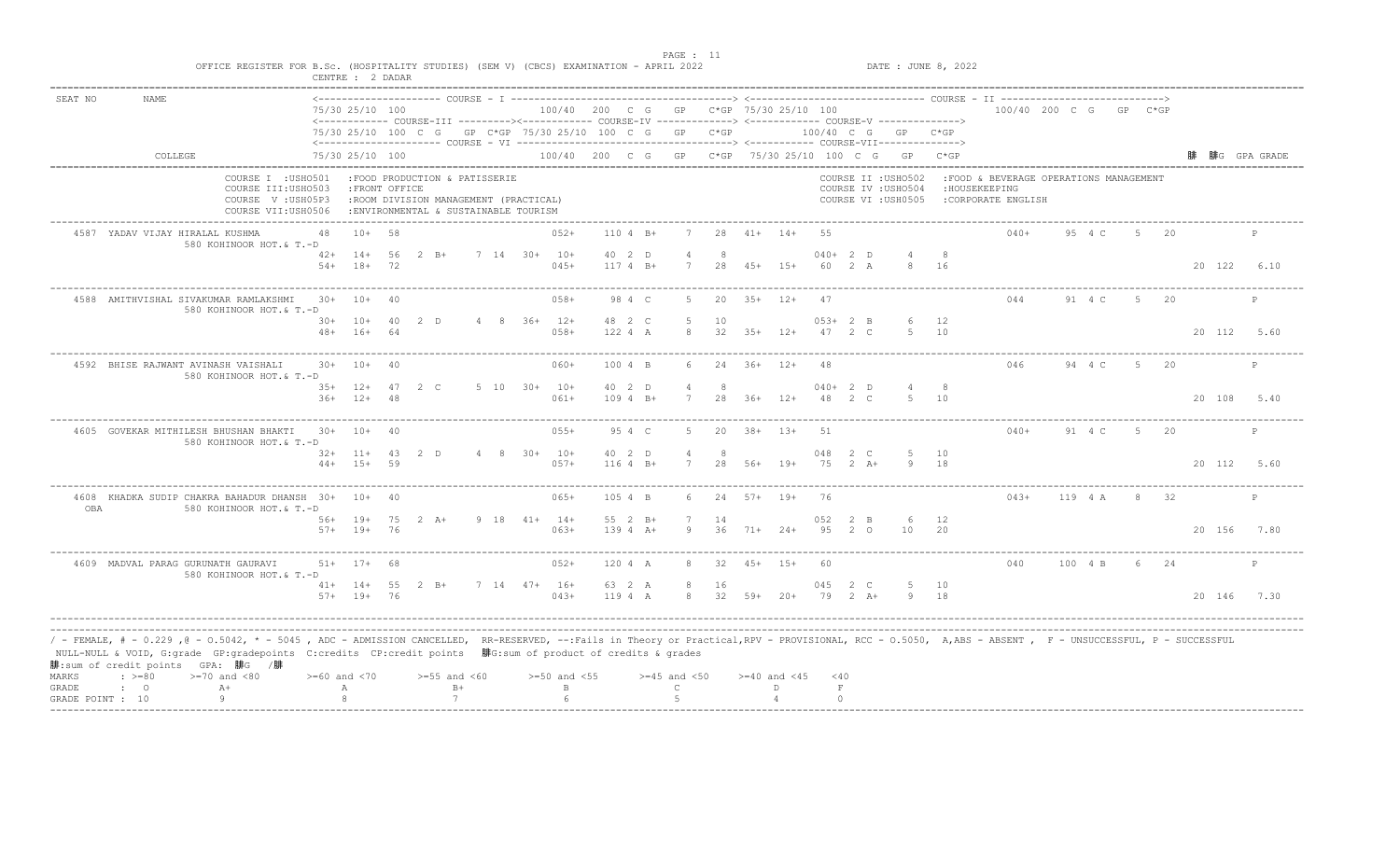| SEAT NO | <b>NAME</b>                                                                                                                                                                                                                                                                                                                                                                                |                    | 75/30 25/10 100                 |          | <------------ COURSE-III ----------><----------- COURSE-IV -------------> <------------ COURSE-V ------------->> |                         | 100/40 200 C G GP C*GP 75/30 25/10 100 |                          |                     |                        |                    |                  |                     |                 |                                                                   |           | 100/40 200 C G GP C*GP                                                          |         |       |      |             |              |
|---------|--------------------------------------------------------------------------------------------------------------------------------------------------------------------------------------------------------------------------------------------------------------------------------------------------------------------------------------------------------------------------------------------|--------------------|---------------------------------|----------|------------------------------------------------------------------------------------------------------------------|-------------------------|----------------------------------------|--------------------------|---------------------|------------------------|--------------------|------------------|---------------------|-----------------|-------------------------------------------------------------------|-----------|---------------------------------------------------------------------------------|---------|-------|------|-------------|--------------|
|         |                                                                                                                                                                                                                                                                                                                                                                                            |                    |                                 |          | 75/30 25/10 100 C G GP C*GP 75/30 25/10 100 C G GP C*GP                                                          |                         |                                        |                          |                     |                        |                    |                  |                     |                 | 100/40 C G GP C*GP                                                |           |                                                                                 |         |       |      |             |              |
|         | COLLEGE                                                                                                                                                                                                                                                                                                                                                                                    |                    | 75/30 25/10 100                 |          |                                                                                                                  |                         |                                        |                          |                     |                        |                    |                  |                     |                 | 100/40 200 C G GP C*GP 75/30 25/10 100 C G GP C*GP                |           |                                                                                 |         |       |      |             | 腓G GPA GRADE |
|         | COURSE I : USHO501<br>COURSE III: USHO503<br>COURSE V: USH05P3<br>COURSE VII:USH0506                                                                                                                                                                                                                                                                                                       |                    | : FRONT OFFICE                  |          | :FOOD PRODUCTION & PATISSERIE<br>:ROOM DIVISION MANAGEMENT (PRACTICAL)<br>: ENVIRONMENTAL & SUSTAINABLE TOURISM  |                         |                                        |                          |                     |                        |                    |                  |                     |                 | COURSE II : USHO502<br>COURSE IV : USHO504<br>COURSE VI : USH0505 |           | : FOOD & BEVERAGE OPERATIONS MANAGEMENT<br>: HOUSEKEEPING<br>:CORPORATE ENGLISH |         |       |      |             |              |
|         | 4587 YADAV VIJAY HIRALAL KUSHMA<br>580 KOHINOOR HOT.& T.-D                                                                                                                                                                                                                                                                                                                                 | 48                 | $10+ 58$                        |          |                                                                                                                  |                         | $052+$                                 | $1104 B+$                | 7                   |                        | $28$ $41+$ $14+$   |                  | 55                  |                 |                                                                   |           | $040+$                                                                          | 95 4 C  | $5 -$ | 20   |             | P            |
|         |                                                                                                                                                                                                                                                                                                                                                                                            |                    | $42+$ 14+<br>$54+$ 18+          | 56<br>72 | $2 \quad B+$                                                                                                     | 7 14 30+ 10+            | $045+$                                 | 40 2 D<br>$1174 B+$      | 7                   | -8<br>28               | $45+ 15+$          |                  | $040+2$ D<br>60 2 A |                 |                                                                   | 16        |                                                                                 |         |       |      | 20 122      | 6.10         |
|         | 4588 AMITHVISHAL SIVAKUMAR RAMLAKSHMI<br>580 KOHINOOR HOT.& T.-D                                                                                                                                                                                                                                                                                                                           | $30+ 10+$          |                                 | 40       |                                                                                                                  |                         | $058+$                                 | 98 4 C                   | 5                   | 20                     | $35+$ 12+          |                  | 47                  |                 |                                                                   |           | 044                                                                             | 91 4 C  | 5 20  |      |             | P            |
|         |                                                                                                                                                                                                                                                                                                                                                                                            | $48+$              | 30+ 10+ 40 2 D<br>$16+$         | 64       |                                                                                                                  |                         | 4 8 36+ 12+<br>$058+$                  | 48 2 C<br>122 4 A        | -5<br>8             | 10<br>32               | $35+$              | $12+$            | $053+2$ B<br>47 2 C |                 | 6 12<br>.5.                                                       | 10        |                                                                                 |         |       |      | 20 112 5.60 |              |
|         | 4592 BHISE RAJWANT AVINASH VAISHALI<br>580 KOHINOOR HOT.& T.-D                                                                                                                                                                                                                                                                                                                             |                    | $30+ 10+$                       | 40       |                                                                                                                  |                         | $060+$                                 | 100 4 B                  | 6                   | 24                     | $36+$ 12+          |                  | 48                  |                 |                                                                   |           | 046                                                                             | 94 4 C  |       | 5 20 |             | P            |
|         |                                                                                                                                                                                                                                                                                                                                                                                            |                    | $35+ 12+ 47 2 C$<br>$36+12+$    | 48       |                                                                                                                  | $5\quad 10\quad 30+10+$ | $061+$                                 | 40 2 D<br>$1094 B+$      | 4<br>7              | - 8<br>28              |                    | $36+$ 12+        | $040+2$ D<br>48     | $2 \, \text{C}$ | $5 \t 10$                                                         |           |                                                                                 |         |       |      | 20 108      | 5.40         |
|         | 4605 GOVEKAR MITHILESH BHUSHAN BHAKTI<br>580 KOHINOOR HOT.& T.-D                                                                                                                                                                                                                                                                                                                           |                    | $30+ 10+ 40$                    |          |                                                                                                                  |                         | $055+$                                 | 95 4 C                   | .5                  | 20                     |                    | $38 + 13 +$      | -51                 |                 |                                                                   |           | $040+$                                                                          | 91 4 C  | -5    | 20   |             | $\mathbb{P}$ |
|         |                                                                                                                                                                                                                                                                                                                                                                                            |                    | $32+11+43$ 2 D<br>$44+ 15+ 59$  |          |                                                                                                                  |                         | 4 8 30+ 10+<br>$057+$                  | 40 2 D<br>$1164 B+$      | $\overline{4}$<br>7 | 8<br>28                | 56+                | 19+              | 048 2 C<br>75       | $2 A +$         | -5                                                                | 10<br>18  |                                                                                 |         |       |      | 20 112 5.60 |              |
| OBA     | 4608 KHADKA SUDIP CHAKRA BAHADUR DHANSH 30+ 10+<br>580 KOHINOOR HOT.& T.-D                                                                                                                                                                                                                                                                                                                 |                    |                                 | 40       |                                                                                                                  |                         | $065+$                                 | 105 4 B                  | $6^{6}$             | 2.4                    | $57+$              | $19+$            | 76                  |                 |                                                                   |           | $043+$                                                                          | 119 4 A | - 8   | - 32 |             | P            |
|         |                                                                                                                                                                                                                                                                                                                                                                                            |                    | 56+ 19+ 75 2 A+<br>$57+$ 19+ 76 |          |                                                                                                                  |                         | $9$ 18 41+ 14+<br>$063+$               | $55 \t2 B+$<br>$1394 A+$ | -9                  | 14                     | $36 \t 71+ \t 24+$ |                  | 052<br>95 2 0       | 2 B             | 10                                                                | 12<br>-20 |                                                                                 |         |       |      | 20 156 7.80 |              |
|         | 4609 MADVAL PARAG GURUNATH GAURAVI<br>580 KOHINOOR HOT.& T.-D                                                                                                                                                                                                                                                                                                                              |                    | $51+ 17+ 68$                    |          |                                                                                                                  |                         | $052+$                                 | 120 4 A                  | 8                   | 32                     | $45+ 15+$          |                  | 60                  |                 |                                                                   |           | 040                                                                             | 100 4 B | 6 24  |      |             | $\mathbb{P}$ |
|         |                                                                                                                                                                                                                                                                                                                                                                                            |                    | $57+$ 19+ 76                    |          | $41+ 14+ 55 2 B+$                                                                                                |                         | 7 14 47+ 16+<br>$043+$                 | 63 2 A<br>119 4 A        | 8<br>8              | 16<br>$32$ $59+$ $20+$ |                    |                  | 045 2 C<br>79 2 A+  |                 | 5<br>9 18                                                         | 10        |                                                                                 |         |       |      | 20 146 7.30 |              |
| MARKS   | / - FEMALE, # - 0.229 ,@ - 0.5042, * - 5045 , ADC - ADMISSION CANCELLED, RR-RESERVED, --:Fails in Theory or Practical,RPV - PROVISIONAL, RCC - 0.5050, A,ABS - ABSENT , F - UNSUCCESSFUL, P - SUCCESSFUL<br>NULL-NULL & VOID, G:grade GP:gradepoints C:credits CP:credit points 腓G:sum of product of credits & grades<br>腓:sum of credit points GPA: 腓G /腓<br>$: >=80$<br>$>=70$ and $<80$ | $>= 60$ and $< 70$ |                                 |          | $>=55$ and $<60$                                                                                                 |                         | $>=50$ and $<55$                       |                          | $>=45$ and $<50$    |                        |                    | $>=40$ and $<45$ | < 40                |                 |                                                                   |           |                                                                                 |         |       |      |             |              |
| GRADE   | $A+$<br>$\mathbf{C}$                                                                                                                                                                                                                                                                                                                                                                       |                    | А                               |          | $B+$                                                                                                             |                         | $\mathbf{B}$                           |                          | $\mathsf{C}$        |                        |                    | D                | $\;$ F              |                 |                                                                   |           |                                                                                 |         |       |      |             |              |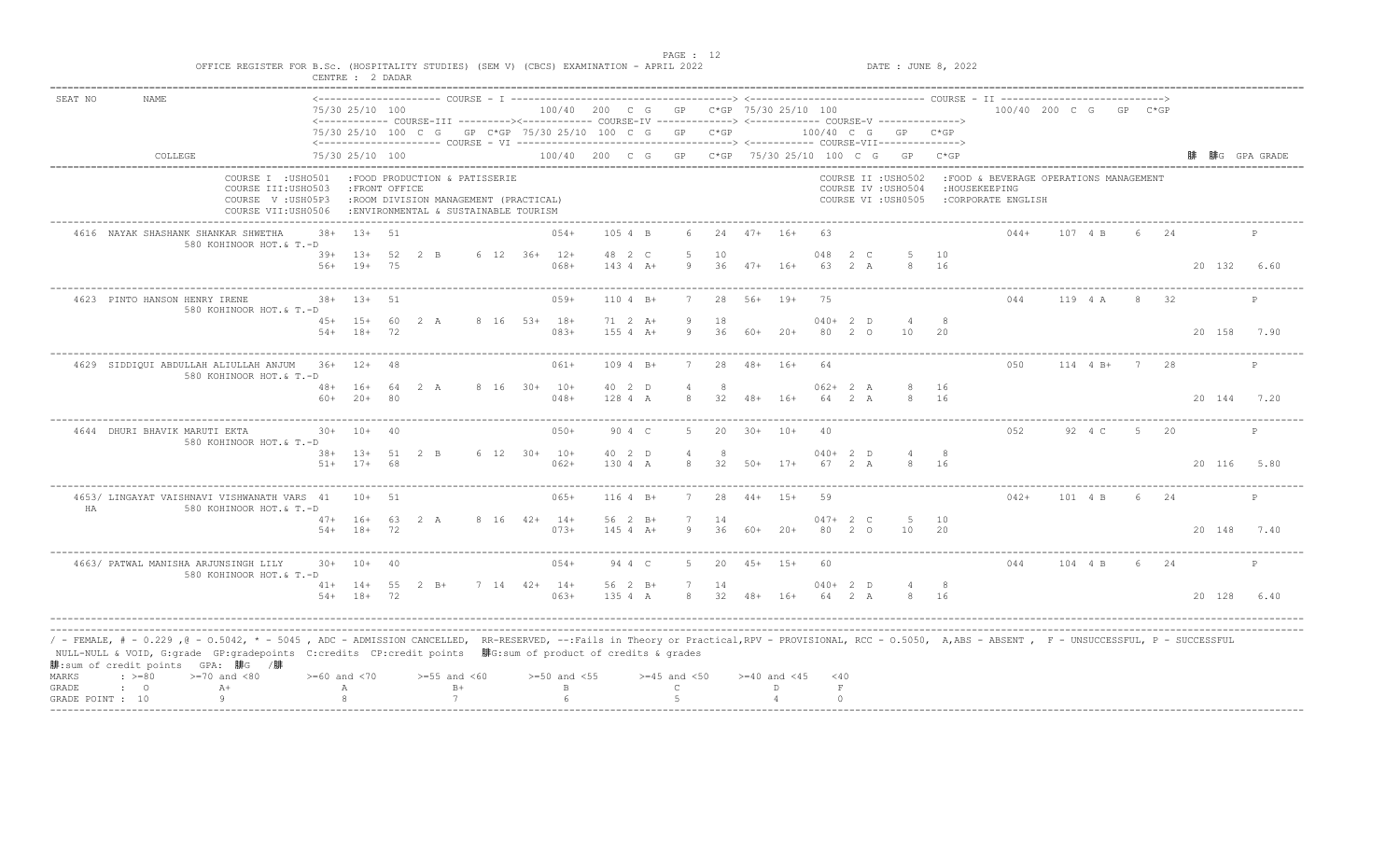|         |                                                                                                                                                                                                                                                                                                                                                                                            | OFFICE REGISTER FOR B.Sc. (HOSPITALITY STUDIES) (SEM V) (CBCS) EXAMINATION - APRIL 2022 | CENTRE : 2 DADAR                  |              |                                                                                                                 |                |              |                                        |                   |                             |                      |                    |                  |                  |                       |     |                                                                   | DATE : JUNE 8, 2022 |                                                                                |            |               |       |             |              |
|---------|--------------------------------------------------------------------------------------------------------------------------------------------------------------------------------------------------------------------------------------------------------------------------------------------------------------------------------------------------------------------------------------------|-----------------------------------------------------------------------------------------|-----------------------------------|--------------|-----------------------------------------------------------------------------------------------------------------|----------------|--------------|----------------------------------------|-------------------|-----------------------------|----------------------|--------------------|------------------|------------------|-----------------------|-----|-------------------------------------------------------------------|---------------------|--------------------------------------------------------------------------------|------------|---------------|-------|-------------|--------------|
| SEAT NO | <b>NAME</b>                                                                                                                                                                                                                                                                                                                                                                                |                                                                                         | 75/30 25/10 100                   |              | <------------ COURSE-III ---------><----------- COURSE-IV -------------> <------------ COURSE-V ------------->> |                |              | 100/40 200 C G GP C*GP 75/30 25/10 100 |                   |                             |                      |                    |                  |                  |                       |     |                                                                   |                     | 100/40 200 C G GP C*GP                                                         |            |               |       |             |              |
|         |                                                                                                                                                                                                                                                                                                                                                                                            |                                                                                         |                                   |              | 75/30 25/10 100 C G GP C*GP 75/30 25/10 100 C G GP C*GP                                                         |                |              |                                        |                   |                             |                      |                    |                  |                  |                       |     | 100/40 C G GP C*GP                                                |                     |                                                                                |            |               |       |             |              |
|         | COLLEGE                                                                                                                                                                                                                                                                                                                                                                                    |                                                                                         | 75/30 25/10 100                   |              |                                                                                                                 |                |              |                                        |                   |                             |                      |                    |                  |                  |                       |     | 100/40 200 C G GP C*GP 75/30 25/10 100 C G GP C*GP                |                     |                                                                                |            |               |       |             | 腓G GPA GRADE |
|         |                                                                                                                                                                                                                                                                                                                                                                                            | COURSE I : USHO501<br>COURSE III: USHO503<br>COURSE V: USH05P3<br>COURSE VII:USH0506    | : FRONT OFFICE                    |              | :FOOD PRODUCTION & PATISSERIE<br>:ROOM DIVISION MANAGEMENT (PRACTICAL)<br>: ENVIRONMENTAL & SUSTAINABLE TOURISM |                |              |                                        |                   |                             |                      |                    |                  |                  |                       |     | COURSE II : USHO502<br>COURSE IV : USHO504<br>COURSE VI : USH0505 |                     | :FOOD & BEVERAGE OPERATIONS MANAGEMENT<br>: HOUSEKEEPING<br>:CORPORATE ENGLISH |            |               |       |             |              |
|         | 4616 NAYAK SHASHANK SHANKAR SHWETHA                                                                                                                                                                                                                                                                                                                                                        | $38 +$<br>580 KOHINOOR HOT.& T.-D                                                       | $13+51$                           |              |                                                                                                                 |                |              | $054+$                                 | 105 4 B           |                             |                      |                    | $24$ $47+$ $16+$ |                  | 63                    |     |                                                                   |                     | $044+$                                                                         | 107 4 B    |               | 6 24  |             | P            |
|         |                                                                                                                                                                                                                                                                                                                                                                                            |                                                                                         | $39+$ 13+<br>$56+ 19+$            | 52 2 B<br>75 |                                                                                                                 | 6 12 36+ 12+   |              | $068+$                                 | 48 2 C            | $143 4 A+$                  | 5<br>9               | 10                 | $36$ $47+$ $16+$ |                  | 048<br>63 2 A         | 2 C | -5<br>8                                                           | 10<br>16            |                                                                                |            |               |       | 20 132      | 6.60         |
|         | 4623 PINTO HANSON HENRY IRENE                                                                                                                                                                                                                                                                                                                                                              | $38+$<br>580 KOHINOOR HOT.& T.-D                                                        | $1.3+$                            | 51           |                                                                                                                 |                |              | $059+$                                 |                   | $1104 B+$                   |                      | 2.8                | $56+$ 19+        |                  | 75                    |     |                                                                   |                     | 044                                                                            | 119 4 A    | $\mathcal{R}$ | $-32$ |             |              |
|         |                                                                                                                                                                                                                                                                                                                                                                                            | $54+$                                                                                   | $45+ 15+$<br>$18+$                | 60<br>72     | 2 A                                                                                                             | 8 16 53+ 18+   |              | $083+$                                 |                   | $71 \t2 \tA+$<br>$155 4 A+$ | -9<br>9              | 18<br>36           | 60+              | $20+$            | $040+2$ D<br>80       | 20  | 4<br>10                                                           | 8<br>20             |                                                                                |            |               |       | 20 158      | 7.90         |
|         | 4629 SIDDIOUI ABDULLAH ALIULLAH ANJUM 36+ 12+                                                                                                                                                                                                                                                                                                                                              | 580 KOHINOOR HOT.& T.-D                                                                 |                                   | 48 A         |                                                                                                                 |                |              | $061+$                                 |                   | $1094 B+$                   | $7^{\circ}$          | 2.8                | $48 + 16 +$      |                  | 64                    |     |                                                                   |                     | 0.50                                                                           | $114$ 4 B+ |               | 7 28  |             | $\mathbb{P}$ |
|         |                                                                                                                                                                                                                                                                                                                                                                                            | $60+$                                                                                   | $48+ 16+$<br>$20+$                | 64<br>-80    | 2A                                                                                                              |                | 8 16 30+ 10+ | $048+$                                 | 40 2 D<br>128 4 A |                             | 8                    | 32                 | 48+ 16+          |                  | $062 + 2 A$<br>64     | 2 A |                                                                   | 16<br>8 16          |                                                                                |            |               |       | 20 144 7.20 |              |
|         | 4644 DHURI BHAVIK MARUTI EKTA                                                                                                                                                                                                                                                                                                                                                              | 580 KOHINOOR HOT.& T.-D                                                                 | $30+ 10+ 40$                      |              |                                                                                                                 |                |              | $050+$                                 |                   | 90 4 C                      | .5.                  | 20                 | $30+ 10+$        |                  | 40                    |     |                                                                   |                     | 052                                                                            | 92 4 C     | 5             | 20    |             | P            |
|         |                                                                                                                                                                                                                                                                                                                                                                                            |                                                                                         | 38+ 13+ 51 2 B<br>$51+ 17+ 68$    |              |                                                                                                                 | $6$ 12 30+ 10+ |              | $062+$                                 | 40 2 D<br>130 4 A |                             | $\overline{4}$<br>8  | 8<br>32            | $50+ 17+$        |                  | $040+2$ D<br>67 2 A   |     | $\overline{4}$                                                    | 8<br>16             |                                                                                |            |               |       | 20 116 5.80 |              |
| HA      | 4653/ LINGAYAT VAISHNAVI VISHWANATH VARS 41                                                                                                                                                                                                                                                                                                                                                | 580 KOHINOOR HOT.& T.-D                                                                 | $10+$                             | 51           |                                                                                                                 |                |              | $065+$                                 |                   | $1164$ B+                   |                      | 2.8                | $44+$            | $1.5+$           | 59                    |     |                                                                   |                     | $042+$                                                                         | 101 4 B    | 6             | 2.4   |             | P            |
|         |                                                                                                                                                                                                                                                                                                                                                                                            |                                                                                         | $47+ 16+ 63 2 A$<br>$54+$ 18+ 72  |              |                                                                                                                 | 8 16 42+ 14+   |              | $073+$                                 |                   | 56 2 B+<br>$1454A+$         | $7\phantom{.0}$<br>9 | 14<br>36           | 60+              | $20+$            | $047 + 2 C$<br>80 2 0 |     | - 5<br>10                                                         | 10<br>20            |                                                                                |            |               |       | 20 148 7.40 |              |
|         | 4663/ PATWAL MANISHA ARJUNSINGH LILY                                                                                                                                                                                                                                                                                                                                                       | 580 KOHINOOR HOT.& T.-D                                                                 | $30+ 10+ 40$                      |              |                                                                                                                 |                |              | $054+$                                 |                   | 94 4 C                      | .5.                  | 20                 | $45+ 15+$        |                  | 60                    |     |                                                                   |                     | 044                                                                            | 104 4 B    |               | 6 24  |             | $\mathbf{P}$ |
|         |                                                                                                                                                                                                                                                                                                                                                                                            |                                                                                         | $41+ 14+ 55 2 B+$<br>$54+ 18+ 72$ |              |                                                                                                                 | $7$ 14 42+ 14+ |              | $063+$                                 | 135 4 A           | 56 2 B+                     | 7                    | 14<br>8 32 48+ 16+ |                  |                  | $040+2$ D<br>64 2 A   |     |                                                                   | 8<br>8 16           |                                                                                |            |               |       | 20 128      | 6.40         |
| MARKS   | / - FEMALE, # - 0.229 ,@ - 0.5042, * - 5045 , ADC - ADMISSION CANCELLED, RR-RESERVED, --:Fails in Theory or Practical,RPV - PROVISIONAL, RCC - 0.5050, A,ABS - ABSENT , F - UNSUCCESSFUL, P - SUCCESSFUL<br>NULL-NULL & VOID, G:grade GP:gradepoints C:credits CP:credit points 腓G:sum of product of credits & grades<br>腓:sum of credit points GPA: 腓G /腓<br>$: >=80$<br>$>=70$ and $<80$ |                                                                                         | $>= 60$ and $< 70$                |              | $>=55$ and $<60$                                                                                                |                |              | $>=50$ and $<55$                       |                   |                             | $>=45$ and $<50$     |                    |                  | $>=40$ and $<45$ | $<$ 40                |     |                                                                   |                     |                                                                                |            |               |       |             |              |
| GRADE   | $A+$<br>$\cdot$ 0<br>Q                                                                                                                                                                                                                                                                                                                                                                     |                                                                                         | А                                 |              | $B+$                                                                                                            |                |              | $\mathbf{B}$                           |                   |                             | $\mathcal{C}$        |                    |                  | D.               | $\;$ F                |     |                                                                   |                     |                                                                                |            |               |       |             |              |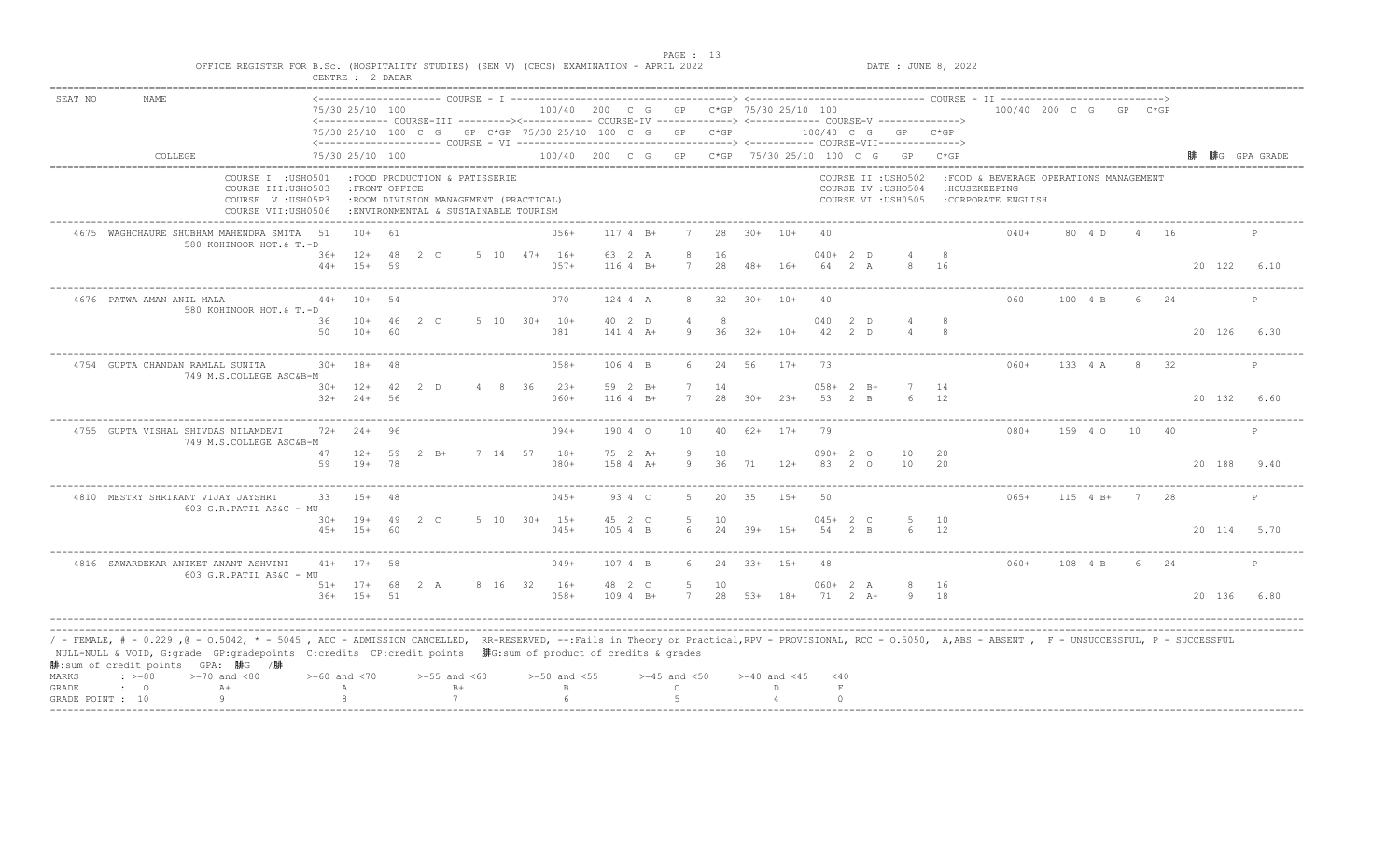| SEAT NO | <b>NAME</b>                                                                                                                                                                                                                                                                                                                                                                                |                    | 75/30 25/10 100                  |     | <------------ COURSE-III ----------><----------- COURSE-IV -------------> <------------ COURSE-V ------------->> |              | 100/40 200 C G GP C*GP 75/30 25/10 100 |         |                      |                  |           |                  |                    |             |                      |                                                                   |            | 100/40 200 C G GP C*GP                                                         |               |                |      |             |              |
|---------|--------------------------------------------------------------------------------------------------------------------------------------------------------------------------------------------------------------------------------------------------------------------------------------------------------------------------------------------------------------------------------------------|--------------------|----------------------------------|-----|------------------------------------------------------------------------------------------------------------------|--------------|----------------------------------------|---------|----------------------|------------------|-----------|------------------|--------------------|-------------|----------------------|-------------------------------------------------------------------|------------|--------------------------------------------------------------------------------|---------------|----------------|------|-------------|--------------|
|         |                                                                                                                                                                                                                                                                                                                                                                                            |                    |                                  |     | 75/30 25/10 100 C G GP C*GP 75/30 25/10 100 C G GP C*GP                                                          |              |                                        |         |                      |                  |           |                  |                    |             |                      | 100/40 C G GP C*GP                                                |            |                                                                                |               |                |      |             |              |
|         | COLLEGE                                                                                                                                                                                                                                                                                                                                                                                    |                    | 75/30 25/10 100                  |     |                                                                                                                  |              |                                        |         |                      |                  |           |                  |                    |             |                      | 100/40 200 C G GP C*GP 75/30 25/10 100 C G GP C*GP                |            |                                                                                |               |                |      |             | 腓G GPA GRADE |
|         | COURSE I : USHO501<br>COURSE III: USHO503<br>COURSE V: USH05P3<br>COURSE VII:USH0506                                                                                                                                                                                                                                                                                                       |                    | : FRONT OFFICE                   |     | :FOOD PRODUCTION & PATISSERIE<br>:ROOM DIVISION MANAGEMENT (PRACTICAL)<br>: ENVIRONMENTAL & SUSTAINABLE TOURISM  |              |                                        |         |                      |                  |           |                  |                    |             |                      | COURSE II : USHO502<br>COURSE IV : USHO504<br>COURSE VI : USH0505 |            | :FOOD & BEVERAGE OPERATIONS MANAGEMENT<br>: HOUSEKEEPING<br>:CORPORATE ENGLISH |               |                |      |             |              |
|         | 4675 WAGHCHAURE SHUBHAM MAHENDRA SMITA 51<br>580 KOHINOOR HOT.& T.-D                                                                                                                                                                                                                                                                                                                       |                    | $10+ 61$                         |     |                                                                                                                  |              | $056+$                                 |         | $1174 B+$            | 7                |           | $28$ $30+$ $10+$ |                    | 40          |                      |                                                                   |            | $040+$                                                                         | 80 4 D        | 4 16           |      |             | P            |
|         |                                                                                                                                                                                                                                                                                                                                                                                            |                    | $36+12+48$<br>$44+15+$           | 59  | $2\degree$ C                                                                                                     | 5 10 47+ 16+ | $057+$                                 |         | 63 2 A<br>$1164 B+$  | 8<br>7           | 16<br>28  | $48 + 16 +$      |                    |             | $040+2$ D<br>64 2 A  |                                                                   | 16         |                                                                                |               |                |      | 20 122      | 6.10         |
|         | 4676 PATWA AMAN ANIL MALA<br>580 KOHINOOR HOT.& T.-D                                                                                                                                                                                                                                                                                                                                       | $44+$              | $10+$                            | 54  |                                                                                                                  |              | 070                                    |         | 124 4 A              | 8                | 32        | $30+ 10+$        |                    | 40          |                      |                                                                   |            | 060                                                                            | 100 4 B       | $6 -$          | 24   |             | P            |
|         |                                                                                                                                                                                                                                                                                                                                                                                            | 36<br>50           | $10+ 46$<br>$10+$                | -60 | $2\degree$ C                                                                                                     |              | 5 10 30+ 10+<br>081                    |         | 40 2 D<br>$141 4 A+$ | <b>q</b>         | -8<br>36  | $32+$            | $10+$              | 040<br>42   | 2 D<br>2 D           |                                                                   | -8         |                                                                                |               |                |      | 20 126      | 6.30         |
|         | 4754 GUPTA CHANDAN RAMLAL SUNITA<br>749 M.S.COLLEGE ASC&B-M                                                                                                                                                                                                                                                                                                                                |                    | $30+ 18+$                        | 48  |                                                                                                                  |              | $058+$                                 | 106 4 B |                      | 6                | 24        | 56               | $17+$              | -73         |                      |                                                                   |            | $060+$                                                                         | 133 4 A       | 8 32           |      |             | P            |
|         |                                                                                                                                                                                                                                                                                                                                                                                            |                    | $30+ 12+ 42 2 D$<br>$32+24+$     | 56  |                                                                                                                  |              | 4 8 36 23+<br>$060+$                   |         | 59 2 B+<br>$1164 B+$ | 7<br>7           | 14<br>2.8 | $30+23+$         |                    | 058+<br>-53 | 2 B+<br>2 B          |                                                                   | 14<br>12   |                                                                                |               |                |      | 20 132      | 6.60         |
|         | 4755 GUPTA VISHAL SHIVDAS NILAMDEVI<br>749 M.S.COLLEGE ASC&B-M                                                                                                                                                                                                                                                                                                                             |                    | $72+24+$                         | ୍ର  |                                                                                                                  |              | $094+$                                 |         | 190 4 0              | 10               | 40        | $62+$ 17+        |                    | 79          |                      |                                                                   |            | $080+$                                                                         | 159 4 0       | 10             | 40   |             | P            |
|         |                                                                                                                                                                                                                                                                                                                                                                                            | 47<br>59           | $12+ 59$<br>$19+$                | 78  | $2 \quad B+$                                                                                                     |              | 7 14 57 18+<br>$080+$                  |         | 75 2 A+<br>158 4 A+  | - 9<br>9         | 18<br>36  | 71               | $12+$              |             | $090+20$<br>83 2 0   | 10<br>10                                                          | 20<br>20   |                                                                                |               |                |      | 20 188      | 9.40         |
|         | 4810 MESTRY SHRIKANT VIJAY JAYSHRI<br>603 G.R.PATIL AS&C - MU                                                                                                                                                                                                                                                                                                                              | 33                 | $1.5+$                           | 48  |                                                                                                                  |              | $045+$                                 |         | 93 4 C               | .5.              | 20        | -35              | $1.5+$             | 50          |                      |                                                                   |            | $065+$                                                                         | $115 \t 4 B+$ | $7\phantom{0}$ | -28  |             | P            |
|         |                                                                                                                                                                                                                                                                                                                                                                                            |                    | $30+ 19+ 49$ 2 C<br>45+ 15+ 60   |     |                                                                                                                  |              | $5$ 10 30+ 15+<br>$045+$               |         | 45 2 C<br>105 4 B    | -5<br>$6^{6}$    | 10        | $24$ $39+$ $15+$ |                    |             | $045+2$ C<br>54 2 B  |                                                                   | - 10<br>12 |                                                                                |               |                |      | 20 114 5.70 |              |
|         | 4816 SAWARDEKAR ANIKET ANANT ASHVINI<br>603 G.R.PATIL AS&C - MU                                                                                                                                                                                                                                                                                                                            |                    | $41+ 17+ 58$                     |     |                                                                                                                  |              | $049+$                                 | 107 4 B |                      | 6                |           | $24$ $33+$ $15+$ |                    | 48          |                      |                                                                   |            | $060+$                                                                         | 108 4 B       |                | 6 24 |             | $\mathbb{P}$ |
|         |                                                                                                                                                                                                                                                                                                                                                                                            |                    | $51+ 17+ 68$ 2 A<br>$36+ 15+ 51$ |     |                                                                                                                  |              | 8 16 32 16+<br>$058+$                  | 48 2 C  | 109 4 B+             | 5<br>7           | 10        | 28 53+ 18+       |                    |             | $060+2 A$<br>71 2 A+ | 9 18                                                              | 16         |                                                                                |               |                |      | 20 136 6.80 |              |
| MARKS   | / - FEMALE, # - 0.229 ,@ - 0.5042, * - 5045 , ADC - ADMISSION CANCELLED, RR-RESERVED, --:Fails in Theory or Practical,RPV - PROVISIONAL, RCC - 0.5050, A,ABS - ABSENT , F - UNSUCCESSFUL, P - SUCCESSFUL<br>NULL-NULL & VOID, G:grade GP:gradepoints C:credits CP:credit points 腓G:sum of product of credits & grades<br>腓:sum of credit points GPA: 腓G /腓<br>$: >=80$<br>$>=70$ and $<80$ | $>= 60$ and $< 70$ |                                  |     | $>=55$ and $<60$                                                                                                 |              | $>=50$ and $<55$                       |         |                      | $>=45$ and $<50$ |           |                  | $>= 40$ and $< 45$ | $<$ 40      |                      |                                                                   |            |                                                                                |               |                |      |             |              |
| GRADE   | $A+$<br>$\mathbf{C}$                                                                                                                                                                                                                                                                                                                                                                       |                    | А                                |     | $B+$                                                                                                             |              | $\mathbb B$                            |         |                      | $\mathsf{C}$     |           |                  | D.                 | $\;$ F      |                      |                                                                   |            |                                                                                |               |                |      |             |              |
|         | -9<br>GRADE POINT : 10                                                                                                                                                                                                                                                                                                                                                                     |                    |                                  |     | 7                                                                                                                |              | $\kappa$                               |         |                      | -5               |           |                  |                    | $\Omega$    |                      |                                                                   |            |                                                                                |               |                |      |             |              |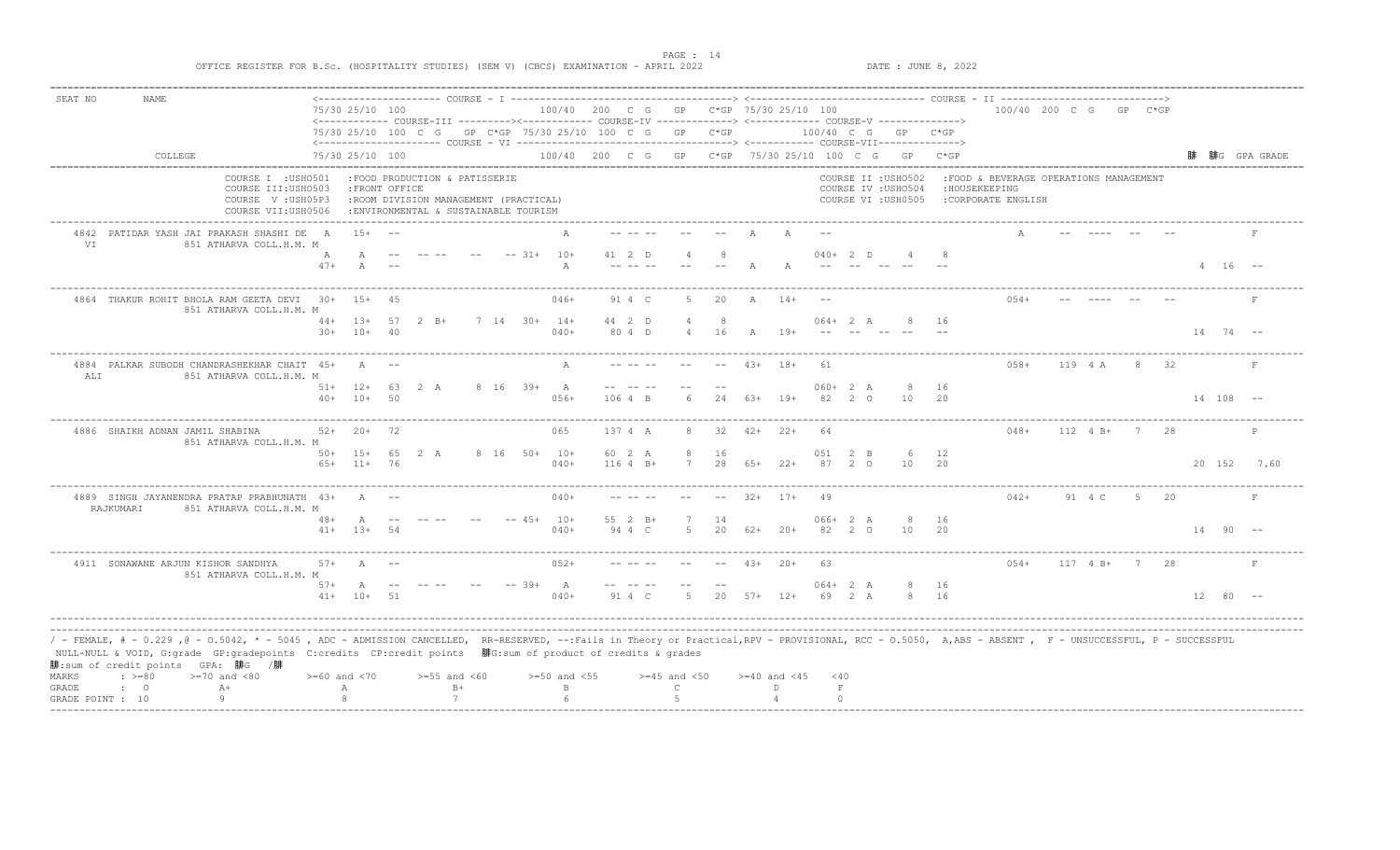| SEAT NO          | NAME                                                                                                                                                                                                                                                                                                                                                        |                                                                                      |                    |    |                                                                                                                  |      |          |                      |                                                                                                                                                                            |                  |               |              |                    |                      |             |                                            |                     |      |                                                                                 |                        |               |       |      |                |                                        |
|------------------|-------------------------------------------------------------------------------------------------------------------------------------------------------------------------------------------------------------------------------------------------------------------------------------------------------------------------------------------------------------|--------------------------------------------------------------------------------------|--------------------|----|------------------------------------------------------------------------------------------------------------------|------|----------|----------------------|----------------------------------------------------------------------------------------------------------------------------------------------------------------------------|------------------|---------------|--------------|--------------------|----------------------|-------------|--------------------------------------------|---------------------|------|---------------------------------------------------------------------------------|------------------------|---------------|-------|------|----------------|----------------------------------------|
|                  |                                                                                                                                                                                                                                                                                                                                                             |                                                                                      | 75/30 25/10 100    |    |                                                                                                                  |      |          |                      | 100/40 200 C G GP C*GP 75/30 25/10 100                                                                                                                                     |                  |               |              |                    |                      |             |                                            |                     |      |                                                                                 | 100/40 200 C G GP C*GP |               |       |      |                |                                        |
|                  |                                                                                                                                                                                                                                                                                                                                                             |                                                                                      |                    |    |                                                                                                                  |      |          |                      | <------------- COURSE-III ---------><------------ COURSE-IV ------------> <------------ COURSE-V -------------><br>75/30 25/10 100 C G GP C*GP 75/30 25/10 100 C G GP C*GP |                  |               |              |                    | $100/40$ C G GP C*GP |             |                                            |                     |      |                                                                                 |                        |               |       |      |                |                                        |
|                  |                                                                                                                                                                                                                                                                                                                                                             |                                                                                      |                    |    |                                                                                                                  |      |          |                      |                                                                                                                                                                            |                  |               |              |                    |                      |             |                                            |                     |      |                                                                                 |                        |               |       |      |                |                                        |
|                  | COLLEGE                                                                                                                                                                                                                                                                                                                                                     |                                                                                      | 75/30 25/10 100    |    |                                                                                                                  |      |          |                      | 100/40 200 C G GP C*GP 75/30 25/10 100 C G GP C*GP                                                                                                                         |                  |               |              |                    |                      |             |                                            |                     |      |                                                                                 |                        |               |       |      |                | 腓 腓G GPA GRADE<br>==================== |
|                  |                                                                                                                                                                                                                                                                                                                                                             | COURSE I : USHO501<br>COURSE III: USHO503<br>COURSE V: USH05P3<br>COURSE VII:USH0506 | : FRONT OFFICE     |    | :FOOD PRODUCTION & PATISSERIE<br>: ROOM DIVISION MANAGEMENT (PRACTICAL)<br>: ENVIRONMENTAL & SUSTAINABLE TOURISM |      |          |                      |                                                                                                                                                                            |                  |               |              |                    |                      |             | COURSE II : USHO502<br>COURSE IV : USHO504 | COURSE VI : USH0505 |      | : FOOD & BEVERAGE OPERATIONS MANAGEMENT<br>: HOUSEKEEPING<br>:CORPORATE ENGLISH |                        |               |       |      |                |                                        |
| <b>VT</b>        | 4842 PATIDAR YASH JAI PRAKASH SHASHI DE A<br>851 ATHARVA COLL.H.M. M                                                                                                                                                                                                                                                                                        |                                                                                      | $1.5+$             |    |                                                                                                                  |      |          |                      |                                                                                                                                                                            |                  |               |              |                    |                      |             |                                            |                     |      |                                                                                 |                        |               |       |      |                |                                        |
|                  |                                                                                                                                                                                                                                                                                                                                                             | А                                                                                    |                    |    |                                                                                                                  |      |          | $--$ 31+ 10+         | 41 2 D                                                                                                                                                                     |                  |               |              |                    | $040+2$ D            |             |                                            |                     |      |                                                                                 |                        |               |       |      |                |                                        |
|                  |                                                                                                                                                                                                                                                                                                                                                             | $47+$                                                                                | $\overline{A}$     |    |                                                                                                                  |      |          | A                    |                                                                                                                                                                            |                  |               |              |                    |                      |             |                                            |                     |      |                                                                                 |                        |               |       |      | $4 16 - -$     |                                        |
|                  | 4864 THAKUR ROHIT BHOLA RAM GEETA DEVI 30+ 15+ 45<br>851 ATHARVA COLL.H.M. M                                                                                                                                                                                                                                                                                |                                                                                      |                    |    |                                                                                                                  |      |          | 046+                 | 91 4 C                                                                                                                                                                     | -5               | 20            | A            | $14+$              |                      |             |                                            |                     |      | $054+$                                                                          |                        |               |       |      |                |                                        |
|                  |                                                                                                                                                                                                                                                                                                                                                             |                                                                                      | $44+$ 13+ 57       |    | $2 \quad B+$                                                                                                     |      |          | $7$ 14 30+ 14+       | 44 2 D                                                                                                                                                                     |                  | $\mathcal{R}$ |              |                    | $064 + 2 A$          |             |                                            |                     | - 16 |                                                                                 |                        |               |       |      |                |                                        |
|                  |                                                                                                                                                                                                                                                                                                                                                             |                                                                                      | $30+ 10+ 40$       |    |                                                                                                                  |      |          | $040+$               | 80 4 D                                                                                                                                                                     |                  | 16            | $\mathbb{A}$ | $19+$              |                      |             |                                            |                     |      |                                                                                 |                        |               |       |      | $14$ 74 $-$    |                                        |
| ALI              | 4884 PALKAR SUBODH CHANDRASHEKHAR CHAIT 45+<br>851 ATHARVA COLL.H.M. M                                                                                                                                                                                                                                                                                      |                                                                                      | $\overline{A}$     |    |                                                                                                                  |      |          |                      |                                                                                                                                                                            |                  |               | $43+$        | $18+$              | 61                   |             |                                            |                     |      | $058+$                                                                          |                        | 119 4 A       |       | 8 32 |                | $\mathbf{F}$                           |
|                  |                                                                                                                                                                                                                                                                                                                                                             |                                                                                      | $51+ 12+ 63$       |    | 2 A                                                                                                              |      | 8 16 39+ | $\mathbb A$          |                                                                                                                                                                            |                  |               |              |                    | $060+2 A$            |             |                                            | 8                   | - 16 |                                                                                 |                        |               |       |      |                |                                        |
|                  |                                                                                                                                                                                                                                                                                                                                                             |                                                                                      | $40+ 10+$          | 50 |                                                                                                                  |      |          | $056+$               | 106 4 B                                                                                                                                                                    |                  | 2.4           |              | $63+19+$           | 82                   | $2^{\circ}$ |                                            | 10                  | 20   |                                                                                 |                        |               |       |      | $14 108 --$    |                                        |
|                  | 4886 SHAIKH ADNAN JAMIL SHABINA<br>851 ATHARVA COLL.H.M. M                                                                                                                                                                                                                                                                                                  |                                                                                      | $52+20+72$         |    |                                                                                                                  |      |          | 065                  | 137 4 A                                                                                                                                                                    |                  | 32            |              | $42+22+$           | 64                   |             |                                            |                     |      | $048+$                                                                          |                        | 112 4 B+ 7 28 |       |      |                |                                        |
|                  |                                                                                                                                                                                                                                                                                                                                                             |                                                                                      | $50+ 15+ 65$       |    | 2 A                                                                                                              |      |          | 8 16 50+ 10+         | 60 2 A                                                                                                                                                                     | -8               | 16            |              |                    | 051                  | 2 B         |                                            | 6                   | 12   |                                                                                 |                        |               |       |      |                |                                        |
|                  |                                                                                                                                                                                                                                                                                                                                                             |                                                                                      | $65+11+76$         |    |                                                                                                                  |      |          | $040+$               | $1164 B+$                                                                                                                                                                  | 7                | 28            | $65+$        | $22+$              |                      | $87 \t 20$  |                                            | 10                  | 20   |                                                                                 |                        |               |       |      |                | 20 152 7.60                            |
|                  | 4889 SINGH JAYANENDRA PRATAP PRABHUNATH 43+<br>RAJKUMARI<br>851 ATHARVA COLL.H.M. M                                                                                                                                                                                                                                                                         |                                                                                      | $\overline{A}$     |    |                                                                                                                  |      |          | $040+$               |                                                                                                                                                                            |                  |               | $32+$        | $17+$              | 49                   |             |                                            |                     |      | $042+$                                                                          |                        | 91 4 C        | $5 -$ | 20   |                |                                        |
|                  |                                                                                                                                                                                                                                                                                                                                                             | $48+$                                                                                | $\overline{A}$     |    |                                                                                                                  |      |          | $--$ 45+ 10+         | 55 2 B+                                                                                                                                                                    |                  | 14            |              |                    | $066+2 A$            |             |                                            | 8                   | 16   |                                                                                 |                        |               |       |      |                |                                        |
|                  |                                                                                                                                                                                                                                                                                                                                                             |                                                                                      | $41+$ 1.3+ 54      |    |                                                                                                                  |      |          | $040+$               | 94 4 C                                                                                                                                                                     |                  | 20            | $62+$        | $20+$              | 82                   | $2^{\circ}$ |                                            | 10                  | 20   |                                                                                 |                        |               |       |      | $14 \t90 \t--$ |                                        |
|                  | 4911 SONAWANE ARJUN KISHOR SANDHYA<br>851 ATHARVA COLL.H.M. M                                                                                                                                                                                                                                                                                               | $57+$                                                                                | $\Delta$           |    |                                                                                                                  |      |          | $052+$               |                                                                                                                                                                            |                  |               | $43+$        | $2.0+$             | 63                   |             |                                            |                     |      | $0.54+$                                                                         |                        | 117 4 B+      |       | 2.8  |                |                                        |
|                  |                                                                                                                                                                                                                                                                                                                                                             | 57+                                                                                  | A                  |    |                                                                                                                  |      |          | $--$ 39+<br><b>A</b> |                                                                                                                                                                            |                  |               |              |                    | $064 + 2 A$          |             |                                            | 8                   | 16   |                                                                                 |                        |               |       |      |                |                                        |
|                  |                                                                                                                                                                                                                                                                                                                                                             |                                                                                      | $41 + 10 +$        | 51 |                                                                                                                  |      |          | $040+$               | 91 4 C                                                                                                                                                                     |                  | 2.0           | $57+$        | $12+$              | 69                   | 2A          |                                            | $\mathcal{R}$       | 16   |                                                                                 |                        |               |       |      | $12.80 - -$    |                                        |
|                  |                                                                                                                                                                                                                                                                                                                                                             |                                                                                      |                    |    |                                                                                                                  |      |          |                      |                                                                                                                                                                            |                  |               |              |                    |                      |             |                                            |                     |      |                                                                                 |                        |               |       |      |                |                                        |
|                  | / - FEMALE, # - 0.229 , @ - 0.5042, * - 5045 , ADC - ADMISSION CANCELLED, RR-RESERVED, --:Fails in Theory or Practical,RPV - PROVISIONAL, RCC - 0.5050, A,ABS - ABSENT , F - UNSUCCESSFUL, P - SUCCESSFUL<br>NULL-NULL & VOID, G:grade GP:gradepoints C:credits CP:credit points 腓G:sum of product of credits & grades<br>腓:sum of credit points GPA: 腓G /腓 |                                                                                      |                    |    |                                                                                                                  |      |          |                      |                                                                                                                                                                            |                  |               |              |                    |                      |             |                                            |                     |      |                                                                                 |                        |               |       |      |                |                                        |
| MARKS            | $: >=80$<br>$>=70$ and $<80$                                                                                                                                                                                                                                                                                                                                |                                                                                      | $>= 60$ and $< 70$ |    | $>=55$ and $<60$                                                                                                 |      |          | $>=50$ and $<55$     |                                                                                                                                                                            | $>=45$ and $<50$ |               |              | $>= 40$ and $< 45$ | < 40                 |             |                                            |                     |      |                                                                                 |                        |               |       |      |                |                                        |
| GRADE            | $\cdot$ 0<br>$A+$                                                                                                                                                                                                                                                                                                                                           |                                                                                      | Α                  |    |                                                                                                                  | $B+$ |          | $\overline{B}$       |                                                                                                                                                                            | $\mathsf{C}$     |               |              | D.                 | $\mathbf{F}$         |             |                                            |                     |      |                                                                                 |                        |               |       |      |                |                                        |
| GRADE POINT : 10 |                                                                                                                                                                                                                                                                                                                                                             |                                                                                      |                    |    |                                                                                                                  |      |          |                      |                                                                                                                                                                            |                  |               |              |                    | $\cap$               |             |                                            |                     |      |                                                                                 |                        |               |       |      |                |                                        |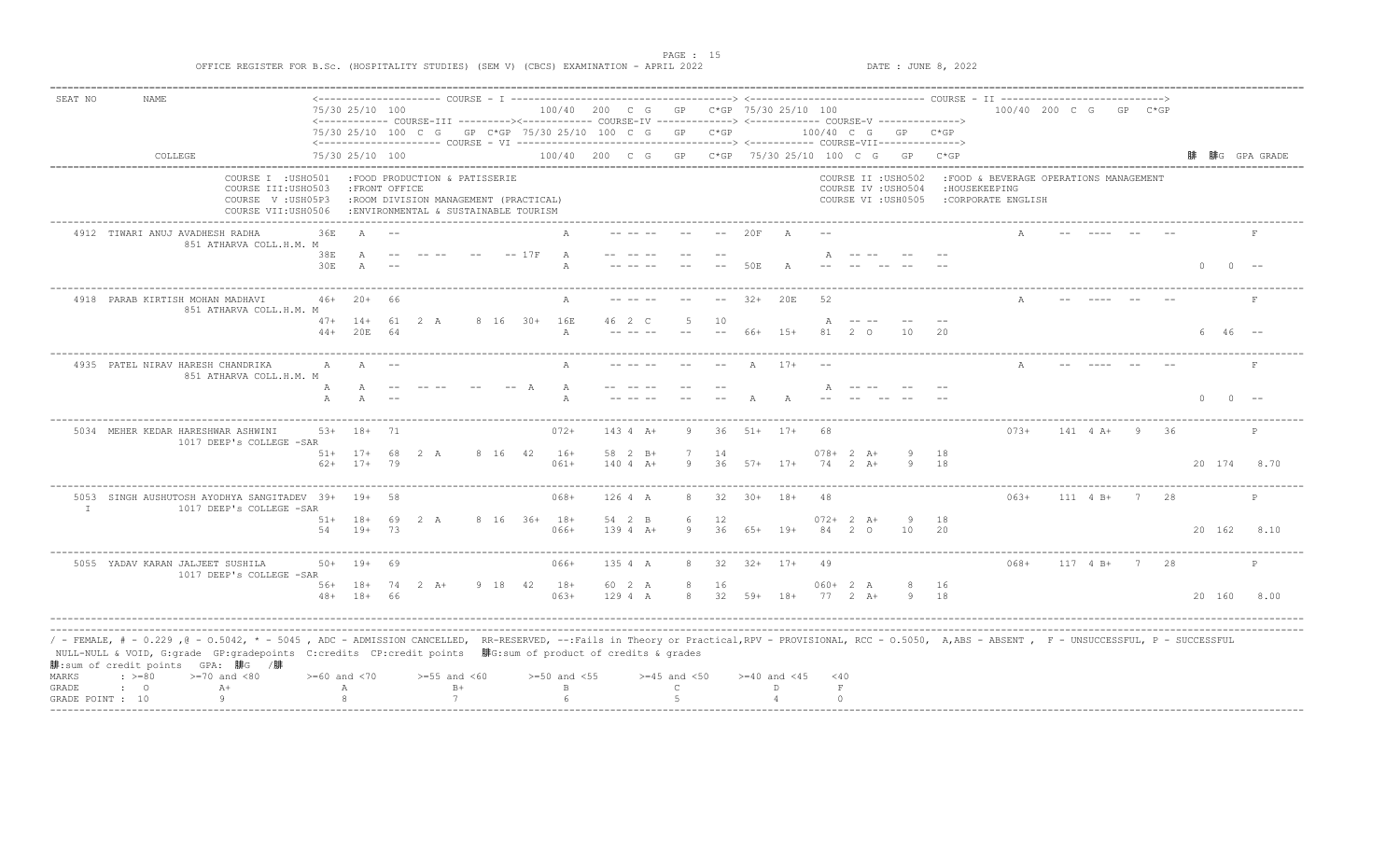| SEAT NO      | NAME                                                                                                                                                                                                                                                                                                                                                        |                    |                  |     |                                                                                |      |         |                                                                                                                 |                                                    |              |                  |    |                    |       |               |             |                                            |      |                                                           |                        |            |                 |                    |                                          |
|--------------|-------------------------------------------------------------------------------------------------------------------------------------------------------------------------------------------------------------------------------------------------------------------------------------------------------------------------------------------------------------|--------------------|------------------|-----|--------------------------------------------------------------------------------|------|---------|-----------------------------------------------------------------------------------------------------------------|----------------------------------------------------|--------------|------------------|----|--------------------|-------|---------------|-------------|--------------------------------------------|------|-----------------------------------------------------------|------------------------|------------|-----------------|--------------------|------------------------------------------|
|              |                                                                                                                                                                                                                                                                                                                                                             |                    | 75/30 25/10 100  |     |                                                                                |      |         |                                                                                                                 | 100/40 200 C G GP C*GP 75/30 25/10 100             |              |                  |    |                    |       |               |             |                                            |      |                                                           | 100/40 200 C G GP C*GP |            |                 |                    |                                          |
|              |                                                                                                                                                                                                                                                                                                                                                             |                    |                  |     |                                                                                |      |         | <------------- COURSE-III ---------><------------ COURSE-IV ------------> <------------ COURSE-V -------------> |                                                    |              |                  |    |                    |       |               |             | $100/40$ C G GP C*GP                       |      |                                                           |                        |            |                 |                    |                                          |
|              |                                                                                                                                                                                                                                                                                                                                                             |                    |                  |     |                                                                                |      |         | 75/30 25/10 100 C G GP C*GP 75/30 25/10 100 C G GP C*GP                                                         |                                                    |              |                  |    |                    |       |               |             |                                            |      |                                                           |                        |            |                 |                    |                                          |
|              | COLLEGE                                                                                                                                                                                                                                                                                                                                                     |                    | 75/30 25/10 100  |     |                                                                                |      |         |                                                                                                                 | 100/40 200 C G GP C*GP 75/30 25/10 100 C G GP C*GP |              |                  |    |                    |       |               |             |                                            |      |                                                           |                        |            |                 |                    | 腓  腓G  GPA GRADE<br>-------------------- |
|              | COURSE I : USHO501<br>COURSE III: USHO503                                                                                                                                                                                                                                                                                                                   |                    | :FRONT OFFICE    |     | :FOOD PRODUCTION & PATISSERIE                                                  |      |         |                                                                                                                 |                                                    |              |                  |    |                    |       |               |             | COURSE II : USHO502<br>COURSE IV : USHO504 |      | : FOOD & BEVERAGE OPERATIONS MANAGEMENT<br>: HOUSEKEEPING |                        |            |                 |                    |                                          |
|              | COURSE V: USH05P3<br>COURSE VII:USH0506                                                                                                                                                                                                                                                                                                                     |                    |                  |     | : ROOM DIVISION MANAGEMENT (PRACTICAL)<br>:ENVIRONMENTAL & SUSTAINABLE TOURISM |      |         |                                                                                                                 |                                                    |              |                  |    |                    |       |               |             | COURSE VI : USH0505                        |      | :CORPORATE ENGLISH                                        |                        |            |                 |                    |                                          |
|              | 4912 TIWARI ANUJ AVADHESH RADHA<br>851 ATHARVA COLL.H.M. M                                                                                                                                                                                                                                                                                                  | 36E                | A                |     |                                                                                |      |         |                                                                                                                 |                                                    |              |                  |    | 20F                |       |               |             |                                            |      |                                                           |                        |            |                 |                    |                                          |
|              |                                                                                                                                                                                                                                                                                                                                                             | 38E                |                  |     |                                                                                |      |         | $-- 17F$                                                                                                        |                                                    |              |                  |    |                    |       |               |             |                                            |      |                                                           |                        |            |                 |                    |                                          |
|              |                                                                                                                                                                                                                                                                                                                                                             | 30E                | $\mathbb{A}$     |     |                                                                                |      |         |                                                                                                                 |                                                    |              |                  |    | 50E                |       |               |             |                                            |      |                                                           |                        |            |                 |                    | $0 - -$                                  |
|              | 4918 PARAB KIRTISH MOHAN MADHAVI<br>851 ATHARVA COLL.H.M. M                                                                                                                                                                                                                                                                                                 |                    | $46+20+$         | -66 |                                                                                |      |         |                                                                                                                 |                                                    |              |                  |    | $32+$              | 20E   | 52            |             |                                            |      |                                                           |                        |            |                 |                    |                                          |
|              |                                                                                                                                                                                                                                                                                                                                                             |                    | $47+ 14+ 61 2 A$ |     |                                                                                |      |         | 8 16 30+ 16E                                                                                                    |                                                    | $46 \t2 \tC$ |                  | 10 |                    |       |               |             |                                            |      |                                                           |                        |            |                 |                    |                                          |
|              |                                                                                                                                                                                                                                                                                                                                                             |                    | 44+ 20E 64       |     |                                                                                |      |         | $\mathbb{A}$                                                                                                    |                                                    |              |                  |    | 66+                | $15+$ | 81            | $2\degree$  |                                            | 20   |                                                           |                        |            |                 | $6\quad 46\quad -$ |                                          |
|              | 4935 PATEL NIRAV HARESH CHANDRIKA<br>851 ATHARVA COLL.H.M. M                                                                                                                                                                                                                                                                                                | А                  | $\mathbb{A}$     |     |                                                                                |      |         |                                                                                                                 |                                                    |              |                  |    |                    | $17+$ |               |             |                                            |      |                                                           |                        |            |                 |                    |                                          |
|              |                                                                                                                                                                                                                                                                                                                                                             | $\mathbb{A}$       | $\overline{A}$   |     |                                                                                |      |         |                                                                                                                 |                                                    |              |                  |    |                    |       |               |             |                                            |      |                                                           |                        |            |                 |                    |                                          |
|              |                                                                                                                                                                                                                                                                                                                                                             |                    |                  |     |                                                                                |      |         |                                                                                                                 |                                                    |              |                  |    |                    |       |               |             |                                            |      |                                                           |                        |            |                 |                    |                                          |
|              | 5034 MEHER KEDAR HARESHWAR ASHWINI<br>1017 DEEP's COLLEGE -SAR                                                                                                                                                                                                                                                                                              |                    | 53+ 18+ 71       |     |                                                                                |      |         | $072+$                                                                                                          |                                                    | $143 4 A+$   |                  | 36 | $51+ 17+$          |       | 68            |             |                                            |      | $073+$                                                    |                        |            | 141 4 A+ 9 36   |                    |                                          |
|              |                                                                                                                                                                                                                                                                                                                                                             |                    | $51+ 17+ 68$     |     | 2 A                                                                            |      | 8 16 42 | $16+$                                                                                                           |                                                    | 58 2 B+      |                  | 14 |                    |       | $078 + 2 A +$ |             |                                            | 18   |                                                           |                        |            |                 |                    |                                          |
|              |                                                                                                                                                                                                                                                                                                                                                             |                    | $62+$ 17+ 79     |     |                                                                                |      |         | $061+$                                                                                                          |                                                    | $1404 A+$    | 9                |    | $36$ $57+$ $17+$   |       | $74$ 2 $A+$   |             | $\circ$                                    | 18   |                                                           |                        |            |                 |                    | 20 174 8.70                              |
| $\mathbb{I}$ | 5053 SINGH AUSHUTOSH AYODHYA SANGITADEV 39+ 19+ 58<br>1017 DEEP's COLLEGE -SAR                                                                                                                                                                                                                                                                              |                    |                  |     |                                                                                |      |         | $068+$                                                                                                          | 126 4 A                                            |              | 8                |    | $32$ $30+$ $18+$   |       | 48            |             | ____________________________               |      | $063+$                                                    |                        |            | $111$ 4 B+ 7 28 |                    |                                          |
|              |                                                                                                                                                                                                                                                                                                                                                             |                    | $51+ 18+ 69 2 A$ |     |                                                                                |      |         | 8 16 36+ 18+                                                                                                    |                                                    | 54 2 B       | 6                | 12 |                    |       | $072+2 A+$    |             | 9                                          | 18   |                                                           |                        |            |                 |                    |                                          |
|              |                                                                                                                                                                                                                                                                                                                                                             | 54                 | $19+$            | 73  |                                                                                |      |         | $066+$                                                                                                          |                                                    | $1394 A+$    |                  | 36 | $6.5+$             | $19+$ | 84            | $2^{\circ}$ | 10                                         | 20   |                                                           |                        |            |                 | 20 162             | 8.10                                     |
|              | 5055 YADAV KARAN JALJEET SUSHILA<br>1017 DEEP's COLLEGE -SAR                                                                                                                                                                                                                                                                                                |                    | $50+ 19+$        | 69  |                                                                                |      |         | $066+$                                                                                                          |                                                    | 135 4 A      | 8                | 32 | $32+$ 17+          |       | 49            |             |                                            |      | $068+$                                                    |                        | $117$ 4 B+ | 2.8<br>7        |                    |                                          |
|              |                                                                                                                                                                                                                                                                                                                                                             |                    |                  |     | 56+ 18+ 74 2 A+                                                                |      | 9 18 42 | $18+$                                                                                                           | 60 2 A                                             |              |                  | 16 |                    |       | $060+2 A$     |             |                                            | 8 16 |                                                           |                        |            |                 |                    |                                          |
|              |                                                                                                                                                                                                                                                                                                                                                             |                    | $48 + 18 +$      | 66  |                                                                                |      |         | $063+$                                                                                                          | 1294A                                              |              | 8                | 32 | $59+$              | $18+$ | $77$ 2 $A+$   |             | 9                                          | 18   |                                                           |                        |            |                 | 20 160             | 8.00                                     |
|              |                                                                                                                                                                                                                                                                                                                                                             |                    |                  |     |                                                                                |      |         |                                                                                                                 |                                                    |              |                  |    |                    |       |               |             |                                            |      |                                                           |                        |            |                 |                    |                                          |
|              | / - FEMALE, # - 0.229 , @ - 0.5042, * - 5045 , ADC - ADMISSION CANCELLED, RR-RESERVED, --:Fails in Theory or Practical,RPV - PROVISIONAL, RCC - 0.5050, A,ABS - ABSENT , F - UNSUCCESSFUL, P - SUCCESSFUL<br>NULL-NULL & VOID, G:grade GP:gradepoints C:credits CP:credit points 腓G:sum of product of credits & grades<br>腓:sum of credit points GPA: 腓G /腓 |                    |                  |     |                                                                                |      |         |                                                                                                                 |                                                    |              |                  |    |                    |       |               |             |                                            |      |                                                           |                        |            |                 |                    |                                          |
| MARKS        | $: >=80$<br>$>=70$ and $<80$                                                                                                                                                                                                                                                                                                                                | $>= 60$ and $< 70$ |                  |     | $>=55$ and $<60$                                                               |      |         | $>=50$ and $<55$                                                                                                |                                                    |              | $>=45$ and $<50$ |    | $>= 40$ and $< 45$ |       | < 40          |             |                                            |      |                                                           |                        |            |                 |                    |                                          |
| GRADE        | $\cdot$ 0<br>$A+$                                                                                                                                                                                                                                                                                                                                           |                    | Α                |     |                                                                                | $B+$ |         | $\overline{B}$                                                                                                  |                                                    |              | $\mathsf{C}$     |    | D.                 |       | $\mathbf{F}$  |             |                                            |      |                                                           |                        |            |                 |                    |                                          |
|              | GRADE POINT : 10                                                                                                                                                                                                                                                                                                                                            |                    |                  |     |                                                                                |      |         |                                                                                                                 |                                                    |              |                  |    |                    |       | $\cap$        |             |                                            |      |                                                           |                        |            |                 |                    |                                          |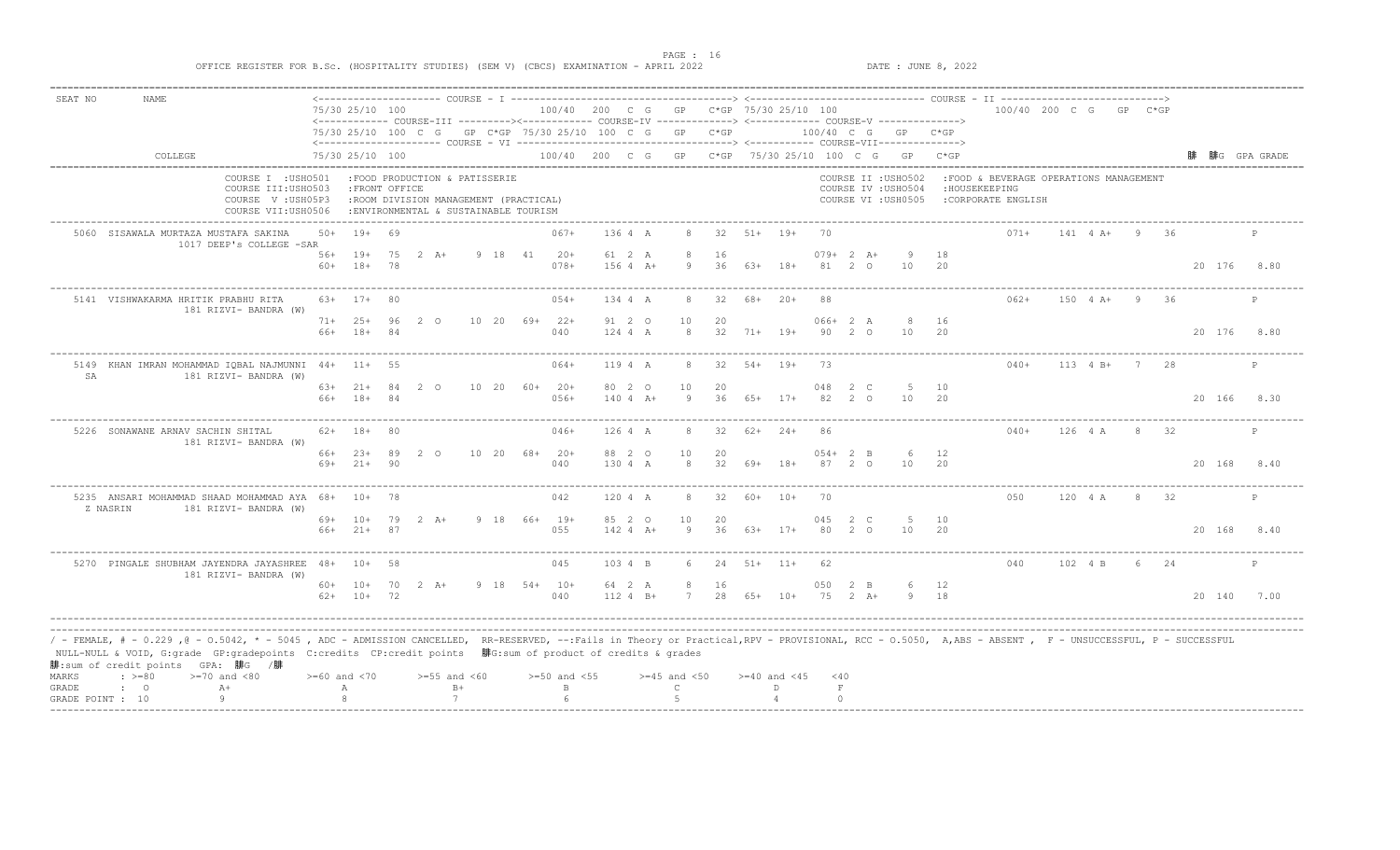PAGE : 16<br>
PATE : JUNE 8, 2022<br>
DATE : JUNE 8, 2022

| SEAT NO      | NAME                                                                                                                                                                                                                                                                                                                                                       |            |                    |    |                               |       |         |                                                                               |          |                                                                                                                                                                            |                  |          |        |                    |          |             |                                                                   |                    |                                                                                |                        |                  |      |      |        |        |                |
|--------------|------------------------------------------------------------------------------------------------------------------------------------------------------------------------------------------------------------------------------------------------------------------------------------------------------------------------------------------------------------|------------|--------------------|----|-------------------------------|-------|---------|-------------------------------------------------------------------------------|----------|----------------------------------------------------------------------------------------------------------------------------------------------------------------------------|------------------|----------|--------|--------------------|----------|-------------|-------------------------------------------------------------------|--------------------|--------------------------------------------------------------------------------|------------------------|------------------|------|------|--------|--------|----------------|
|              |                                                                                                                                                                                                                                                                                                                                                            |            | 75/30 25/10 100    |    |                               |       |         |                                                                               |          | 100/40 200 C G GP C*GP 75/30 25/10 100                                                                                                                                     |                  |          |        |                    |          |             |                                                                   |                    |                                                                                | 100/40 200 C G GP C*GP |                  |      |      |        |        |                |
|              |                                                                                                                                                                                                                                                                                                                                                            |            |                    |    |                               |       |         |                                                                               |          | <------------- COURSE-III ---------><------------ COURSE-IV ------------> <------------ COURSE-V -------------><br>75/30 25/10 100 C G GP C*GP 75/30 25/10 100 C G GP C*GP |                  |          |        |                    |          |             |                                                                   | 100/40 C G GP C*GP |                                                                                |                        |                  |      |      |        |        |                |
|              |                                                                                                                                                                                                                                                                                                                                                            |            |                    |    |                               |       |         |                                                                               |          |                                                                                                                                                                            |                  |          |        |                    |          |             |                                                                   |                    |                                                                                |                        |                  |      |      |        |        |                |
|              | COLLEGE                                                                                                                                                                                                                                                                                                                                                    |            | 75/30 25/10 100    |    |                               |       |         |                                                                               |          | 100/40 200 C G GP C*GP 75/30 25/10 100 C G GP C*GP                                                                                                                         |                  |          |        |                    |          |             |                                                                   |                    |                                                                                |                        |                  |      |      |        |        | 腓 腓G GPA GRADE |
|              | COURSE I : USHO501<br>COURSE III: USHO503<br>COURSE V: USH05P3<br>COURSE VII: USH0506                                                                                                                                                                                                                                                                      |            | : FRONT OFFICE     |    | :FOOD PRODUCTION & PATISSERIE |       |         | :ROOM DIVISION MANAGEMENT (PRACTICAL)<br>:ENVIRONMENTAL & SUSTAINABLE TOURISM |          |                                                                                                                                                                            |                  |          |        |                    |          |             | COURSE II : USHO502<br>COURSE IV : USHO504<br>COURSE VI : USH0505 |                    | :FOOD & BEVERAGE OPERATIONS MANAGEMENT<br>: HOUSEKEEPING<br>:CORPORATE ENGLISH |                        |                  |      |      |        |        |                |
|              | 5060 SISAWALA MURTAZA MUSTAFA SAKINA<br>1017 DEEP's COLLEGE -SAR                                                                                                                                                                                                                                                                                           | $50+$      | $19+ 69$           |    |                               |       |         |                                                                               | $067+$   | 136 4 A                                                                                                                                                                    |                  | 32       | $51+$  | $19+$              | 70       |             |                                                                   |                    |                                                                                | $071+$                 | $141 \t 4 \t A+$ | -9   | -36  |        |        | $\mathbb{P}$   |
|              |                                                                                                                                                                                                                                                                                                                                                            |            | 56+ 19+ 75         |    | 2 A+                          |       | 9 18 41 |                                                                               | $20+$    | 61 2 A                                                                                                                                                                     | 8                | 16       |        |                    |          | $079+2 A+$  | -9                                                                | 18                 |                                                                                |                        |                  |      |      |        |        |                |
|              |                                                                                                                                                                                                                                                                                                                                                            |            | $60+ 18+ 78$       |    |                               |       |         |                                                                               | $078+$   | $1564 +$                                                                                                                                                                   | -9               | 36       |        | 63+ 18+            |          | 81 2 0      | 10                                                                | -20                |                                                                                |                        |                  |      |      |        |        | 20 176 8.80    |
|              | 5141 VISHWAKARMA HRITIK PRABHU RITA<br>181 RIZVI- BANDRA (W)                                                                                                                                                                                                                                                                                               |            | $63+17+80$         |    |                               |       |         |                                                                               | $054+$   | 134 4 A                                                                                                                                                                    |                  | 32       | 68+    | $20+$              | 88       |             |                                                                   |                    |                                                                                | $062+$                 | $150 + 4 +$      | 9    | - 36 |        |        | $\mathbb{P}$   |
|              |                                                                                                                                                                                                                                                                                                                                                            |            | $71+ 25+ 96$       |    | 2<br>$\cap$                   | 10 20 |         | 69+ 22+                                                                       |          | 91 2 0                                                                                                                                                                     | 10               | 20       |        |                    |          | $066+2 A$   |                                                                   | 16                 |                                                                                |                        |                  |      |      |        |        |                |
|              |                                                                                                                                                                                                                                                                                                                                                            |            | 66+ 18+ 84         |    |                               |       |         |                                                                               | 040      | 124 4 A                                                                                                                                                                    | 8                |          |        | $32 \t 71+ \t 19+$ |          | 90 2 0      | 10                                                                | 20                 |                                                                                |                        |                  |      |      |        |        | 20 176 8.80    |
| SA           | 5149 KHAN IMRAN MOHAMMAD IQBAL NAJMUNNI 44+ 11+ 55<br>181 RIZVI- BANDRA (W)                                                                                                                                                                                                                                                                                |            |                    |    |                               |       |         |                                                                               | $064+$   | 119 4 A                                                                                                                                                                    | 8                |          |        | $32$ $54+$ $19+$   | -73      |             |                                                                   |                    |                                                                                | $040+$                 | 113 4 B+ 7 28    |      |      |        |        | $\mathbb{P}$   |
|              |                                                                                                                                                                                                                                                                                                                                                            |            | $63+21+84$         |    | 2 0                           |       |         | 10 20 60+ 20+                                                                 |          | 80 2 0                                                                                                                                                                     | 10               | 20       |        |                    | 048      | 2 C         | 5                                                                 | 10                 |                                                                                |                        |                  |      |      |        |        |                |
|              |                                                                                                                                                                                                                                                                                                                                                            | $66+$      | $18 + 84$          |    |                               |       |         |                                                                               | $056+$   | $1404 A+$                                                                                                                                                                  | Q                | 36       |        | $65+$ 17+          | 82       | $2^{\circ}$ | 10                                                                | - 2.0              |                                                                                |                        |                  |      |      |        |        | 20 166 8.30    |
|              | 5226 SONAWANE ARNAV SACHIN SHITAL<br>181 RIZVI- BANDRA (W)                                                                                                                                                                                                                                                                                                 |            | $62+ 18+ 80$       |    |                               |       |         |                                                                               | $046+$   | 126 4 A                                                                                                                                                                    |                  | 32       |        | 62+ 24+            |          |             |                                                                   |                    |                                                                                | $040+$                 | 126 4 A          | 8 32 |      |        |        |                |
|              |                                                                                                                                                                                                                                                                                                                                                            |            | 66+ 23+            | 89 | 2 0                           |       |         | $10\quad 20\quad 68+ \quad 20+$                                               |          | 88 2 0                                                                                                                                                                     | 10               | 20       |        |                    |          | $054 + 2 B$ | 6                                                                 | 12                 |                                                                                |                        |                  |      |      |        |        |                |
|              |                                                                                                                                                                                                                                                                                                                                                            | 69+        | $21+90$            |    |                               |       |         |                                                                               | 040      | 130 4 A                                                                                                                                                                    | 8                |          |        | $32$ $69+$ $18+$   |          | 87 2 0      | 10                                                                | 20                 |                                                                                |                        |                  |      |      |        |        | 20 168 8.40    |
|              | 5235 ANSARI MOHAMMAD SHAAD MOHAMMAD AYA 68+ 10+ 78<br>Z NASRIN<br>181 RIZVI- BANDRA (W)                                                                                                                                                                                                                                                                    |            |                    |    |                               |       |         |                                                                               | 042      | 120 4 A                                                                                                                                                                    | 8                | 32       |        | $60+ 10+$          | 70       |             |                                                                   |                    |                                                                                | 0.50                   | 120 4 A          |      | 8 32 |        |        |                |
|              |                                                                                                                                                                                                                                                                                                                                                            | 69+<br>66+ | 10+ 79             |    | $2 \overline{A}$ +            |       |         | 9 18 66+ 19+                                                                  |          | 85 2 0                                                                                                                                                                     | 10<br>Q          | 20<br>36 |        |                    | 045      | 2 C         | 5                                                                 | 10                 |                                                                                |                        |                  |      |      |        |        |                |
|              |                                                                                                                                                                                                                                                                                                                                                            |            | $21+$ 87           |    |                               |       |         |                                                                               | 055      | $142 4 A+$                                                                                                                                                                 |                  |          | 63+    | $17+$              | 80       |             | 10 <sup>1</sup>                                                   | 20                 |                                                                                |                        |                  |      |      | 20 168 |        | 8.40           |
|              | 5270 PINGALE SHUBHAM JAYENDRA JAYASHREE 48+<br>181 RIZVI- BANDRA (W)                                                                                                                                                                                                                                                                                       |            | $10+ 58$           |    |                               |       |         |                                                                               | 045      | 103 4 B                                                                                                                                                                    | 6                | 24       |        | $51+$ $11+$        | -62      |             |                                                                   |                    |                                                                                | 040                    | 102 4 B          |      | 6 24 |        |        |                |
|              |                                                                                                                                                                                                                                                                                                                                                            |            | 60+ 10+ 70 2 A+    |    |                               |       |         | $9$ 18 54+ 10+                                                                |          | 64 2 A                                                                                                                                                                     |                  | 16       |        |                    | 050      | 2 B         | 6                                                                 | 12                 |                                                                                |                        |                  |      |      |        |        |                |
|              |                                                                                                                                                                                                                                                                                                                                                            |            | $62+ 10+ 72$       |    |                               |       |         |                                                                               | 040      | $112 4 B+$                                                                                                                                                                 | 7                | 2.8      | $6.5+$ | $10+$              | 75       | $2 A +$     | 9                                                                 | 18                 |                                                                                |                        |                  |      |      |        | 20 140 | 7.00           |
|              |                                                                                                                                                                                                                                                                                                                                                            |            |                    |    |                               |       |         |                                                                               |          |                                                                                                                                                                            |                  |          |        |                    |          |             |                                                                   |                    |                                                                                |                        |                  |      |      |        |        |                |
|              | / - FEMALE, # - 0.229 ,@ - 0.5042, * - 5045 , ADC - ADMISSION CANCELLED, RR-RESERVED, --:Fails in Theory or Practical,RPV - PROVISIONAL, RCC - 0.5050, A,ABS - ABSENT , F - UNSUCCESSFUL, P - SUCCESSFUL<br>NULL-NULL & VOID, G:grade GP:gradepoints C:credits CP:credit points 腓G:sum of product of credits & grades<br>腓:sum of credit points GPA: 腓G /腓 |            |                    |    |                               |       |         |                                                                               |          |                                                                                                                                                                            |                  |          |        |                    |          |             |                                                                   |                    |                                                                                |                        |                  |      |      |        |        |                |
| <b>MARKS</b> | $: >=80$<br>$>=70$ and $<80$                                                                                                                                                                                                                                                                                                                               |            | $>= 60$ and $< 70$ |    | $>=55$ and $<60$              |       |         | $>= 50$ and $< 55$                                                            |          |                                                                                                                                                                            | $>=45$ and $<50$ |          |        | $>= 40$ and $< 45$ | $<$ 40   |             |                                                                   |                    |                                                                                |                        |                  |      |      |        |        |                |
| GRADE        | $\cdot$ 0<br>$A+$                                                                                                                                                                                                                                                                                                                                          |            | Α                  |    |                               | $B+$  |         |                                                                               | B        |                                                                                                                                                                            | $\mathbb{C}$     |          |        | D.                 | F        |             |                                                                   |                    |                                                                                |                        |                  |      |      |        |        |                |
|              | Q<br>GRADE POINT : 10                                                                                                                                                                                                                                                                                                                                      |            | $\mathcal{R}$      |    |                               | 7     |         |                                                                               | $\kappa$ |                                                                                                                                                                            | $\overline{5}$   |          |        |                    | $\Omega$ |             |                                                                   |                    |                                                                                |                        |                  |      |      |        |        |                |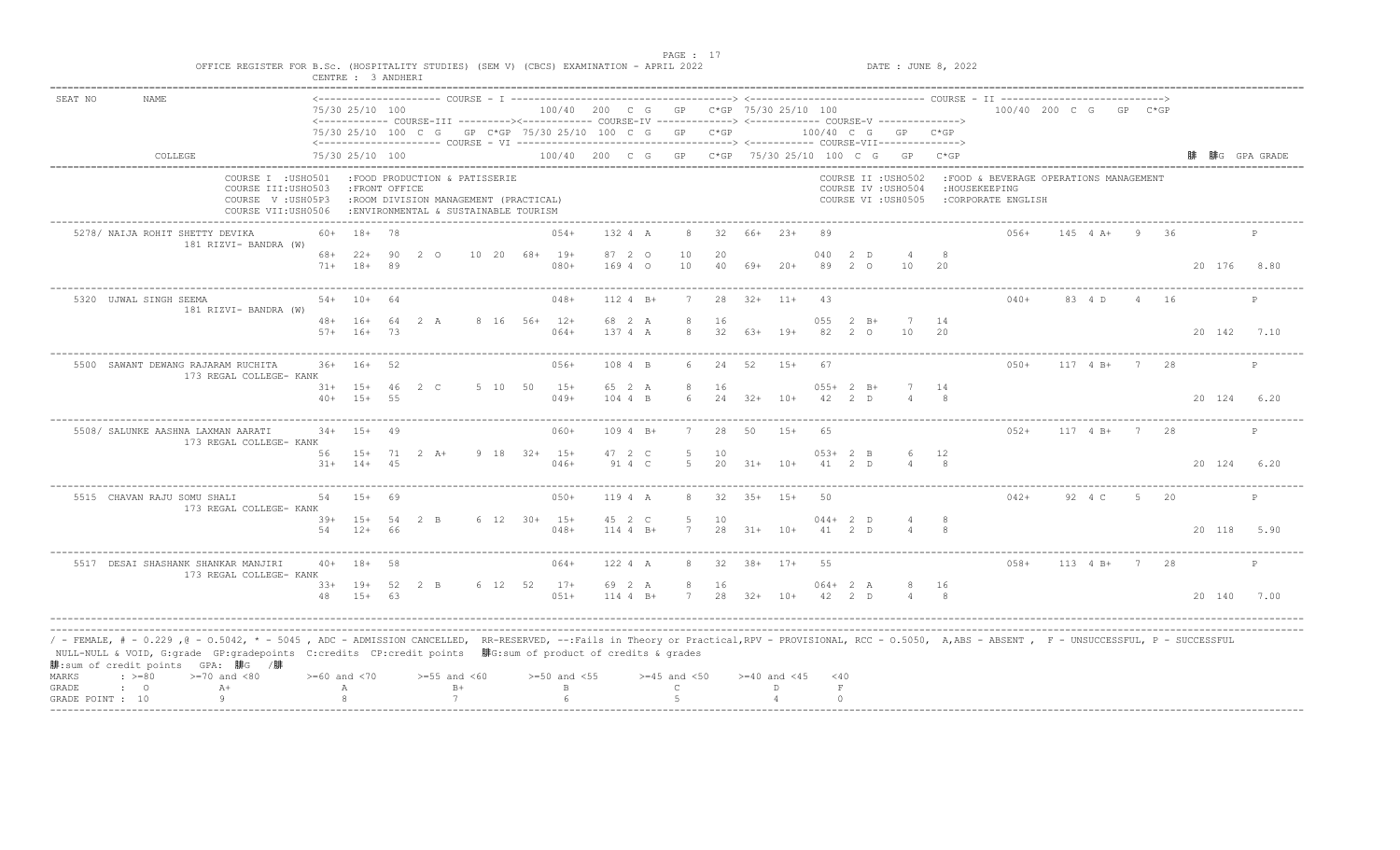|                                                                                                                                                                                                                                                                                                                                                                                                         |                    | CENTRE : 3 ANDHERI             |              |                                                                                                                 |                          |                                        |                      |                       |           |                  |                  |                       |                     |                                                                                                                                        |           |                                                                                 |                  |                |      |             |              |
|---------------------------------------------------------------------------------------------------------------------------------------------------------------------------------------------------------------------------------------------------------------------------------------------------------------------------------------------------------------------------------------------------------|--------------------|--------------------------------|--------------|-----------------------------------------------------------------------------------------------------------------|--------------------------|----------------------------------------|----------------------|-----------------------|-----------|------------------|------------------|-----------------------|---------------------|----------------------------------------------------------------------------------------------------------------------------------------|-----------|---------------------------------------------------------------------------------|------------------|----------------|------|-------------|--------------|
| SEAT NO<br><b>NAME</b>                                                                                                                                                                                                                                                                                                                                                                                  |                    | 75/30 25/10 100                |              |                                                                                                                 |                          | 100/40 200 C G GP C*GP 75/30 25/10 100 |                      |                       |           |                  |                  |                       |                     |                                                                                                                                        |           | 100/40 200 C G GP C*GP                                                          |                  |                |      |             |              |
|                                                                                                                                                                                                                                                                                                                                                                                                         |                    |                                |              | 75/30 25/10 100 C G GP C*GP 75/30 25/10 100 C G GP C*GP                                                         |                          |                                        |                      |                       |           |                  |                  |                       |                     | <------------ COURSE-III ---------><----------- COURSE-IV -------------> <------------- COURSE-V ------------->><br>100/40 C G GP C*GP |           |                                                                                 |                  |                |      |             |              |
| COLLEGE                                                                                                                                                                                                                                                                                                                                                                                                 |                    | 75/30 25/10 100                |              |                                                                                                                 |                          |                                        |                      |                       |           |                  |                  |                       |                     | 100/40 200 C G GP C*GP 75/30 25/10 100 C G GP C*GP                                                                                     |           |                                                                                 |                  |                |      |             | 腓G GPA GRADE |
| COURSE I : USHO501<br>COURSE III: USHO503<br>COURSE V: USH05P3<br>COURSE VII:USH0506                                                                                                                                                                                                                                                                                                                    |                    | : FRONT OFFICE                 |              | :FOOD PRODUCTION & PATISSERIE<br>:ROOM DIVISION MANAGEMENT (PRACTICAL)<br>: ENVIRONMENTAL & SUSTAINABLE TOURISM |                          |                                        |                      |                       |           |                  |                  |                       |                     | COURSE II : USHO502<br>COURSE IV : USHO504<br>COURSE VI : USH0505                                                                      |           | : FOOD & BEVERAGE OPERATIONS MANAGEMENT<br>: HOUSEKEEPING<br>:CORPORATE ENGLISH |                  |                |      |             |              |
| 5278/ NAIJA ROHIT SHETTY DEVIKA<br>181 RIZVI- BANDRA (W)                                                                                                                                                                                                                                                                                                                                                | $60+$              | 18+ 78                         |              |                                                                                                                 |                          | $054+$                                 | 132 4 A              | 8                     | 32        | 66+ 23+          |                  | 89                    |                     |                                                                                                                                        |           | $0.56+$                                                                         | $145 \t 4 \t A+$ | - 9            | -36  |             | P            |
|                                                                                                                                                                                                                                                                                                                                                                                                         | $71 +$             | $68+22+$<br>$18+$              | 90<br>89     | 2 0                                                                                                             | $10\quad 20\quad 68+19+$ | $080+$                                 | 87 2 0<br>169 4 0    | 10<br>10              | 20<br>40  |                  | $69+20+$         | 040<br>89             | 2 D<br>$2^{\circ}$  | 10                                                                                                                                     | 20        |                                                                                 |                  |                |      | 20 176 8.80 |              |
| 5320 UJWAL SINGH SEEMA<br>181 RIZVI- BANDRA (W)                                                                                                                                                                                                                                                                                                                                                         |                    | $54+ 10+$                      | 64           |                                                                                                                 |                          | $048+$                                 | 112 4 B+             | $7\phantom{.0}$       | 28        | $32+$ 11+        |                  | 43                    |                     |                                                                                                                                        |           | $040+$                                                                          | 83 4 D           |                | 4 16 |             | P            |
|                                                                                                                                                                                                                                                                                                                                                                                                         | $57+$              | $48 + 16 +$<br>$16+$           | - 73         | 64 2 A                                                                                                          | 8 16 56+ 12+             | $064+$                                 | 68 2 A<br>137 4 A    | 8<br>$\mathcal{R}$    | 16<br>32  | $63+$            | $19+$            | 055<br>82             | $2 \quad B+$<br>2 0 | 7 14<br>10                                                                                                                             | 20        |                                                                                 |                  |                |      | 20 142      | 7.10         |
| 5500 SAWANT DEWANG RAJARAM RUCHITA<br>173 REGAL COLLEGE- KANK                                                                                                                                                                                                                                                                                                                                           |                    | $36+ 16+$                      | - 52         |                                                                                                                 |                          | $056+$                                 | 108 4 B              | 6                     | 24        | 52               | $15+$            | 67                    |                     |                                                                                                                                        |           | $050+$                                                                          | $117 \t 4 B+$    | 7 28           |      |             | P            |
|                                                                                                                                                                                                                                                                                                                                                                                                         |                    | $31+ 15+$<br>$40+ 15+$         | 46 2 C<br>55 |                                                                                                                 | 5 10 50 15+              | $049+$                                 | 65 2 A<br>$1044$ R   | -8<br>$\kappa$        | 16<br>2.4 |                  | $32+$ 10+        | $055+2$ B+<br>42      | 2 D                 |                                                                                                                                        |           |                                                                                 |                  |                |      | 20 124      | 6.20         |
| 5508/ SALUNKE AASHNA LAXMAN AARATI<br>173 REGAL COLLEGE- KANK                                                                                                                                                                                                                                                                                                                                           |                    | $34+$ 15+                      | 49           |                                                                                                                 |                          | $060+$                                 | $1094 B+$            |                       | 28        | 50               | $15+$            | 65                    |                     |                                                                                                                                        |           | $052+$                                                                          | $117 \t 4 B+$    | $7\phantom{0}$ | 28   |             | $\mathbb{P}$ |
|                                                                                                                                                                                                                                                                                                                                                                                                         |                    | 56 15+ 71 2 A+<br>$31+ 14+ 45$ |              |                                                                                                                 | 9 18 32+ 15+             | $046+$                                 | 47 2 C<br>91 4 C     | -5<br>5               | 10<br>20  | $31+ 10+$        |                  | $053+2$ B<br>41 2 D   |                     | - 6                                                                                                                                    | 12        |                                                                                 |                  |                |      | 20 124 6.20 |              |
| 5515 CHAVAN RAJU SOMU SHALI<br>173 REGAL COLLEGE- KANK                                                                                                                                                                                                                                                                                                                                                  | 54                 | $1.5+$                         | 69           |                                                                                                                 |                          | $050+$                                 | 119 4 A              | 8                     | 32        | $3.5+$           | $1.5+$           | 50                    |                     |                                                                                                                                        |           | $042+$                                                                          | $92.4 \text{ C}$ | $5 -$          | -20  |             | P            |
|                                                                                                                                                                                                                                                                                                                                                                                                         | 54                 | $39+ 15+ 54 2 B$<br>$12+ 66$   |              |                                                                                                                 | $6$ 12 30+ 15+           | $048+$                                 | 45 2 C<br>$1144$ B+  | -5<br>$7\overline{ }$ | 10        | $28$ $31+$ $10+$ |                  | $044 + 2 D$<br>41 2 D |                     |                                                                                                                                        |           |                                                                                 |                  |                |      | 20 118 5.90 |              |
| 5517 DESAI SHASHANK SHANKAR MANJIRI<br>173 REGAL COLLEGE- KANK                                                                                                                                                                                                                                                                                                                                          |                    | $40+ 18+$                      | 58           |                                                                                                                 |                          | 064+                                   | 122 4 A              | 8                     |           | $32$ $38+$ $17+$ |                  | 55                    |                     |                                                                                                                                        |           | $058 +$                                                                         | 113 4 B+ 7 28    |                |      |             | $\mathbb{P}$ |
|                                                                                                                                                                                                                                                                                                                                                                                                         |                    | 33+ 19+ 52 2 B<br>48 15+ 63    |              |                                                                                                                 |                          | 6 12 52 17+<br>$051+$                  | 69 2 A<br>$114 4 B+$ | 8<br>7                | 16        |                  | 28 32+ 10+       | $064 + 2 A$<br>42 2 D |                     |                                                                                                                                        | -16<br>-8 |                                                                                 |                  |                |      | 20 140 7.00 |              |
| / - FEMALE, # - 0.229 ,@ - 0.5042, * - 5045 , ADC - ADMISSION CANCELLED, RR-RESERVED, --:Fails in Theory or Practical,RPV - PROVISIONAL, RCC - 0.5050, A,ABS - ABSENT , F - UNSUCCESSFUL, P - SUCCESSFUL/<br>NULL-NULL & VOID, G:grade GP:gradepoints C:credits CP:credit points 腓G:sum of product of credits & grades<br>腓:sum of credit points GPA: 腓G /腓<br>$\div$ >=80<br>MARKS<br>$>=70$ and $<80$ | $>= 60$ and $< 70$ |                                |              | $>=55$ and $<60$                                                                                                |                          | $>=50$ and $<55$                       |                      | $>=45$ and $<50$      |           |                  | $>=40$ and $<45$ | < 40                  |                     |                                                                                                                                        |           |                                                                                 |                  |                |      |             |              |
| $A+$<br>GRADE<br>$\mathbf{C}$                                                                                                                                                                                                                                                                                                                                                                           |                    | А                              |              | $B+$                                                                                                            |                          | $\mathbb B$                            |                      | $\mathsf{C}$          |           |                  | D.               | $\;$ F                |                     |                                                                                                                                        |           |                                                                                 |                  |                |      |             |              |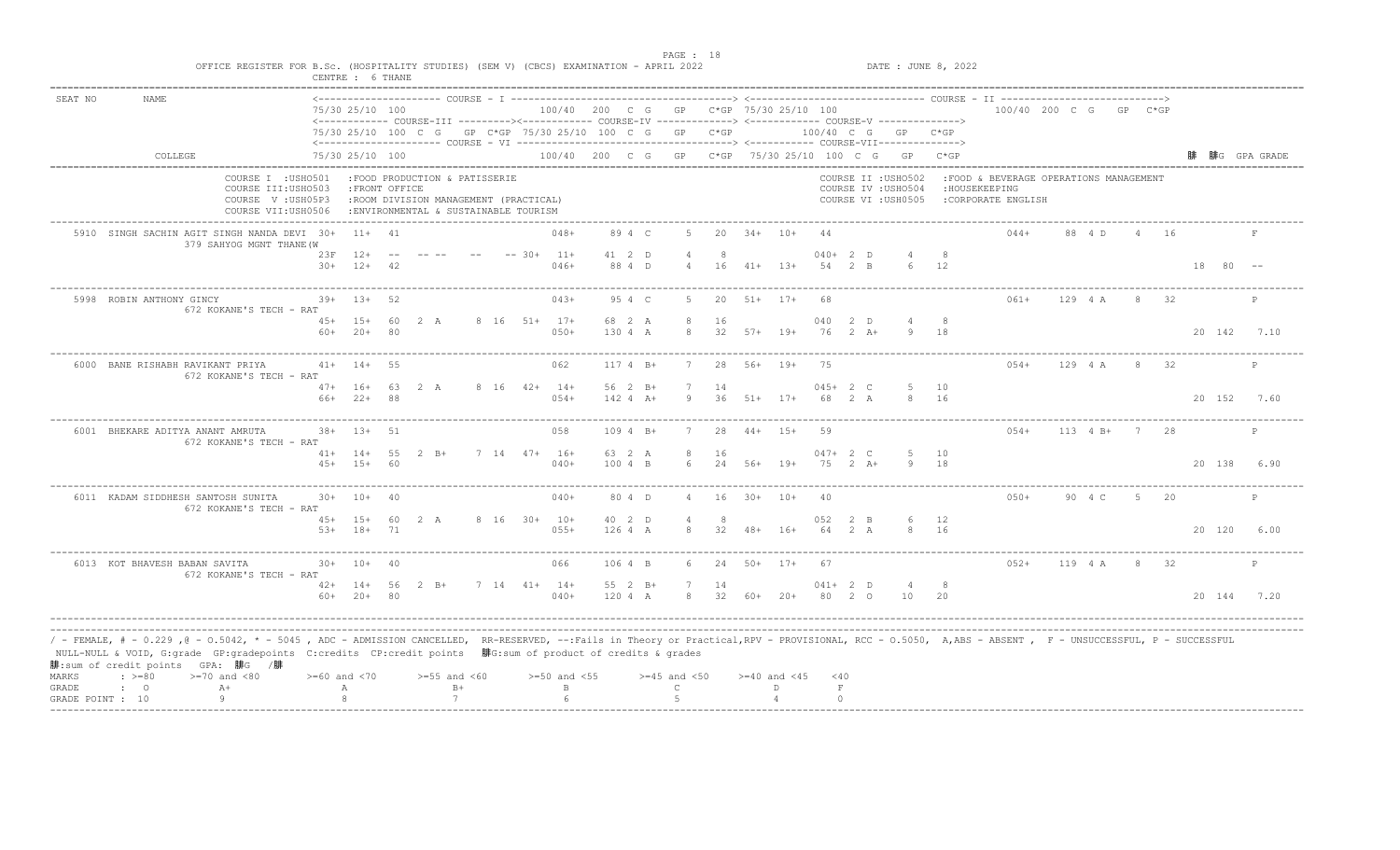|         |                                                                                                                                                                                                                                                                                                                                                                                             | OFFICE REGISTER FOR B.Sc. (HOSPITALITY STUDIES) (SEM V) (CBCS) EXAMINATION - APRIL 2022 | CENTRE : 6 THANE                  |                |                                                                                                                 |                |                                                         |         |                       |                  |                    |                  |                  |                        |               |                                                                                                                  | DATE : JUNE 8, 2022 |                                                                                |               |                |      |             |              |
|---------|---------------------------------------------------------------------------------------------------------------------------------------------------------------------------------------------------------------------------------------------------------------------------------------------------------------------------------------------------------------------------------------------|-----------------------------------------------------------------------------------------|-----------------------------------|----------------|-----------------------------------------------------------------------------------------------------------------|----------------|---------------------------------------------------------|---------|-----------------------|------------------|--------------------|------------------|------------------|------------------------|---------------|------------------------------------------------------------------------------------------------------------------|---------------------|--------------------------------------------------------------------------------|---------------|----------------|------|-------------|--------------|
| SEAT NO | <b>NAME</b>                                                                                                                                                                                                                                                                                                                                                                                 |                                                                                         | 75/30 25/10 100                   |                |                                                                                                                 |                | 100/40 200 C G GP C*GP 75/30 25/10 100                  |         |                       |                  |                    |                  |                  |                        |               | <------------ COURSE-III ----------><----------- COURSE-IV -------------> <------------ COURSE-V ------------->> |                     | 100/40 200 C G GP C*GP                                                         |               |                |      |             |              |
|         |                                                                                                                                                                                                                                                                                                                                                                                             |                                                                                         |                                   |                |                                                                                                                 |                | 75/30 25/10 100 C G GP C*GP 75/30 25/10 100 C G GP C*GP |         |                       |                  |                    |                  |                  |                        |               | 100/40 C G GP C*GP                                                                                               |                     |                                                                                |               |                |      |             |              |
|         | COLLEGE                                                                                                                                                                                                                                                                                                                                                                                     |                                                                                         | 75/30 25/10 100                   |                |                                                                                                                 |                |                                                         |         |                       |                  |                    |                  |                  |                        |               | 100/40 200 C G GP C*GP 75/30 25/10 100 C G GP C*GP                                                               |                     |                                                                                |               |                |      |             | 腓G GPA GRADE |
|         |                                                                                                                                                                                                                                                                                                                                                                                             | COURSE I : USHO501<br>COURSE III: USHO503<br>COURSE V: USH05P3<br>COURSE VII: USH0506   | : FRONT OFFICE                    |                | :FOOD PRODUCTION & PATISSERIE<br>:ROOM DIVISION MANAGEMENT (PRACTICAL)<br>: ENVIRONMENTAL & SUSTAINABLE TOURISM |                |                                                         |         |                       |                  |                    |                  |                  |                        |               | COURSE II : USHO502<br>COURSE IV : USHO504<br>COURSE VI : USH0505                                                |                     | :FOOD & BEVERAGE OPERATIONS MANAGEMENT<br>: HOUSEKEEPING<br>:CORPORATE ENGLISH |               |                |      |             |              |
|         | 5910 SINGH SACHIN AGIT SINGH NANDA DEVI 30+                                                                                                                                                                                                                                                                                                                                                 | 379 SAHYOG MGNT THANE (W                                                                | $11+ 41$                          |                |                                                                                                                 |                | $048+$                                                  |         | 89 4 C                | -5.              | 20                 | $34+$ 10+        |                  | 44                     |               |                                                                                                                  |                     | $044+$                                                                         | 88 4 D        | $\overline{4}$ | - 16 |             |              |
|         |                                                                                                                                                                                                                                                                                                                                                                                             | 23F<br>$30+$                                                                            | $12+$<br>$12+$                    | 42             |                                                                                                                 | $--$ 30+ 11+   | $046+$                                                  |         | 41 2 D<br>88 4 D      | $\overline{4}$   |                    | $16$ $41+$ $13+$ |                  | $040+2$ D<br>54 2 B    |               |                                                                                                                  | 12                  |                                                                                |               |                |      | 18          | $80 - -$     |
|         | 5998 ROBIN ANTHONY GINCY                                                                                                                                                                                                                                                                                                                                                                    | $39+$<br>672 KOKANE'S TECH - RAT                                                        | $1.3+$                            | 52             |                                                                                                                 |                | $043+$                                                  |         | 95 4 C                | 5.               | 20                 | $51+ 17+$        |                  | 68                     |               |                                                                                                                  |                     | $061+$                                                                         | 129 4 A       | 8              | 32   |             | $\mathsf{P}$ |
|         |                                                                                                                                                                                                                                                                                                                                                                                             | $60+$                                                                                   | 45+ 15+ 60<br>$20+$               | R <sub>0</sub> | 2 A                                                                                                             |                | 8 16 51+ 17+<br>$050+$                                  | 130 4 A | 68 2 A                | 8<br>8           | 16<br>32           |                  | $57+$ 19+        | 040<br>76              | 2 D<br>$2+A+$ | 4<br>Q                                                                                                           | 8<br>18             |                                                                                |               |                |      |             | 20 142 7.10  |
|         | 6000 BANE RISHABH RAVIKANT PRIYA                                                                                                                                                                                                                                                                                                                                                            | 672 KOKANE'S TECH - RAT                                                                 | $41+ 14+$                         | $-55$          |                                                                                                                 |                | 062                                                     |         | $1174 B+$             | 7                | 28                 | 56+ 19+          |                  | 75                     |               |                                                                                                                  |                     | $054+$                                                                         | 129 4 A       |                | 8 32 |             | P            |
|         |                                                                                                                                                                                                                                                                                                                                                                                             | 66+                                                                                     | $47+$ 16+<br>$22+$                | -88            | 63 2 A                                                                                                          | 8 16 42+ 14+   | $054+$                                                  |         | 56 2 B+<br>$142 4 A+$ | 7<br>9           | 14<br>36           |                  | $51+$ $17+$      | $045+2$ C<br>68        | 2 A           |                                                                                                                  | 10<br>8 16          |                                                                                |               |                |      |             | 20 152 7.60  |
|         | 6001 BHEKARE ADITYA ANANT AMRUTA                                                                                                                                                                                                                                                                                                                                                            | 672 KOKANE'S TECH - RAT                                                                 | $38 + 13 + 51$                    |                |                                                                                                                 |                | 058                                                     |         | 109 4 B+              |                  | 28                 |                  | $44+ 15+$        | 59                     |               |                                                                                                                  |                     | $054+$                                                                         | $113 \t 4 B+$ | $\overline{7}$ | -28  |             | P            |
|         |                                                                                                                                                                                                                                                                                                                                                                                             |                                                                                         | $41+ 14+ 55$<br>$45+ 15+ 60$      |                | $2 \quad B+$                                                                                                    | $7$ 14 47+ 16+ | $040+$                                                  |         | 63 2 A<br>100 4 B     | 8<br>6           | 16                 | 24 56+ 19+       |                  | $047 + 2 C$<br>75 2 A+ |               | -5                                                                                                               | 10<br>18            |                                                                                |               |                |      |             | 20 138 6.90  |
|         | 6011 KADAM SIDDHESH SANTOSH SUNITA                                                                                                                                                                                                                                                                                                                                                          | 30+<br>672 KOKANE'S TECH - RAT                                                          | $10+$                             | 40             |                                                                                                                 |                | $040+$                                                  |         | 80 4 D                |                  | 16                 | $30+$            | $10+$            |                        |               |                                                                                                                  |                     | $0.50+$                                                                        | 90 4 C        | - 5            | 20   |             | P            |
|         |                                                                                                                                                                                                                                                                                                                                                                                             |                                                                                         | 45+ 15+ 60 2 A<br>$53+ 18+ 71$    |                |                                                                                                                 | 8 16 30+ 10+   | $055+$                                                  |         | 40 2 D<br>126 4 A     | 8                | -8<br>32           |                  | $48 + 16 +$      | 052<br>64 2 A          | 2 B           | 8                                                                                                                | 12<br>16            |                                                                                |               |                |      | 20 120 6.00 |              |
|         | 6013 KOT BHAVESH BABAN SAVITA                                                                                                                                                                                                                                                                                                                                                               | 672 KOKANE'S TECH - RAT                                                                 | $30+ 10+ 40$                      |                |                                                                                                                 |                | 066                                                     | 106 4 B |                       |                  | 6 24 50+ 17+       |                  |                  | 67                     |               |                                                                                                                  |                     | $052+$                                                                         | 119 4 A       | 8 32           |      |             | P            |
|         |                                                                                                                                                                                                                                                                                                                                                                                             |                                                                                         | $42+ 14+ 56 2 B+$<br>$60+ 20+ 80$ |                |                                                                                                                 |                | $7$ 14 41+ 14+<br>$040+$                                | 120 4 A | 55 2 B+               | 7                | 14<br>8 32 60+ 20+ |                  |                  | $041+ 2 D$<br>80 2 0   |               | $\overline{4}$<br>10                                                                                             | - 8<br>20           |                                                                                |               |                |      |             | 20 144 7.20  |
| MARKS   | / - FEMALE, # - 0.229 ,@ - 0.5042, * - 5045 , ADC - ADMISSION CANCELLED, RR-RESERVED, --:Fails in Theory or Practical,RPV - PROVISIONAL, RCC - 0.5050, A,ABS - ABSENT , F - UNSUCCESSFUL, P - SUCCESSFUL/<br>NULL-NULL & VOID, G:grade GP:gradepoints C:credits CP:credit points 腓G:sum of product of credits & grades<br>腓:sum of credit points GPA: 腓G /腓<br>$: >=80$<br>$>=70$ and $<80$ |                                                                                         | $>= 60$ and $< 70$                |                | $>=55$ and $<60$                                                                                                |                | $>=50$ and $<55$                                        |         |                       | $>=45$ and $<50$ |                    |                  | $>=40$ and $<45$ | $<$ 40                 |               |                                                                                                                  |                     |                                                                                |               |                |      |             |              |
| GRADE   | $A+$<br>$\mathbf{C}$<br>Q                                                                                                                                                                                                                                                                                                                                                                   |                                                                                         | Α                                 |                | $B+$                                                                                                            |                | $\mathbf{B}$                                            |         |                       | $\mathcal{C}$    |                    |                  | D.               | $\,$ F                 |               |                                                                                                                  |                     |                                                                                |               |                |      |             |              |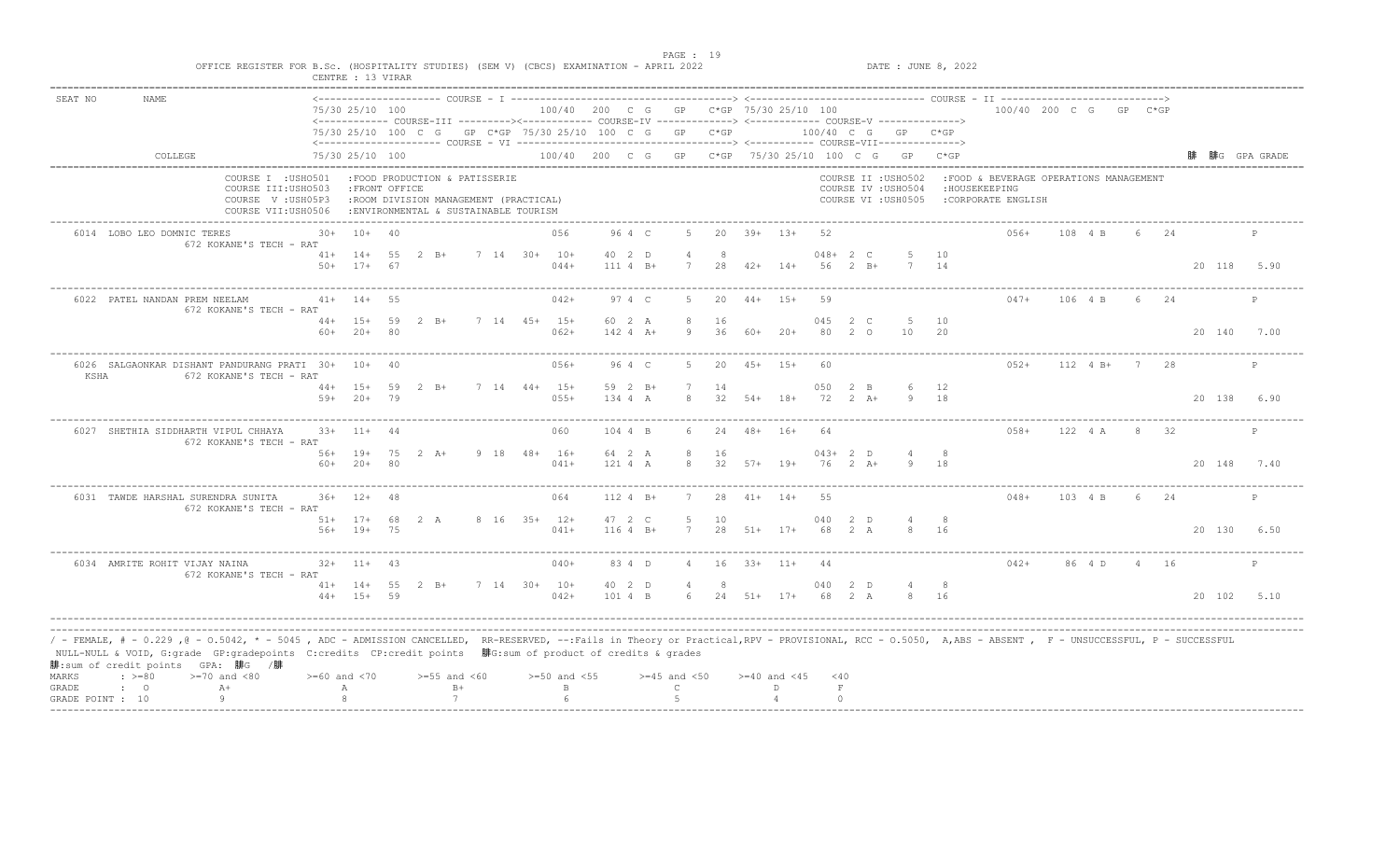| SEAT NO<br><b>NAME</b><br>COLLEGE<br>COURSE I : USHO501                                                                                                                                                                                                                                                                                                                                                 |                    | 75/30 25/10 100<br><------------ COURSE-III ----------><----------- COURSE-IV -------------> <------------ COURSE-V ------------->> |                |                                                                                                                 |              |                                        |                     |                       |          |                  |                    |                    |                             |                                                                   |            |                                                                                 |         |               |       |     |             |              |
|---------------------------------------------------------------------------------------------------------------------------------------------------------------------------------------------------------------------------------------------------------------------------------------------------------------------------------------------------------------------------------------------------------|--------------------|-------------------------------------------------------------------------------------------------------------------------------------|----------------|-----------------------------------------------------------------------------------------------------------------|--------------|----------------------------------------|---------------------|-----------------------|----------|------------------|--------------------|--------------------|-----------------------------|-------------------------------------------------------------------|------------|---------------------------------------------------------------------------------|---------|---------------|-------|-----|-------------|--------------|
|                                                                                                                                                                                                                                                                                                                                                                                                         |                    |                                                                                                                                     |                |                                                                                                                 |              | 100/40 200 C G GP C*GP 75/30 25/10 100 |                     |                       |          |                  |                    |                    |                             |                                                                   |            | 100/40 200 C G GP C*GP                                                          |         |               |       |     |             |              |
|                                                                                                                                                                                                                                                                                                                                                                                                         |                    |                                                                                                                                     |                | 75/30 25/10 100 C G GP C*GP 75/30 25/10 100 C G GP C*GP                                                         |              |                                        |                     |                       |          |                  |                    |                    |                             | 100/40 C G GP C*GP                                                |            |                                                                                 |         |               |       |     |             |              |
|                                                                                                                                                                                                                                                                                                                                                                                                         |                    | 75/30 25/10 100                                                                                                                     |                |                                                                                                                 |              |                                        |                     |                       |          |                  |                    |                    |                             | 100/40 200 C G GP C*GP 75/30 25/10 100 C G GP C*GP                |            |                                                                                 |         |               |       |     |             | 腓G GPA GRADE |
| COURSE III: USHO503<br>COURSE V: USH05P3<br>COURSE VII:USH0506                                                                                                                                                                                                                                                                                                                                          |                    | : FRONT OFFICE                                                                                                                      |                | :FOOD PRODUCTION & PATISSERIE<br>:ROOM DIVISION MANAGEMENT (PRACTICAL)<br>: ENVIRONMENTAL & SUSTAINABLE TOURISM |              |                                        |                     |                       |          |                  |                    |                    |                             | COURSE II : USHO502<br>COURSE IV : USHO504<br>COURSE VI : USH0505 |            | : FOOD & BEVERAGE OPERATIONS MANAGEMENT<br>: HOUSEKEEPING<br>:CORPORATE ENGLISH |         |               |       |     |             |              |
| 6014 LOBO LEO DOMNIC TERES<br>672 KOKANE'S TECH - RAT                                                                                                                                                                                                                                                                                                                                                   | 30+                | $10+40$                                                                                                                             |                |                                                                                                                 |              | 056                                    | 96 4 C              | -5                    |          | $20 \t39+ \t13+$ |                    | -52                |                             |                                                                   |            | $0.56+$                                                                         |         | 108 4 B       | 6 -   | 2.4 |             | P            |
|                                                                                                                                                                                                                                                                                                                                                                                                         |                    | $41+ 14+ 55$<br>$50+$ 17+ 67                                                                                                        |                | $2 \quad B+$                                                                                                    | 7 14 30+ 10+ | $044+$                                 | 40 2 D<br>111 4 B+  | $\overline{4}$<br>7   | -8<br>28 | $42+$ 14+        |                    |                    | $048 + 2 C$<br>56 2 B+      |                                                                   | 10<br>14   |                                                                                 |         |               |       |     | 20 118 5.90 |              |
| 6022 PATEL NANDAN PREM NEELAM<br>672 KOKANE'S TECH - RAT                                                                                                                                                                                                                                                                                                                                                |                    | $41+ 14+$                                                                                                                           | 55             |                                                                                                                 |              | $042+$                                 | 97 4 C              | -5                    | 20       | $44+$ 15+        |                    | 59                 |                             |                                                                   |            | $047+$                                                                          | 106 4 B |               | $6 -$ | 24  |             | P            |
|                                                                                                                                                                                                                                                                                                                                                                                                         | $60+$              | $44+ 15+ 59$<br>$20+$                                                                                                               | $\overline{R}$ | $2 \quad B+$                                                                                                    | 7 14 45+ 15+ | $062+$                                 | 60 2 A<br>142 4 A+  | 8<br>-9               | 16<br>36 | 60+              | $20+$              | 045<br>80          | $2\degree$ C<br>$2^{\circ}$ | 5 10<br>10                                                        | 20         |                                                                                 |         |               |       |     | 20 140      | 7.00         |
| 6026 SALGAONKAR DISHANT PANDURANG PRATI 30+ 10+ 40<br>KSHA<br>672 KOKANE'S TECH - RAT                                                                                                                                                                                                                                                                                                                   |                    |                                                                                                                                     |                |                                                                                                                 |              | $056+$                                 | 96 4 C              | 5                     | 20       | $45+ 15+$        |                    | 60                 |                             |                                                                   |            | $052+$                                                                          |         | $112 \t 4 B+$ | 7 28  |     |             | P            |
|                                                                                                                                                                                                                                                                                                                                                                                                         | $59+$              | 44+ 15+ 59 2 B+<br>$20+79$                                                                                                          |                |                                                                                                                 | 7 14 44+ 15+ | $055+$                                 | 59 2 B+<br>$1344$ A | 8                     | 14<br>32 | $54+$            | $18+$              | 050<br>72          | 2 B<br>$2+A+$               |                                                                   | - 12<br>18 |                                                                                 |         |               |       |     | 20 138      | 6.90         |
| 6027 SHETHIA SIDDHARTH VIPUL CHHAYA<br>672 KOKANE'S TECH - RAT                                                                                                                                                                                                                                                                                                                                          |                    | $33+$ 11+ 44                                                                                                                        |                |                                                                                                                 |              | 060                                    | 104 4 B             |                       | 24       | $48 + 16 +$      |                    | -64                |                             |                                                                   |            | $058+$                                                                          |         | 122 4 A       |       | 32  |             | $\mathbb{P}$ |
|                                                                                                                                                                                                                                                                                                                                                                                                         |                    | 56+ 19+ 75<br>$60+ 20+ 80$                                                                                                          |                | $2 \overline{A}$ +                                                                                              | 9 18 48+ 16+ | $041+$                                 | 64 2 A<br>121 4 A   | 8<br>8                | 16<br>32 | $57+$ 19+        |                    | 76                 | $043+2$ D<br>$2+A+$         |                                                                   | 8<br>18    |                                                                                 |         |               |       |     | 20 148 7.40 |              |
| 6031 TAWDE HARSHAL SURENDRA SUNITA<br>672 KOKANE'S TECH - RAT                                                                                                                                                                                                                                                                                                                                           |                    | $36+$ 12+                                                                                                                           | 48             |                                                                                                                 |              | 064                                    | $112 4 B+$          |                       | 28       | $41+$            | $14+$              | 55                 |                             |                                                                   |            | $048+$                                                                          |         | 103 4 B       | -6    | 2.4 |             | P            |
|                                                                                                                                                                                                                                                                                                                                                                                                         |                    | $51+ 17+ 68$ 2 A<br>56+ 19+ 75                                                                                                      |                |                                                                                                                 | 8 16 35+ 12+ | $041+$                                 | 47 2 C<br>$1164 B+$ | -5<br>$7\overline{ }$ | 10       | 28 51+ 17+       |                    | 040                | 2 D<br>68 2 A               |                                                                   | 16         |                                                                                 |         |               |       |     | 20 130 6.50 |              |
| 6034 AMRITE ROHIT VIJAY NAINA<br>672 KOKANE'S TECH - RAT                                                                                                                                                                                                                                                                                                                                                |                    | $32+$ 11+ 43                                                                                                                        |                |                                                                                                                 |              | $040+$                                 | 83 4 D              | 4                     |          | $16$ $33+$ $11+$ |                    | -44                |                             |                                                                   |            | $042+$                                                                          |         | 86 4 D 4 16   |       |     |             | $\mathbb{P}$ |
|                                                                                                                                                                                                                                                                                                                                                                                                         |                    | $44+ 15+ 59$                                                                                                                        |                | $41+ 14+ 55 2 B+$                                                                                               | 7 14 30+ 10+ | $042+$                                 | 40 2 D<br>101 4 B   |                       | -8       |                  | 6 24 51+ 17+       |                    | 040 2 D<br>68 2 A           | 8 16                                                              | - 8        |                                                                                 |         |               |       |     | 20 102      | 5.10         |
| / - FEMALE, # - 0.229 ,@ - 0.5042, * - 5045 , ADC - ADMISSION CANCELLED, RR-RESERVED, --:Fails in Theory or Practical,RPV - PROVISIONAL, RCC - 0.5050, A,ABS - ABSENT , F - UNSUCCESSFUL, P - SUCCESSFUL/<br>NULL-NULL & VOID, G:grade GP:gradepoints C:credits CP:credit points 腓G:sum of product of credits & grades<br>腓:sum of credit points GPA: 腓G /腓<br>$\div$ >=80<br>MARKS<br>$>=70$ and $<80$ | $>= 60$ and $< 70$ |                                                                                                                                     |                | $>=55$ and $<60$                                                                                                |              | $>=50$ and $<55$                       |                     | $>=45$ and $<50$      |          |                  | $>= 40$ and $< 45$ | $<$ 40             |                             |                                                                   |            |                                                                                 |         |               |       |     |             |              |
| $A+$<br>GRADE<br>$\mathbf{C}$<br>-9<br>GRADE POINT : 10                                                                                                                                                                                                                                                                                                                                                 |                    | А                                                                                                                                   |                | $B+$<br>7                                                                                                       |              | $\mathbb B$<br>$\kappa$                |                     | $\mathsf{C}$<br>-5    |          |                  | D.                 | $\;$ F<br>$\Omega$ |                             |                                                                   |            |                                                                                 |         |               |       |     |             |              |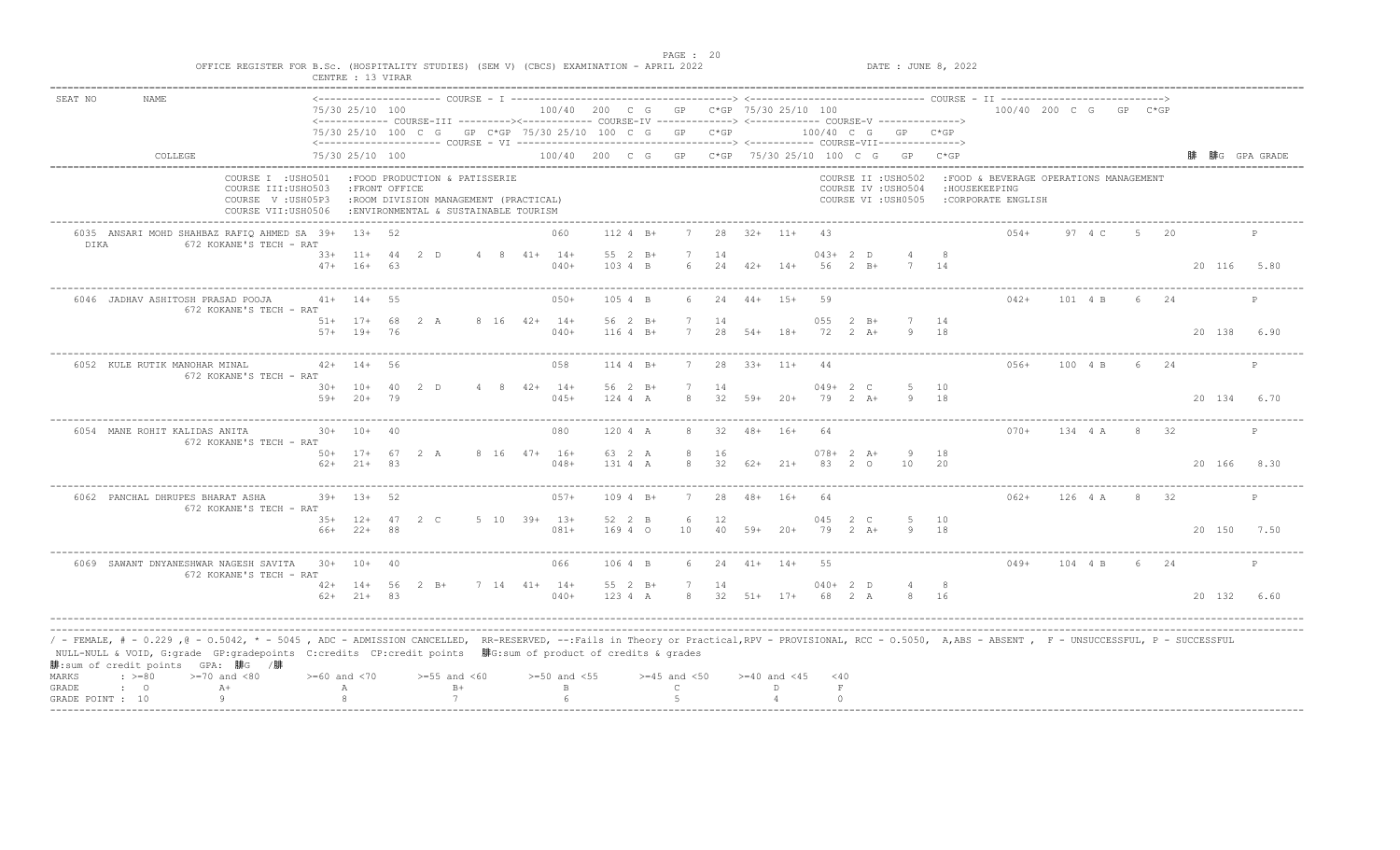| SEAT NO | <b>NAME</b>                                                                                                                                                                                                                                                                                                                                                                                |                                                                                      | 75/30 25/10 100              |          | <------------ COURSE-III ---------><----------- COURSE-IV -------------> <------------- COURSE-V ------------->> |                        | 100/40 200 C G GP C*GP 75/30 25/10 100 |                      |                  |          |                  |                  |                        |                                    |                                                                   |           | 100/40 200 C G GP C*GP                                                         |         |       |      |             |              |
|---------|--------------------------------------------------------------------------------------------------------------------------------------------------------------------------------------------------------------------------------------------------------------------------------------------------------------------------------------------------------------------------------------------|--------------------------------------------------------------------------------------|------------------------------|----------|------------------------------------------------------------------------------------------------------------------|------------------------|----------------------------------------|----------------------|------------------|----------|------------------|------------------|------------------------|------------------------------------|-------------------------------------------------------------------|-----------|--------------------------------------------------------------------------------|---------|-------|------|-------------|--------------|
|         |                                                                                                                                                                                                                                                                                                                                                                                            |                                                                                      |                              |          | 75/30 25/10 100 C G GP C*GP 75/30 25/10 100 C G GP C*GP                                                          |                        |                                        |                      |                  |          |                  |                  |                        |                                    | 100/40 C G GP C*GP                                                |           |                                                                                |         |       |      |             |              |
|         | COLLEGE                                                                                                                                                                                                                                                                                                                                                                                    |                                                                                      | 75/30 25/10 100              |          |                                                                                                                  |                        |                                        |                      |                  |          |                  |                  |                        |                                    | 100/40 200 C G GP C*GP 75/30 25/10 100 C G GP C*GP                |           |                                                                                |         |       |      |             | 腓G GPA GRADE |
|         |                                                                                                                                                                                                                                                                                                                                                                                            | COURSE I : USHO501<br>COURSE III: USHO503<br>COURSE V: USH05P3<br>COURSE VII:USH0506 | : FRONT OFFICE               |          | :FOOD PRODUCTION & PATISSERIE<br>:ROOM DIVISION MANAGEMENT (PRACTICAL)<br>: ENVIRONMENTAL & SUSTAINABLE TOURISM  |                        |                                        |                      |                  |          |                  |                  |                        |                                    | COURSE II : USHO502<br>COURSE IV : USHO504<br>COURSE VI : USH0505 |           | :FOOD & BEVERAGE OPERATIONS MANAGEMENT<br>: HOUSEKEEPING<br>:CORPORATE ENGLISH |         |       |      |             |              |
| DIKA    | 6035 ANSARI MOHD SHAHBAZ RAFIQ AHMED SA 39+ 13+ 52                                                                                                                                                                                                                                                                                                                                         | 672 KOKANE'S TECH - RAT                                                              |                              |          |                                                                                                                  |                        | 060                                    | 112 4 B+             |                  |          | $28$ $32+$ $11+$ |                  | -43                    |                                    |                                                                   |           | $0.54+$                                                                        | 97 4 C  | $5 -$ | 20   |             | P            |
|         |                                                                                                                                                                                                                                                                                                                                                                                            |                                                                                      | $33+11+44$ 2 D<br>$47+ 16+$  | 63       |                                                                                                                  | $4 \t 8 \t 41+ \t 14+$ | $040+$                                 | 55 2 B+<br>103 4 B   | 6                | 14<br>24 | $42+$ 14+        |                  | $043+2$ D<br>$56$ 2 B+ |                                    |                                                                   | 14        |                                                                                |         |       |      | 20 116 5.80 |              |
|         | 6046 JADHAV ASHITOSH PRASAD POOJA                                                                                                                                                                                                                                                                                                                                                          | 672 KOKANE'S TECH - RAT                                                              | $41+ 14+$                    | 55       |                                                                                                                  |                        | $050+$                                 | 105 4 B              | $6^{\circ}$      | 24       | $44+$ 15+        |                  | 59                     |                                    |                                                                   |           | $042+$                                                                         | 101 4 B | $6 -$ | 24   |             | P            |
|         |                                                                                                                                                                                                                                                                                                                                                                                            | $57+$                                                                                | $51+ 17+ 68$<br>$19+$        | 76       | 2 A                                                                                                              | 8 16 42+ 14+           | $040+$                                 | 56 2 B+<br>$1164 B+$ |                  | 14<br>28 | $54+$            | $18+$            | 055<br>72              | $2 \quad B+$<br>$2 \overline{A}$ + | 7 14<br>9                                                         | 18        |                                                                                |         |       |      | 20 138      | 6.90         |
|         | 6052 KULE RUTIK MANOHAR MINAL                                                                                                                                                                                                                                                                                                                                                              | 672 KOKANE'S TECH - RAT                                                              | $42+$ 14+                    | - 56     |                                                                                                                  |                        | 058                                    | 114 4 B+             | 7                | 28       | $33+11+$         |                  | 44                     |                                    |                                                                   |           | $056+$                                                                         | 100 4 B |       | 6 24 |             | P            |
|         |                                                                                                                                                                                                                                                                                                                                                                                            | $59+$                                                                                | $30+ 10+$<br>$20+$           | 40<br>79 | ת 2                                                                                                              | $4 \t 8 \t 42+ \t 14+$ | $045+$                                 | 56 2 B+<br>$1244$ A  | $\mathcal{R}$    | 14<br>32 | $59+20+$         |                  | $049+2$ C<br>79        | $2 A +$                            | $\alpha$                                                          | 10<br>18  |                                                                                |         |       |      | 20 134      | 6.70         |
|         | 6054 MANE ROHIT KALIDAS ANITA                                                                                                                                                                                                                                                                                                                                                              | 672 KOKANE'S TECH - RAT                                                              | $30+ 10+$                    | 40       |                                                                                                                  |                        | 080                                    | 120 4 A              | 8                | 32       | $48+$            | $16+$            | -64                    |                                    |                                                                   |           | $070+$                                                                         | 134 4 A |       | 32   |             | $\mathbb{P}$ |
|         |                                                                                                                                                                                                                                                                                                                                                                                            |                                                                                      | 50+ 17+ 67<br>$62+21+83$     |          | 2 A                                                                                                              |                        | 8 16 47+ 16+<br>$048+$                 | 63 2 A<br>131 4 A    | 8<br>-8          | 16<br>32 | $62+$ 21+        |                  | $078 + 2 A+$<br>83 2 0 |                                    | -9<br>10                                                          | 18<br>20  |                                                                                |         |       |      | 20 166      | 8.30         |
|         | 6062 PANCHAL DHRUPES BHARAT ASHA                                                                                                                                                                                                                                                                                                                                                           | 672 KOKANE'S TECH - RAT                                                              | $39+$ 13+                    | 52       |                                                                                                                  |                        | $057+$                                 | $109.4 B+$           |                  | 2.8      | $48+$            | $16+$            | 64                     |                                    |                                                                   |           | $062+$                                                                         | 126 4 A | -8    | -32  |             | P            |
|         |                                                                                                                                                                                                                                                                                                                                                                                            |                                                                                      | $35+12+47$ 2 C<br>66+ 22+ 88 |          |                                                                                                                  |                        | 5 10 39+ 13+<br>$081+$                 | 52 2 B<br>169 4 0    | 6<br>10          | 12<br>40 | $59+$            | $20+$            | 045                    | 2 C<br>79 2 A+                     |                                                                   | 10<br>-18 |                                                                                |         |       |      | 20 150 7.50 |              |
|         | 6069 SAWANT DNYANESHWAR NAGESH SAVITA                                                                                                                                                                                                                                                                                                                                                      | 672 KOKANE'S TECH - RAT                                                              | $30+ 10+ 40$                 |          |                                                                                                                  |                        | 066                                    | 106 4 B              | 6                | 24       | $41+ 14+$        |                  | 55                     |                                    |                                                                   |           | $049+$                                                                         | 104 4 B |       | 6 24 |             | P            |
|         |                                                                                                                                                                                                                                                                                                                                                                                            |                                                                                      | $42+ 14+ 56$<br>$62+$ 21+ 83 |          | $2 \quad B+$                                                                                                     | $7$ 14 41+ 14+         | $040+$                                 | 55 2 B+<br>123 4 A   | - 7<br>8         | 14       |                  | $32$ $51+$ $17+$ | $040+2$ D<br>68 2 A    |                                    |                                                                   | - 8<br>16 |                                                                                |         |       |      | 20 132      | 6.60         |
| MARKS   | / - FEMALE, # - 0.229 ,@ - 0.5042, * - 5045 , ADC - ADMISSION CANCELLED, RR-RESERVED, --:Fails in Theory or Practical,RPV - PROVISIONAL, RCC - 0.5050, A,ABS - ABSENT , F - UNSUCCESSFUL, P - SUCCESSFUL<br>NULL-NULL & VOID, G:grade GP:gradepoints C:credits CP:credit points 腓G:sum of product of credits & grades<br>腓:sum of credit points GPA: 腓G /腓<br>$: >=80$<br>$>=70$ and $<80$ | $>= 60$ and $< 70$                                                                   |                              |          | $>=55$ and $<60$                                                                                                 |                        | $>=50$ and $<55$                       |                      | $>=45$ and $<50$ |          |                  | $>=40$ and $<45$ | $<$ 40                 |                                    |                                                                   |           |                                                                                |         |       |      |             |              |
| GRADE   | $A+$<br>$\mathbf{C}$                                                                                                                                                                                                                                                                                                                                                                       |                                                                                      | А                            |          | $B+$                                                                                                             |                        | $\mathbb B$                            |                      | $\mathsf{C}$     |          |                  | D                | $\;$ F                 |                                    |                                                                   |           |                                                                                |         |       |      |             |              |

end the state of the state of the state of the state of the state of the state of the state of the state of the state of the state of the state of the state of the state of the state of the state of the state of the state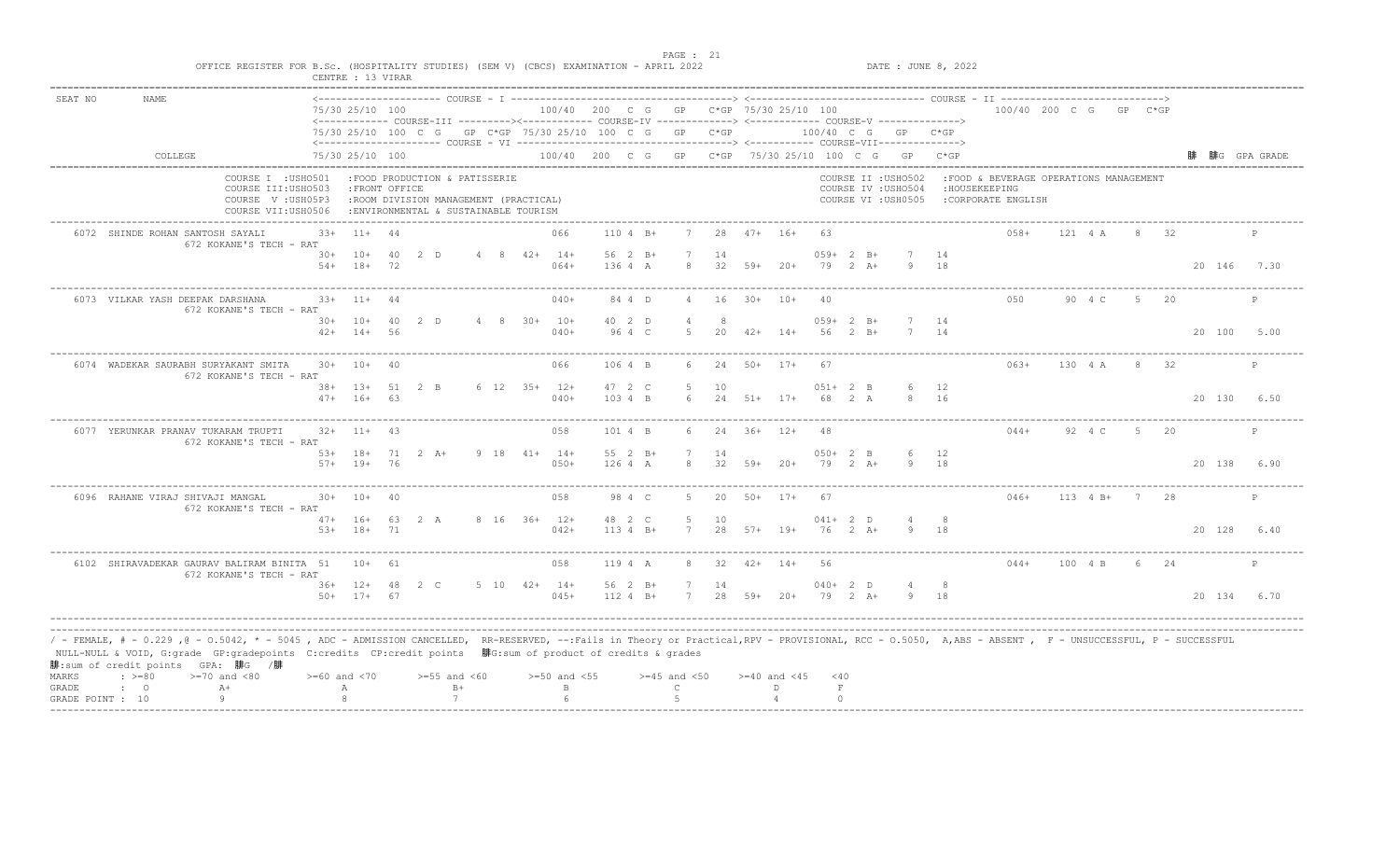|         |                                                                                                                                                                                                                                                                                                                                                                                             |                    | CENTRE : 13 VIRAR                |              |                                                                                                                 |  |                                                                                                                  |                       |                      |           |       |                                                    |                       |                    |                                                                   |            |                                                                                |          |                |      |             |              |
|---------|---------------------------------------------------------------------------------------------------------------------------------------------------------------------------------------------------------------------------------------------------------------------------------------------------------------------------------------------------------------------------------------------|--------------------|----------------------------------|--------------|-----------------------------------------------------------------------------------------------------------------|--|------------------------------------------------------------------------------------------------------------------|-----------------------|----------------------|-----------|-------|----------------------------------------------------|-----------------------|--------------------|-------------------------------------------------------------------|------------|--------------------------------------------------------------------------------|----------|----------------|------|-------------|--------------|
| SEAT NO | <b>NAME</b>                                                                                                                                                                                                                                                                                                                                                                                 |                    | 75/30 25/10 100                  |              |                                                                                                                 |  | <------------ COURSE-III ----------><----------- COURSE-IV -------------> <------------ COURSE-V ------------->> |                       |                      |           |       | 100/40 200 C G GP C*GP 75/30 25/10 100             |                       |                    |                                                                   |            | 100/40 200 C G GP C*GP                                                         |          |                |      |             |              |
|         |                                                                                                                                                                                                                                                                                                                                                                                             |                    |                                  |              |                                                                                                                 |  | 75/30 25/10 100 C G GP C*GP 75/30 25/10 100 C G GP C*GP                                                          |                       |                      |           |       |                                                    |                       |                    | 100/40 C G GP C*GP                                                |            |                                                                                |          |                |      |             |              |
|         | COLLEGE                                                                                                                                                                                                                                                                                                                                                                                     |                    | 75/30 25/10 100                  |              |                                                                                                                 |  |                                                                                                                  |                       |                      |           |       | 100/40 200 C G GP C*GP 75/30 25/10 100 C G GP C*GP |                       |                    |                                                                   |            |                                                                                |          |                |      |             | 腓G GPA GRADE |
|         | COURSE I : USHO501<br>COURSE III: USHO503<br>COURSE V: USH05P3<br>COURSE VII:USH0506                                                                                                                                                                                                                                                                                                        |                    | : FRONT OFFICE                   |              | :FOOD PRODUCTION & PATISSERIE<br>:ROOM DIVISION MANAGEMENT (PRACTICAL)<br>: ENVIRONMENTAL & SUSTAINABLE TOURISM |  |                                                                                                                  |                       |                      |           |       |                                                    |                       |                    | COURSE II : USHO502<br>COURSE IV : USHO504<br>COURSE VI : USH0505 |            | :FOOD & BEVERAGE OPERATIONS MANAGEMENT<br>: HOUSEKEEPING<br>:CORPORATE ENGLISH |          |                |      |             |              |
|         | 6072 SHINDE ROHAN SANTOSH SAYALI<br>672 KOKANE'S TECH - RAT                                                                                                                                                                                                                                                                                                                                 | $33+$              | $11+ 44$                         |              |                                                                                                                 |  | 066                                                                                                              | $1104 B+$             |                      | 28        |       | $47+ 16+$                                          | 63                    |                    |                                                                   |            | $0.58+$                                                                        | 121 4 A  |                | 8 32 |             | P            |
|         |                                                                                                                                                                                                                                                                                                                                                                                             | $54+$              | $30+ 10+$<br>$18+$               | 40 2 D<br>72 |                                                                                                                 |  | $4 \t 8 \t 42+ \t 14+$<br>$064+$                                                                                 | 56 2 B+<br>136 4 A    | 8                    | 14        |       | $32$ $59+$ $20+$                                   | $059+2 B+$<br>79 2 A+ |                    | 9                                                                 | 14<br>18   |                                                                                |          |                |      | 20 146 7.30 |              |
|         | 6073 VILKAR YASH DEEPAK DARSHANA<br>672 KOKANE'S TECH - RAT                                                                                                                                                                                                                                                                                                                                 |                    | $33+11+44$                       |              |                                                                                                                 |  | $040+$                                                                                                           | 84 4 D                | $\overline{4}$       | 16        |       | $30+ 10+$                                          | 40                    |                    |                                                                   |            | 0.50                                                                           | 90 4 C   | -5             | 20   |             | P            |
|         |                                                                                                                                                                                                                                                                                                                                                                                             | $42+$              | $30+ 10+ 40$<br>$14+$            | - 56         | 2 D                                                                                                             |  | 4 8 30+ 10+<br>$040+$                                                                                            | 40 2 D<br>96 4 C      | .5.                  | 20        |       | $42+$ 14+                                          | $059+2 B+$<br>56      | $2 \quad B+$       | 7 14                                                              | 14         |                                                                                |          |                |      | 20 100      | 5.00         |
|         | 6074 WADEKAR SAURABH SURYAKANT SMITA<br>672 KOKANE'S TECH - RAT                                                                                                                                                                                                                                                                                                                             |                    | $30+ 10+ 40$                     |              |                                                                                                                 |  | 066                                                                                                              | 106 4 B               | 6                    | 24        |       | 50+ 17+                                            | - 67                  |                    |                                                                   |            | $063+$                                                                         | 130 4 A  |                | 8 32 |             | P            |
|         |                                                                                                                                                                                                                                                                                                                                                                                             | $47+$              | 38+ 13+ 51 2 B<br>$16+$          | 63           |                                                                                                                 |  | $6$ 12 35+ 12+<br>$040+$                                                                                         | 47 2 C<br>103.4 B     | 5<br>6               | 10<br>2.4 |       | $51+$ 17+                                          | $051+2$ B<br>68       | 2 A                | 6                                                                 | 12<br>8 16 |                                                                                |          |                |      | 20 130      | 6.50         |
|         | 6077 YERUNKAR PRANAV TUKARAM TRUPTI<br>672 KOKANE'S TECH - RAT                                                                                                                                                                                                                                                                                                                              |                    | $32+$ 11+ 43                     |              |                                                                                                                 |  | 058                                                                                                              | 101 4 B               |                      | 24        |       | $36+$ 12+                                          | 48                    |                    |                                                                   |            | $044+$                                                                         | 92 4 C   |                | 20   |             | P            |
|         |                                                                                                                                                                                                                                                                                                                                                                                             |                    | 53+ 18+ 71 2 A+<br>$57+$ 19+ 76  |              |                                                                                                                 |  | $9$ 18 41+ 14+<br>$050+$                                                                                         | 55 2 B+<br>126 4 A    | $7\phantom{.0}$<br>8 | 14<br>32  |       | 59+ 20+                                            | $050+2$ B<br>79       | $2 \overline{A}$ + | 6<br>-9                                                           | 12<br>18   |                                                                                |          |                |      | 20 138 6.90 |              |
|         | 6096 RAHANE VIRAJ SHIVAJI MANGAL<br>672 KOKANE'S TECH - RAT                                                                                                                                                                                                                                                                                                                                 | 30+                | $10+$                            | 40           |                                                                                                                 |  | 058                                                                                                              | 98 4 C                | .5.                  | 20        | $50+$ | $17+$                                              | 67                    |                    |                                                                   |            | $046+$                                                                         | 113 4 B+ | $7\phantom{0}$ | -28  |             | P            |
|         |                                                                                                                                                                                                                                                                                                                                                                                             | $5.3+$             | $47+ 16+ 63 2 A$<br>$18 + 71$    |              |                                                                                                                 |  | 8 16 36+ 12+<br>$042+$                                                                                           | 48 2 C<br>$1134 B+$   | .5.<br>7             | 10<br>2.8 |       | $57 + 19 +$                                        | $041+2$ D<br>76 2 A+  |                    | Q                                                                 | - 8<br>18  |                                                                                |          |                |      | 20 128 6.40 |              |
|         | 6102 SHIRAVADEKAR GAURAV BALIRAM BINITA 51<br>672 KOKANE'S TECH - RAT                                                                                                                                                                                                                                                                                                                       |                    | $10+ 61$                         |              |                                                                                                                 |  | 058                                                                                                              | 119 4 A               | 8                    | 32        |       | $42+$ 14+                                          | 56                    |                    |                                                                   |            | $044+$                                                                         | 100 4 B  |                | 6 24 |             | P            |
|         |                                                                                                                                                                                                                                                                                                                                                                                             |                    | $36+ 12+ 48 2 C$<br>$50+ 17+ 67$ |              |                                                                                                                 |  | $5\quad 10\quad 42+14+$<br>$045+$                                                                                | 56 2 B+<br>$112 4 B+$ | 7                    | 14        |       | 7 28 59+ 20+                                       | $040+2$ D<br>79 2 A+  |                    | 9 18                                                              | - 8        |                                                                                |          |                |      | 20 134 6.70 |              |
| MARKS   | / - FEMALE, # - 0.229 ,@ - 0.5042, * - 5045 , ADC - ADMISSION CANCELLED, RR-RESERVED, --:Fails in Theory or Practical,RPV - PROVISIONAL, RCC - 0.5050, A,ABS - ABSENT , F - UNSUCCESSFUL, P - SUCCESSFUL/<br>NULL-NULL & VOID, G:grade GP:gradepoints C:credits CP:credit points 腓G:sum of product of credits & grades<br>腓:sum of credit points GPA: 腓G /腓<br>$: >=80$<br>$>=70$ and $<80$ | $>= 60$ and $< 70$ |                                  |              | $>=55$ and $<60$                                                                                                |  | $>=50$ and $<55$                                                                                                 |                       | $>=45$ and $<50$     |           |       | $>= 40$ and $< 45$                                 | $<$ 40                |                    |                                                                   |            |                                                                                |          |                |      |             |              |
| GRADE   | $A+$<br>$\mathbf{C}$<br>Q                                                                                                                                                                                                                                                                                                                                                                   |                    | Α                                |              | $B+$<br>7                                                                                                       |  | $\mathbf{B}$<br>$6^{\circ}$                                                                                      |                       | $\mathcal{C}$        |           |       | D.                                                 | $\,$ F<br>$\Omega$    |                    |                                                                   |            |                                                                                |          |                |      |             |              |
|         | GRADE POINT : 10                                                                                                                                                                                                                                                                                                                                                                            |                    |                                  |              |                                                                                                                 |  |                                                                                                                  |                       |                      |           |       |                                                    |                       |                    |                                                                   |            |                                                                                |          |                |      |             |              |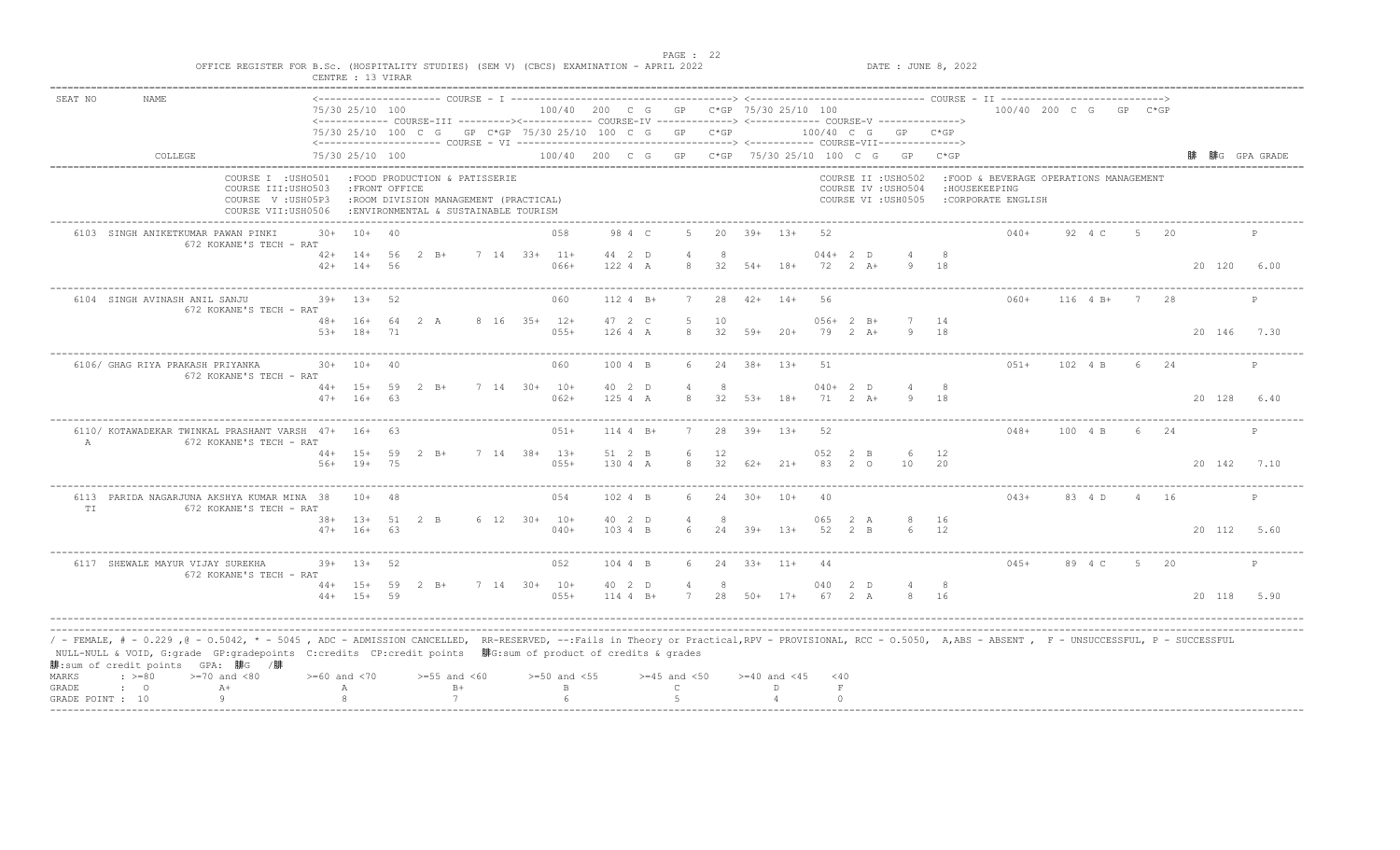| SEAT NO | <b>NAME</b>                                      |                                                                                                                                                                                                                                                                                                                                            |                                    |    |                                                                                                                  |              |                                        |                      |                                 |           |                  |                    |               |                       |                                                                   |             |                                                                                 |          |                |      |             |              |
|---------|--------------------------------------------------|--------------------------------------------------------------------------------------------------------------------------------------------------------------------------------------------------------------------------------------------------------------------------------------------------------------------------------------------|------------------------------------|----|------------------------------------------------------------------------------------------------------------------|--------------|----------------------------------------|----------------------|---------------------------------|-----------|------------------|--------------------|---------------|-----------------------|-------------------------------------------------------------------|-------------|---------------------------------------------------------------------------------|----------|----------------|------|-------------|--------------|
|         |                                                  |                                                                                                                                                                                                                                                                                                                                            | 75/30 25/10 100                    |    | <------------ COURSE-III ----------><----------- COURSE-IV -------------> <------------ COURSE-V ------------->> |              | 100/40 200 C G GP C*GP 75/30 25/10 100 |                      |                                 |           |                  |                    |               |                       |                                                                   |             | 100/40 200 C G GP C*GP                                                          |          |                |      |             |              |
|         |                                                  |                                                                                                                                                                                                                                                                                                                                            |                                    |    | 75/30 25/10 100 C G GP C*GP 75/30 25/10 100 C G GP C*GP                                                          |              |                                        |                      |                                 |           |                  |                    |               |                       | 100/40 C G GP C*GP                                                |             |                                                                                 |          |                |      |             |              |
|         | COLLEGE                                          |                                                                                                                                                                                                                                                                                                                                            | 75/30 25/10 100                    |    |                                                                                                                  |              |                                        |                      |                                 |           |                  |                    |               |                       | 100/40 200 C G GP C*GP 75/30 25/10 100 C G GP C*GP                |             |                                                                                 |          |                |      |             | 腓G GPA GRADE |
|         |                                                  | COURSE I : USHO501<br>COURSE III: USHO503<br>COURSE V: USH05P3<br>COURSE VII:USH0506                                                                                                                                                                                                                                                       | : FRONT OFFICE                     |    | :FOOD PRODUCTION & PATISSERIE<br>:ROOM DIVISION MANAGEMENT (PRACTICAL)<br>: ENVIRONMENTAL & SUSTAINABLE TOURISM  |              |                                        |                      |                                 |           |                  |                    |               |                       | COURSE II : USHO502<br>COURSE IV : USHO504<br>COURSE VI : USH0505 |             | : FOOD & BEVERAGE OPERATIONS MANAGEMENT<br>: HOUSEKEEPING<br>:CORPORATE ENGLISH |          |                |      |             |              |
|         | 6103 SINGH ANIKETKUMAR PAWAN PINKI               | 30+<br>672 KOKANE'S TECH - RAT                                                                                                                                                                                                                                                                                                             | $10+40$                            |    |                                                                                                                  |              | 058                                    | 98 4 C               | -5                              |           | $20 \t39+ \t13+$ |                    | -52           |                       |                                                                   |             | $040+$                                                                          | 92 4 C   | $5 -$          | - 20 |             | P            |
|         |                                                  |                                                                                                                                                                                                                                                                                                                                            | $42+$ 14+ 56<br>$42+$ 14+          | 56 | $2 \quad B+$                                                                                                     | 7 14 33+ 11+ | $066+$                                 | 44 2 D<br>122 4 A    | -8                              | -8        | $32$ $54+$ $18+$ |                    | $044+2$ D     | 72 2 A+               |                                                                   | 18          |                                                                                 |          |                |      | 20 120      | 6.00         |
|         | 6104 SINGH AVINASH ANIL SANJU                    | 672 KOKANE'S TECH - RAT                                                                                                                                                                                                                                                                                                                    | $39+$ 13+                          | 52 |                                                                                                                  |              | 060                                    | 112 4 B+             |                                 | 28        | $42+$ 14+        |                    | 56            |                       |                                                                   |             | $060+$                                                                          | 116 4 B+ | 7              | 28   |             | P            |
|         |                                                  | $53+$                                                                                                                                                                                                                                                                                                                                      | 48+ 16+ 64 2 A<br>$18+$            | 71 |                                                                                                                  | 8 16 35+ 12+ | $055+$                                 | 47 2 C<br>126 4 A    | -5<br>$\mathcal{R}$             | 10<br>32  | $59+$            | $20+$              |               | $056+2 B+$<br>79 2 A+ | 7 14<br>9                                                         | 18          |                                                                                 |          |                |      | 20 146      | 7.30         |
|         | 6106/ GHAG RIYA PRAKASH PRIYANKA                 | 672 KOKANE'S TECH - RAT                                                                                                                                                                                                                                                                                                                    | $30+ 10+$                          | 40 |                                                                                                                  |              | 060                                    | 100 4 B              | 6                               | 24        | $38 + 13 +$      |                    | 51            |                       |                                                                   |             | $051+$                                                                          | 102 4 B  |                | 6 24 |             | P            |
|         |                                                  |                                                                                                                                                                                                                                                                                                                                            | $44+ 15+ 59$ 2 B+<br>$47+ 16+$     | 63 |                                                                                                                  | 7 14 30+ 10+ | $062+$                                 | 40 2 D<br>1254A      | $\overline{a}$<br>$\mathcal{R}$ | - 8<br>32 | $53+$ 18+        |                    | $040+2$ D     | 71 2 A+               | 9 18                                                              |             |                                                                                 |          |                |      | 20 128      | 6.40         |
| A       |                                                  | 6110/ KOTAWADEKAR TWINKAL PRASHANT VARSH 47+ 16+ 63<br>672 KOKANE'S TECH - RAT                                                                                                                                                                                                                                                             |                                    |    |                                                                                                                  |              | $051+$                                 | 114 4 B+             |                                 | 28        | $39+$ 13+        |                    | 52            |                       |                                                                   |             | $048+$                                                                          | 100 4 B  |                | 24   |             | $\mathbb{P}$ |
|         |                                                  |                                                                                                                                                                                                                                                                                                                                            | $44+ 15+ 59$<br>56+ 19+ 75         |    | $2 \quad B+$                                                                                                     | 7 14 38+ 13+ | $055+$                                 | 51 2 B<br>130 4 A    | 6<br>8                          | 12<br>32  | $62+$ 21+        |                    | 052 2 B<br>83 | $2^{\circ}$           | - 6<br>10                                                         | 12<br>20    |                                                                                 |          |                |      | 20 142 7.10 |              |
| TT.     |                                                  | 6113 PARIDA NAGARJUNA AKSHYA KUMAR MINA 38<br>672 KOKANE'S TECH - RAT                                                                                                                                                                                                                                                                      | $10+$                              | 48 |                                                                                                                  |              | 054                                    | 102 4 B              | 6                               | 2.4       | $30+$            | $10+$              | 40            |                       |                                                                   |             | $043+$                                                                          | 83 4 D   | $\overline{4}$ | - 16 |             | P            |
|         |                                                  |                                                                                                                                                                                                                                                                                                                                            | $38 + 13 + 51$ 2 B<br>$47+ 16+ 63$ |    |                                                                                                                  | 6 12 30+ 10+ | $040+$                                 | 40 2 D<br>103 4 B    |                                 | -8        | $24$ $39+$       | $1.3+$             | 065<br>52 2 B | 2 A                   |                                                                   | 16<br>12    |                                                                                 |          |                |      | 20 112 5.60 |              |
|         | 6117 SHEWALE MAYUR VIJAY SUREKHA                 | 672 KOKANE'S TECH - RAT                                                                                                                                                                                                                                                                                                                    | $39+ 13+ 52$                       |    |                                                                                                                  |              | 052                                    | 104 4 B              | 6                               |           | $24$ $33+$ $11+$ |                    | -44           |                       |                                                                   |             | $045+$                                                                          | 89 4 C   | 5 20           |      |             | P            |
|         |                                                  |                                                                                                                                                                                                                                                                                                                                            | 44+ 15+ 59 2 B+<br>$44+ 15+ 59$    |    |                                                                                                                  | 7 14 30+ 10+ | $055+$                                 | 40 2 D<br>$114 4 B+$ | $\overline{4}$<br>7             | 8         |                  | 28 50+ 17+ 67 2 A  | 040 2 D       |                       |                                                                   | - 8<br>8 16 |                                                                                 |          |                |      | 20 118 5.90 |              |
| MARKS   | 腓:sum of credit points GPA: 腓G /腓<br>$\div$ >=80 | / - FEMALE, # - 0.229 ,@ - 0.5042, * - 5045 , ADC - ADMISSION CANCELLED, RR-RESERVED, --:Fails in Theory or Practical,RPV - PROVISIONAL, RCC - 0.5050, A,ABS - ABSENT , F - UNSUCCESSFUL, P - SUCCESSFUL/<br>NULL-NULL & VOID, G:grade GP:gradepoints C:credits CP:credit points 腓G:sum of product of credits & grades<br>$>=70$ and $<80$ | $>= 60$ and $< 70$                 |    | $>=55$ and $<60$                                                                                                 |              | $>=50$ and $<55$                       |                      | $>=45$ and $<50$                |           |                  | $>= 40$ and $< 45$ | $<$ 40        |                       |                                                                   |             |                                                                                 |          |                |      |             |              |
| GRADE   | $\mathbf{C}$                                     | $A+$                                                                                                                                                                                                                                                                                                                                       | А                                  |    | $B+$                                                                                                             |              | $\mathbb B$                            |                      | $\mathsf{C}$                    |           |                  | D                  | $\;$ F        |                       |                                                                   |             |                                                                                 |          |                |      |             |              |

end the state of the state of the state of the state of the state of the state of the state of the state of the state of the state of the state of the state of the state of the state of the state of the state of the state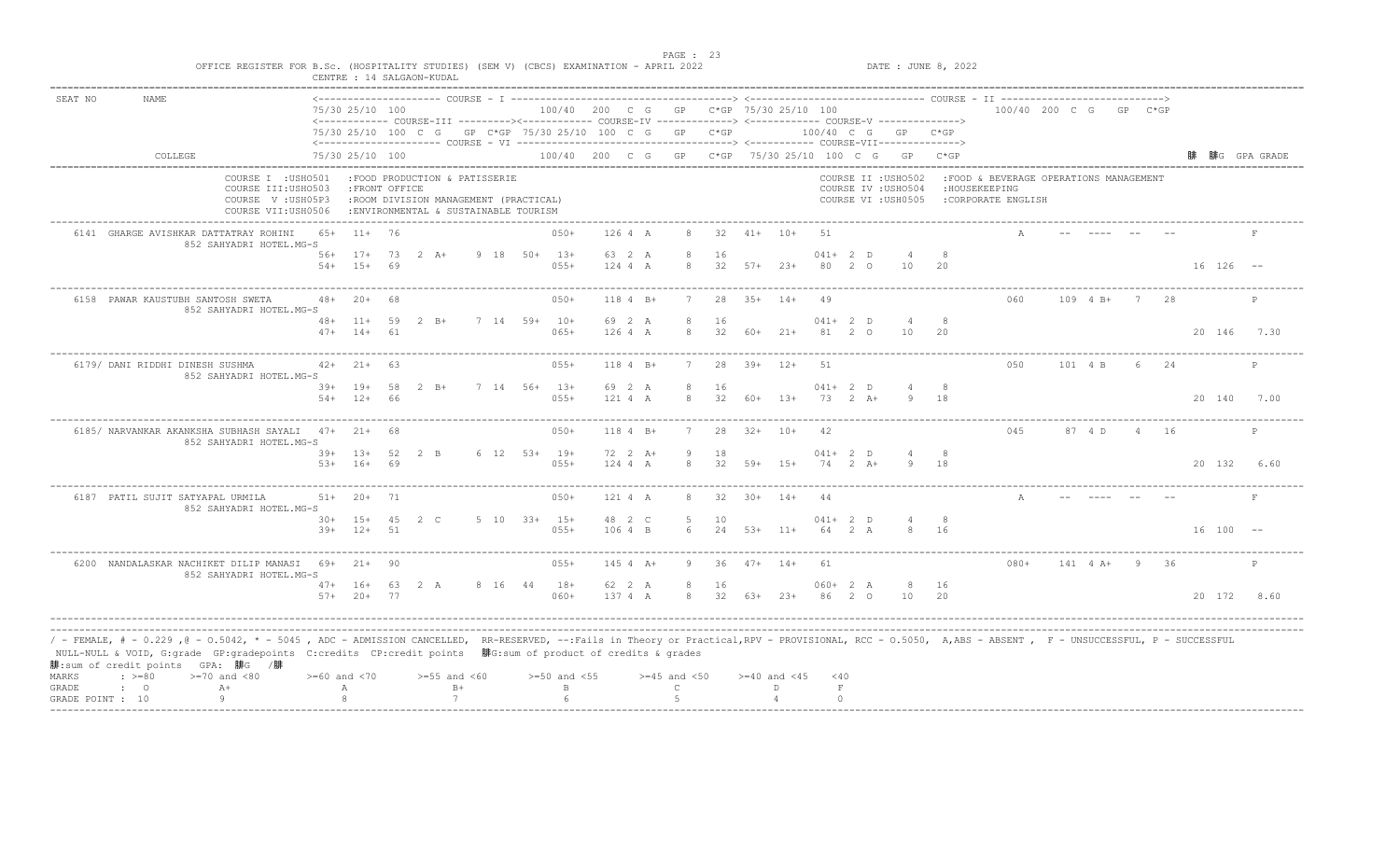| OFFICE REGISTER FOR B.Sc. (HOSPITALITY STUDIES) (SEM V) (CBCS) EXAMINATION - APRIL 2022                                                                                                                                                                                                                                                                                                                                              |                    |                                |          | CENTRE : 14 SALGAON-KUDAL                                                                                       |              |                                        |                     |                                  |                        |                          |                          |             |                                 | DATE : JUNE 8, 2022                                               |               |                                                                                 |               |                 |      |                  |      |
|--------------------------------------------------------------------------------------------------------------------------------------------------------------------------------------------------------------------------------------------------------------------------------------------------------------------------------------------------------------------------------------------------------------------------------------|--------------------|--------------------------------|----------|-----------------------------------------------------------------------------------------------------------------|--------------|----------------------------------------|---------------------|----------------------------------|------------------------|--------------------------|--------------------------|-------------|---------------------------------|-------------------------------------------------------------------|---------------|---------------------------------------------------------------------------------|---------------|-----------------|------|------------------|------|
| SEAT NO<br><b>NAME</b>                                                                                                                                                                                                                                                                                                                                                                                                               |                    | 75/30 25/10 100                |          | <------------ COURSE-III ---------><------------ COURSE-IV -------------> <------------ COURSE-V -------------> |              | 100/40 200 C G GP C*GP 75/30 25/10 100 |                     |                                  |                        |                          |                          |             |                                 |                                                                   |               | $100/40$ 200 C G GP C*GP                                                        |               |                 |      |                  |      |
|                                                                                                                                                                                                                                                                                                                                                                                                                                      |                    |                                |          | 75/30 25/10 100 C G GP C*GP 75/30 25/10 100 C G GP C*GP                                                         |              |                                        |                     |                                  |                        |                          |                          |             |                                 | 100/40 C G GP C*GP                                                |               |                                                                                 |               |                 |      |                  |      |
| COLLEGE                                                                                                                                                                                                                                                                                                                                                                                                                              |                    | 75/30 25/10 100                |          |                                                                                                                 |              |                                        |                     |                                  |                        |                          |                          |             |                                 | 100/40 200 C G GP C*GP 75/30 25/10 100 C G GP C*GP                |               |                                                                                 |               |                 |      | 腓  腓G  GPA GRADE |      |
| COURSE I : USHO501<br>COURSE III: USHO503<br>COURSE V: USH05P3<br>COURSE VII:USH0506                                                                                                                                                                                                                                                                                                                                                 |                    | : FRONT OFFICE                 |          | :FOOD PRODUCTION & PATISSERIE<br>:ROOM DIVISION MANAGEMENT (PRACTICAL)<br>: ENVIRONMENTAL & SUSTAINABLE TOURISM |              |                                        |                     |                                  |                        |                          |                          |             |                                 | COURSE II : USHO502<br>COURSE IV : USHO504<br>COURSE VI : USH0505 |               | : FOOD & BEVERAGE OPERATIONS MANAGEMENT<br>: HOUSEKEEPING<br>:CORPORATE ENGLISH |               |                 |      |                  |      |
| 6141 GHARGE AVISHKAR DATTATRAY ROHINI<br>852 SAHYADRI HOTEL.MG-S                                                                                                                                                                                                                                                                                                                                                                     |                    | 65+ 11+ 76                     |          |                                                                                                                 |              | $050+$                                 | 126 4 A             | 8                                | 32                     |                          | $41+ 10+$                | 51          |                                 |                                                                   |               |                                                                                 |               |                 |      |                  |      |
|                                                                                                                                                                                                                                                                                                                                                                                                                                      | $54+$              | $56+$ 17+<br>$15+$             | 69       | 73 2 A+                                                                                                         | 9 18 50+ 13+ | $055+$                                 | 63 2 A<br>124 4 A   | $\mathcal{R}$                    | 16                     | $32 \quad 57+ \quad 23+$ |                          | 80          | $041+ 2 D$<br>$\overline{2}$ 0  | 10                                                                | 20            |                                                                                 |               |                 |      | $16$ $126$ --    |      |
| 6158 PAWAR KAUSTUBH SANTOSH SWETA<br>852 SAHYADRI HOTEL.MG-S                                                                                                                                                                                                                                                                                                                                                                         |                    | $48 + 20 +$                    | - 68     |                                                                                                                 |              | $050+$                                 | 118 4 B+            | 7                                |                        | $28$ $35+$ $14+$         |                          | 49          |                                 |                                                                   |               | 060                                                                             | 109 4 B+      | $7\overline{7}$ | 28   |                  | P    |
|                                                                                                                                                                                                                                                                                                                                                                                                                                      | $47+$              | $48 + 11 + 59$<br>$14+$        | 61       | $2 \text{ B} +$                                                                                                 | 7 14 59+ 10+ | $065+$                                 | 69 2 A<br>126 4 A   | -8<br>8                          | 16<br>32               | 60+                      | $21+$                    |             | $041+ 2 D$<br>81 2 0            | $\overline{4}$<br>10                                              | 8<br>20       |                                                                                 |               |                 |      | 20 146           | 7.30 |
| 6179/ DANI RIDDHI DINESH SUSHMA<br>852 SAHYADRI HOTEL.MG-S                                                                                                                                                                                                                                                                                                                                                                           |                    | $42+21+63$                     |          |                                                                                                                 |              | $055+$                                 | $1184$ B+           | 7                                |                        | $28$ $39+$ $12+$         |                          | 51          |                                 |                                                                   |               | 050                                                                             | 101 4 B       |                 | 6 24 |                  | P    |
|                                                                                                                                                                                                                                                                                                                                                                                                                                      |                    | $39+$ 19+<br>$54+$ 12+         | 58<br>66 | $2 \, B+$                                                                                                       | 7 14 56+ 13+ | $0.5.5+$                               | 69 2 A<br>121 4 A   | $\mathcal{R}$                    | 16<br>32               | $60+$                    | $13+$                    | 73          | $041+ 2 D$<br>$2 A +$           |                                                                   | <sup>18</sup> |                                                                                 |               |                 |      | 20 140           | 7.00 |
| 6185/ NARVANKAR AKANKSHA SUBHASH SAYALI 47+ 21+ 68<br>852 SAHYADRI HOTEL.MG-S                                                                                                                                                                                                                                                                                                                                                        |                    |                                |          |                                                                                                                 |              | $050+$                                 | $1184$ B+           |                                  | 28                     | $32+$                    | $10+$                    |             |                                 |                                                                   |               | 045                                                                             | 87 4 D        |                 | - 16 |                  |      |
|                                                                                                                                                                                                                                                                                                                                                                                                                                      |                    | $39+ 13+ 52$<br>$53+ 16+ 69$   |          | $2 \quad B$                                                                                                     | 6 12 53+ 19+ | $055+$                                 | 72 2 A+<br>$1244$ A | - 9<br>8                         | 18<br>32               | 59+ 15+                  |                          |             | $041+2$ D<br>$74$ 2 $\lambda$ + |                                                                   | - 18          |                                                                                 |               |                 |      | 20 132 6.60      |      |
| 6187 PATIL SUJIT SATYAPAL URMILA<br>852 SAHYADRI HOTEL.MG-S                                                                                                                                                                                                                                                                                                                                                                          |                    | $51+ 20+$                      | 71       |                                                                                                                 |              | $050+$                                 | 121 4 A             | 8                                | 32                     | $30+$                    | $14+$                    | 44          |                                 |                                                                   |               |                                                                                 |               |                 |      |                  | F    |
|                                                                                                                                                                                                                                                                                                                                                                                                                                      |                    | 30+ 15+ 45 2 C<br>$39+ 12+ 51$ |          |                                                                                                                 | 5 10 33+ 15+ | $055+$                                 | 48 2 C<br>106 4 B   | -5<br>6                          | 10<br>24               | $53+$ 11+                |                          |             | $041+ 2 D$<br>64 2 A            |                                                                   | - 8<br>16     |                                                                                 |               |                 |      | $16 100 - -$     |      |
| 6200 NANDALASKAR NACHIKET DILIP MANASI 69+ 21+ 90<br>852 SAHYADRI HOTEL.MG-S                                                                                                                                                                                                                                                                                                                                                         |                    |                                |          |                                                                                                                 |              | $055+$                                 | 145 4 A+            | 9                                | 36                     | $47 + 14 +$              |                          | 61          |                                 |                                                                   |               | $080+$                                                                          | 141 4 A+ 9 36 |                 |      |                  | P    |
|                                                                                                                                                                                                                                                                                                                                                                                                                                      | $47+$              | 16+ 63 2 A<br>$57+20+77$       |          |                                                                                                                 | 8 16 44 18+  | $060+$                                 | 62 2 A<br>1374A     | -8<br>-8                         | 16<br>$32$ $63+$ $23+$ |                          |                          |             | $060+2 A$<br>86 2 0             | -8<br>10                                                          | 16<br>20      |                                                                                 |               |                 |      | 20 172 8.60      |      |
| / - FEMALE, # - 0.229 ,@ - 0.5042, * - 5045 , ADC - ADMISSION CANCELLED, RR-RESERVED, --:Fails in Theory or Practical,RPV - PROVISIONAL, RCC - 0.5050, A,ABS - ABSENT , F - UNSUCCESSFUL, P - SUCCESSFUL<br>NULL-NULL & VOID, G:grade GP:gradepoints C:credits CP:credit points 腓G:sum of product of credits & grades<br>腓:sum of credit points GPA: 腓G /腓<br>MARKS<br>$\div$ >=80<br>$>=70$ and $<80$<br>$A+$<br>GRADE<br>$\cdot$ 0 | $>= 60$ and $< 70$ | $\mathbb{A}$                   |          | $>=55$ and $<60$<br>$B+$                                                                                        |              | $>=50$ and $<55$<br>B                  |                     | $>=45$ and $<50$<br>$\mathsf{C}$ |                        |                          | $>= 40$ and $< 45$<br>D. | $<$ 40<br>F |                                 |                                                                   |               |                                                                                 |               |                 |      |                  |      |
| -9<br>GRADE POINT : 10                                                                                                                                                                                                                                                                                                                                                                                                               |                    |                                |          | 7                                                                                                               |              |                                        |                     | $\overline{a}$                   |                        |                          |                          | $\cap$      |                                 |                                                                   |               |                                                                                 |               |                 |      |                  |      |

end the state of the state of the state of the state of the state of the state of the state of the state of the state of the state of the state of the state of the state of the state of the state of the state of the state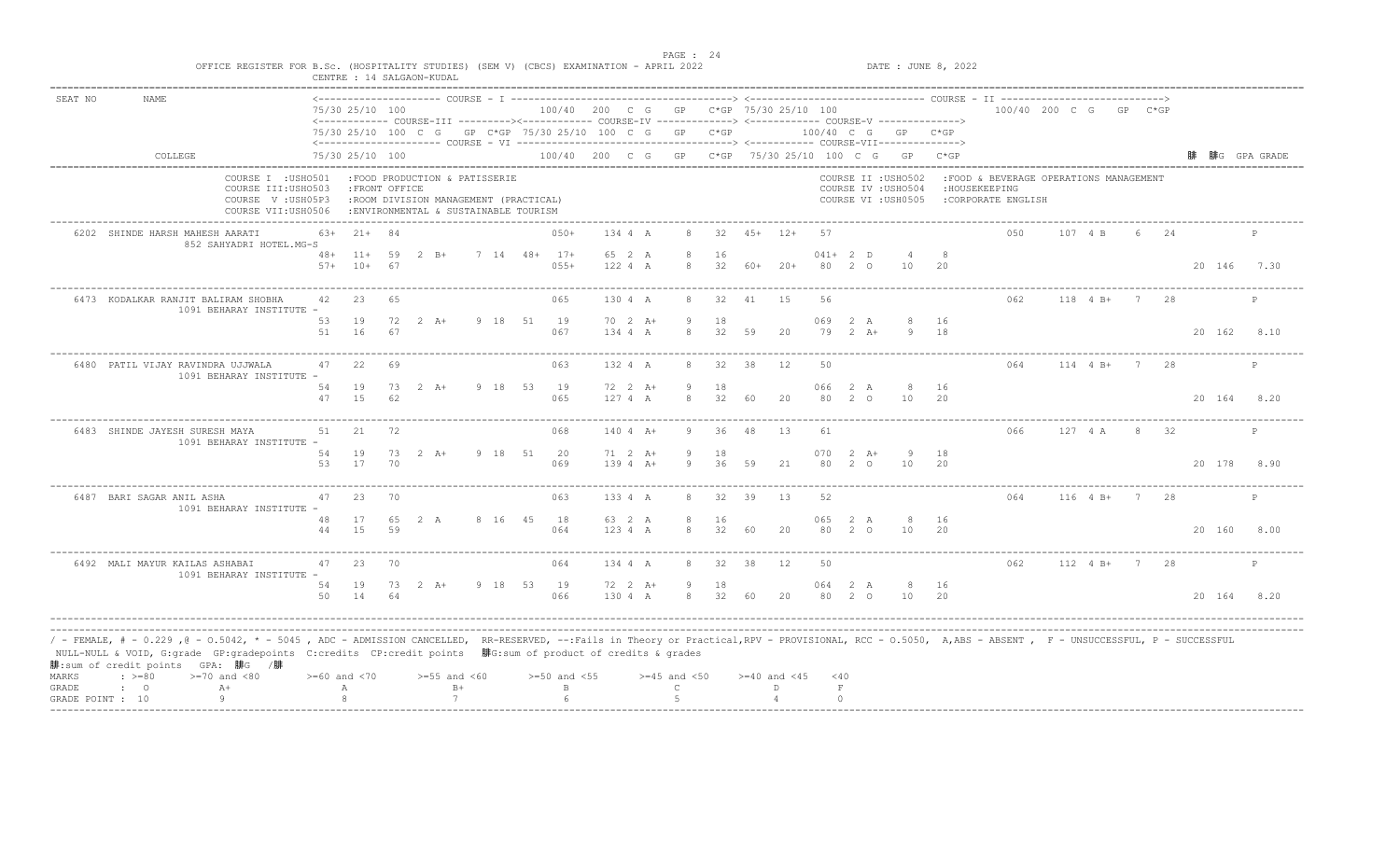| SEAT NO | <b>NAME</b>                                                                                                                                                                                                                                                                                                                                                                                 |          |                         |    |                                                                                                                  |              |                  |                      |                      |             |    |                                        |                  |                        |                                                                   |          |                                                                                |               |                 |     |             |              |
|---------|---------------------------------------------------------------------------------------------------------------------------------------------------------------------------------------------------------------------------------------------------------------------------------------------------------------------------------------------------------------------------------------------|----------|-------------------------|----|------------------------------------------------------------------------------------------------------------------|--------------|------------------|----------------------|----------------------|-------------|----|----------------------------------------|------------------|------------------------|-------------------------------------------------------------------|----------|--------------------------------------------------------------------------------|---------------|-----------------|-----|-------------|--------------|
|         |                                                                                                                                                                                                                                                                                                                                                                                             |          | 75/30 25/10 100         |    | <------------ COURSE-III ---------><----------- COURSE-IV -------------> <------------- COURSE-V ------------->> |              |                  |                      |                      |             |    | 100/40 200 C G GP C*GP 75/30 25/10 100 |                  |                        |                                                                   |          | 100/40 200 C G GP C*GP                                                         |               |                 |     |             |              |
|         |                                                                                                                                                                                                                                                                                                                                                                                             |          |                         |    | 75/30 25/10 100 C G GP C*GP 75/30 25/10 100 C G GP C*GP                                                          |              |                  |                      |                      |             |    |                                        |                  |                        | 100/40 C G GP C*GP                                                |          |                                                                                |               |                 |     |             |              |
|         | COLLEGE                                                                                                                                                                                                                                                                                                                                                                                     |          | 75/30 25/10 100         |    |                                                                                                                  |              |                  |                      |                      |             |    |                                        |                  |                        | 100/40 200 C G GP C*GP 75/30 25/10 100 C G GP C*GP                |          |                                                                                |               |                 |     |             | 腓G GPA GRADE |
|         | COURSE I : USHO501<br>COURSE III: USHO503<br>COURSE V: USH05P3<br>COURSE VII:USH0506                                                                                                                                                                                                                                                                                                        |          | : FRONT OFFICE          |    | :FOOD PRODUCTION & PATISSERIE<br>:ROOM DIVISION MANAGEMENT (PRACTICAL)<br>: ENVIRONMENTAL & SUSTAINABLE TOURISM  |              |                  |                      |                      |             |    |                                        |                  |                        | COURSE II : USHO502<br>COURSE IV : USHO504<br>COURSE VI : USH0505 |          | :FOOD & BEVERAGE OPERATIONS MANAGEMENT<br>: HOUSEKEEPING<br>:CORPORATE ENGLISH |               |                 |     |             |              |
|         | 6202 SHINDE HARSH MAHESH AARATI<br>852 SAHYADRI HOTEL.MG-S                                                                                                                                                                                                                                                                                                                                  | 63+      | $21+$ 84                |    |                                                                                                                  |              | $050+$           | 134 4 A              | 8                    |             |    | $32 \t 45+ \t 12+$                     | 57               |                        |                                                                   |          | 0.50                                                                           | 107 4 B       | 6 -             | 2.4 |             | P            |
|         |                                                                                                                                                                                                                                                                                                                                                                                             | $57+$    | $48 + 11 + 59$<br>$10+$ | 67 | $2 \quad B+$                                                                                                     | 7 14 48+ 17+ | $055+$           | 65 2 A<br>122 4 A    | 8                    | 16<br>32    |    | $60+20+$                               | $041+2$ D        | 80 2 0                 | 10                                                                | 20       |                                                                                |               |                 |     | 20 146 7.30 |              |
|         | 6473 KODALKAR RANJIT BALIRAM SHOBHA<br>1091 BEHARAY INSTITUTE -                                                                                                                                                                                                                                                                                                                             | 42       | 23                      | 65 |                                                                                                                  |              | 065              | 130 4 A              | 8                    | 32          | 41 | 15                                     | 56               |                        |                                                                   |          | 062                                                                            | $118$ 4 B+    | $7\overline{7}$ | 28  |             | P            |
|         |                                                                                                                                                                                                                                                                                                                                                                                             | 53<br>51 | 19<br>16                | 67 | $72 \t2 \tA+$                                                                                                    | 9 18 51 19   | 067              | 70 2 A+<br>134 4 A   | - 9<br>$\mathcal{R}$ | 18<br>32    | 59 | 20                                     | 069 2 A<br>79    | $2 \overline{A}$ +     | 8 16<br>9                                                         | 18       |                                                                                |               |                 |     | 20 162      | 8.10         |
|         | 6480 PATIL VIJAY RAVINDRA UJJWALA<br>1091 BEHARAY INSTITUTE                                                                                                                                                                                                                                                                                                                                 | 47       | 22                      | 69 |                                                                                                                  |              | 063              | 132 4 A              | 8                    | 32          | 38 | 12                                     | 50               |                        |                                                                   |          | 064                                                                            | $114$ 4 B+    | 7 28            |     |             | P            |
|         |                                                                                                                                                                                                                                                                                                                                                                                             | 54<br>47 | 19<br>15                | 62 | $73 \t2 \tA+$                                                                                                    | 9 18 53 19   | 065              | 72 2 A+<br>1274A     | -9<br>$\mathcal{R}$  | 18<br>32    | 60 | 20                                     | 066<br>80.       | 2 A<br>- 2.<br>$\circ$ | -8<br>10                                                          | 16<br>20 |                                                                                |               |                 |     | 20 164 8.20 |              |
|         | 6483 SHINDE JAYESH SURESH MAYA<br>1091 BEHARAY INSTITUTE -                                                                                                                                                                                                                                                                                                                                  | 51       | 21                      | 72 |                                                                                                                  |              | 068              | $140 4 A+$           | 9                    | 36          | 48 | 13                                     | 61               |                        |                                                                   |          | 066                                                                            | 127 4 A       | -8              | 32  |             | P            |
|         |                                                                                                                                                                                                                                                                                                                                                                                             | 54<br>53 | 19<br>17                | 70 | 73 2 A+                                                                                                          | 9 18 51 20   | 069              | 71 2 A+<br>$1394 A+$ | -9<br>-9             | 18<br>36    | 59 | 21                                     | $070$ 2 A+<br>80 | 2 0                    | - 9<br>10                                                         | 18<br>20 |                                                                                |               |                 |     | 20 178      | 8.90         |
|         | 6487 BARI SAGAR ANIL ASHA<br>1091 BEHARAY INSTITUTE -                                                                                                                                                                                                                                                                                                                                       | 47       | 23                      | 70 |                                                                                                                  |              | 063              | 133 4 A              | 8                    | 32          | 39 | 13                                     | 52               |                        |                                                                   |          | 064                                                                            | $116$ 4 B+ 7  |                 | -28 |             | P            |
|         |                                                                                                                                                                                                                                                                                                                                                                                             | 48<br>44 | 17<br>1.5               | 59 | 65 2 A                                                                                                           | 8 16 45      | 18<br>064        | 63 2 A<br>123 4 A    | 8<br>8               | 16<br>32    | 60 | 20                                     | 065              | 2A<br>80 2 0           | 10                                                                | 16<br>20 |                                                                                |               |                 |     | 20 160 8.00 |              |
|         | 6492 MALI MAYUR KAILAS ASHABAI<br>1091 BEHARAY INSTITUTE -                                                                                                                                                                                                                                                                                                                                  | 47       | 23                      | 70 |                                                                                                                  |              | 064              | 134 4 A              | 8                    | 32          | 38 | 12                                     | 50               |                        |                                                                   |          | 062                                                                            | 112 4 B+ 7 28 |                 |     |             | P            |
|         |                                                                                                                                                                                                                                                                                                                                                                                             | 54<br>50 | 19<br>14                | 64 | 73 2 A+                                                                                                          | 9 18 53 19   | 066              | 72 2 A+<br>130 4 A   | 9<br>8               | 18<br>32 60 |    | 20                                     | 064 2 A          | 80 2 0                 | 8<br>10                                                           | 16<br>20 |                                                                                |               |                 |     | 20 164 8.20 |              |
| MARKS   | / - FEMALE, # - 0.229 ,@ - 0.5042, * - 5045 , ADC - ADMISSION CANCELLED, RR-RESERVED, --:Fails in Theory or Practical,RPV - PROVISIONAL, RCC - 0.5050, A,ABS - ABSENT , F - UNSUCCESSFUL, P - SUCCESSFUL/<br>NULL-NULL & VOID, G:grade GP:gradepoints C:credits CP:credit points 腓G:sum of product of credits & grades<br>腓:sum of credit points GPA: 腓G /腓<br>$: >=80$<br>$>=70$ and $<80$ |          | $>= 60$ and $< 70$      |    | $>=55$ and $<60$                                                                                                 |              | $>=50$ and $<55$ |                      | $>=45$ and $<50$     |             |    | $>= 40$ and $< 45$                     | $<$ 40           |                        |                                                                   |          |                                                                                |               |                 |     |             |              |
| GRADE   | $A+$<br>$\mathbf{C}$                                                                                                                                                                                                                                                                                                                                                                        |          | Α                       |    | $B+$                                                                                                             |              | $\mathbb B$      |                      | $\mathsf{C}$         |             |    | D.                                     | $\,$ F           |                        |                                                                   |          |                                                                                |               |                 |     |             |              |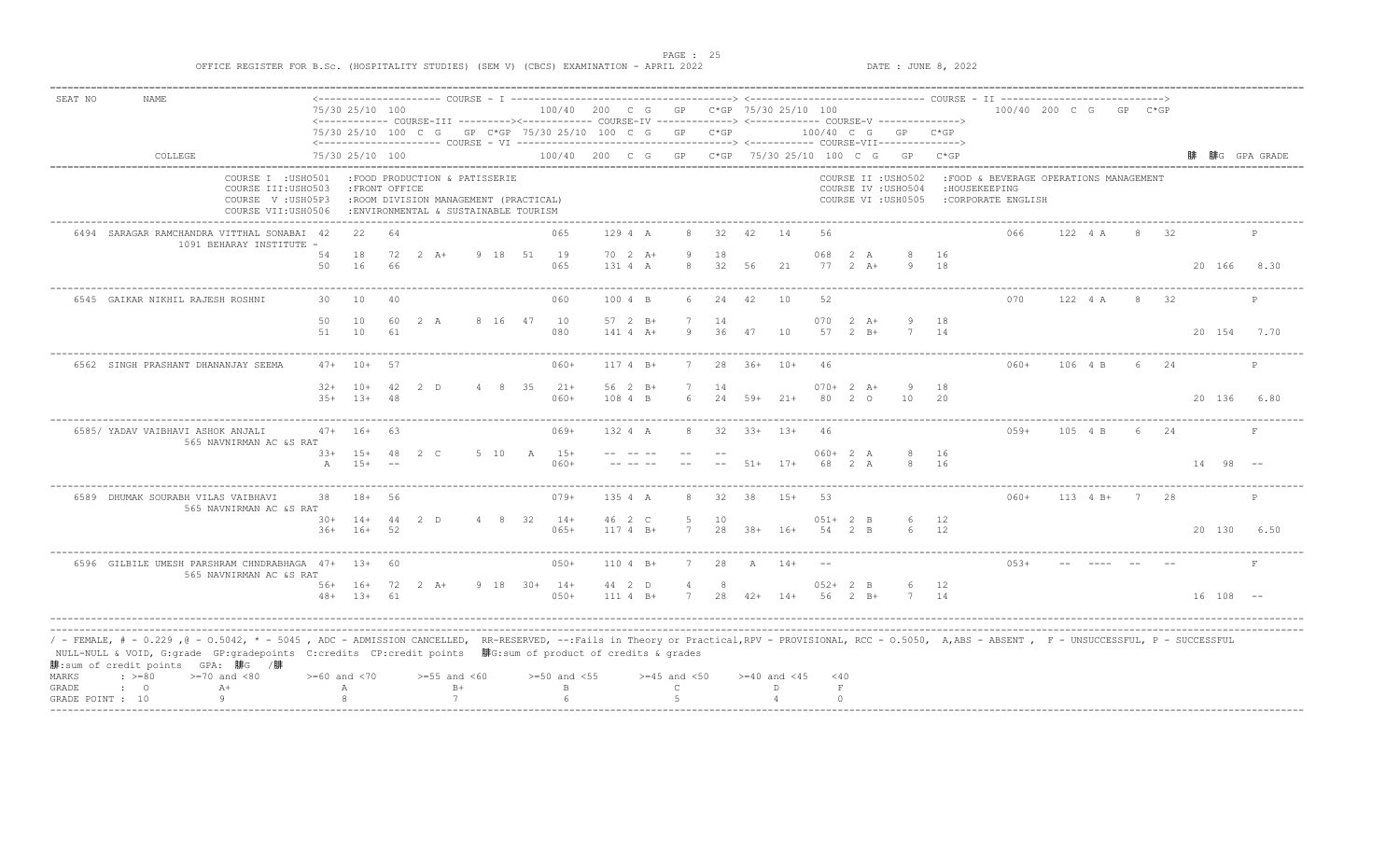| SEAT NO          | <b>NAME</b>                                                                                                                                                                                                                                                                                                           |                    |                             |                 |          |                                                                                |      |         |              |                  |                                                         |                  |          |              |                                                                                                                                                             |                  |                    |                                            |            |                                         |                        |         |                 |                |    |                        |              |
|------------------|-----------------------------------------------------------------------------------------------------------------------------------------------------------------------------------------------------------------------------------------------------------------------------------------------------------------------|--------------------|-----------------------------|-----------------|----------|--------------------------------------------------------------------------------|------|---------|--------------|------------------|---------------------------------------------------------|------------------|----------|--------------|-------------------------------------------------------------------------------------------------------------------------------------------------------------|------------------|--------------------|--------------------------------------------|------------|-----------------------------------------|------------------------|---------|-----------------|----------------|----|------------------------|--------------|
|                  |                                                                                                                                                                                                                                                                                                                       |                    |                             | 75/30 25/10 100 |          |                                                                                |      |         |              |                  |                                                         |                  |          |              | 100/40 200 C G GP C*GP 75/30 25/10 100<br><------------ COURSE-III ----------><----------- COURSE-IV -------------> <------------- COURSE-V ------------->> |                  |                    |                                            |            |                                         | 100/40 200 C G GP C*GP |         |                 |                |    |                        |              |
|                  |                                                                                                                                                                                                                                                                                                                       |                    |                             |                 |          |                                                                                |      |         |              |                  | 75/30 25/10 100 C G GP C*GP 75/30 25/10 100 C G GP C*GP |                  |          |              |                                                                                                                                                             |                  |                    | $100/40$ C G GP C*GP                       |            |                                         |                        |         |                 |                |    |                        |              |
|                  | COLLEGE                                                                                                                                                                                                                                                                                                               |                    |                             | 75/30 25/10 100 |          |                                                                                |      |         |              |                  |                                                         |                  |          |              | 100/40 200 C G GP C*GP 75/30 25/10 100 C G GP C*GP                                                                                                          |                  |                    |                                            |            |                                         |                        |         |                 |                |    |                        | 腓G GPA GRADE |
|                  |                                                                                                                                                                                                                                                                                                                       | COURSE I : USHO501 |                             |                 |          | :FOOD PRODUCTION & PATISSERIE                                                  |      |         |              |                  |                                                         |                  |          |              |                                                                                                                                                             |                  |                    | COURSE II : USHO502                        |            | : FOOD & BEVERAGE OPERATIONS MANAGEMENT |                        |         |                 |                |    |                        |              |
|                  | COURSE III:USH0503<br>COURSE V: USH05P3<br>COURSE VII:USH0506                                                                                                                                                                                                                                                         |                    |                             | : FRONT OFFICE  |          | :ROOM DIVISION MANAGEMENT (PRACTICAL)<br>: ENVIRONMENTAL & SUSTAINABLE TOURISM |      |         |              |                  |                                                         |                  |          |              |                                                                                                                                                             |                  |                    | COURSE IV : USHO504<br>COURSE VI : USH0505 |            | : HOUSEKEEPING<br>:CORPORATE ENGLISH    |                        |         |                 |                |    |                        |              |
|                  | 6494 SARAGAR RAMCHANDRA VITTHAL SONABAI 42                                                                                                                                                                                                                                                                            |                    |                             | 22              | 64       |                                                                                |      |         |              | 065              | 129 4 A                                                 |                  | 32       | 42           | 14                                                                                                                                                          | 56               |                    |                                            |            | 066                                     |                        | 122 4 A |                 | 8 <sup>8</sup> | 32 |                        |              |
|                  | 1091 BEHARAY INSTITUTE -                                                                                                                                                                                                                                                                                              |                    |                             |                 |          |                                                                                |      |         |              |                  |                                                         |                  |          |              |                                                                                                                                                             |                  |                    |                                            |            |                                         |                        |         |                 |                |    |                        |              |
|                  |                                                                                                                                                                                                                                                                                                                       |                    | 54<br>50                    | 18<br>16        | 72<br>66 | $2 \lambda +$                                                                  |      | 9 18 51 |              | 19<br>065        | $70 \t2 \tA+$<br>131 4 A                                | 8                | 18<br>32 | 56           | 21                                                                                                                                                          | 068<br>$77$ 2 A+ | 2 A                | Q                                          | - 16<br>18 |                                         |                        |         |                 |                |    |                        | 20 166 8.30  |
|                  |                                                                                                                                                                                                                                                                                                                       |                    |                             |                 |          |                                                                                |      |         |              |                  |                                                         |                  |          |              |                                                                                                                                                             |                  |                    |                                            |            |                                         |                        |         |                 |                |    |                        |              |
|                  | 6545 GAIKAR NIKHIL RAJESH ROSHNI                                                                                                                                                                                                                                                                                      |                    | 30 10                       |                 | 40       |                                                                                |      |         |              | 060              | 100 4 B                                                 | 6.               | 24       | 42           | 10                                                                                                                                                          | 52               |                    |                                            |            | 070                                     |                        | 122 4 A |                 | 8              | 32 |                        | P            |
|                  |                                                                                                                                                                                                                                                                                                                       |                    | 50                          | 10              | 60       | 2 A                                                                            |      | 8 16 47 |              | 10               | $57 \quad 2 \quad B+$                                   |                  | 14       |              |                                                                                                                                                             | 070              | $2 \overline{A}$ + |                                            | 18         |                                         |                        |         |                 |                |    |                        |              |
|                  |                                                                                                                                                                                                                                                                                                                       |                    | 51                          | 10              | 61       |                                                                                |      |         |              | 080              | $141 4 A+$                                              | 9                | 36       | 47           | 10                                                                                                                                                          | 57               | $2 \quad B+$       |                                            | 14         |                                         |                        |         |                 |                |    |                        | 20 154 7.70  |
|                  | 6562 SINGH PRASHANT DHANANJAY SEEMA                                                                                                                                                                                                                                                                                   |                    |                             | $47+ 10+ 57$    |          |                                                                                |      |         |              | $060+$           | $1174 B+$                                               | 7                |          |              | 28 36+ 10+                                                                                                                                                  | 46               |                    |                                            |            | $060+$                                  |                        | 106 4 B |                 | 6 24           |    |                        | P            |
|                  |                                                                                                                                                                                                                                                                                                                       |                    | $32+$ 10+                   |                 | 42       | 2 D                                                                            |      |         | 4 8 35       | $21+$            | $56 \t2 B+$                                             |                  | 14       |              |                                                                                                                                                             | $070+2 A+$       |                    |                                            | 18         |                                         |                        |         |                 |                |    |                        |              |
|                  |                                                                                                                                                                                                                                                                                                                       |                    | $35+$ 13+                   |                 | 48       |                                                                                |      |         |              | $060+$           | 108 4 B                                                 |                  | 2.4      | $59+$        | $21+$                                                                                                                                                       | 80               | $2\degree$         | 10                                         | 20         |                                         |                        |         |                 |                |    |                        | 20 136 6.80  |
|                  |                                                                                                                                                                                                                                                                                                                       |                    |                             |                 |          |                                                                                |      |         |              |                  |                                                         |                  |          |              |                                                                                                                                                             |                  |                    |                                            |            |                                         |                        |         |                 |                |    |                        |              |
|                  | 6585/ YADAV VAIBHAVI ASHOK ANJALI<br>565 NAVNIRMAN AC &S RAT                                                                                                                                                                                                                                                          |                    | $47+ 16+$                   |                 | 63       |                                                                                |      |         |              | 069+             | 132 4 A                                                 |                  |          |              | $32 \t33+ \t13+$                                                                                                                                            | -46              |                    |                                            |            | $059+$                                  |                        | 105 4 B |                 | 6 24           |    |                        |              |
|                  |                                                                                                                                                                                                                                                                                                                       |                    | $33+$ 15+<br>$\overline{A}$ | $15+$           | 48       | 2 C                                                                            |      |         | 5 10 A       | $15+$<br>$060+$  |                                                         |                  |          |              | $51+ 17+$                                                                                                                                                   | $060+2 A$<br>68  | 2A                 | 8<br>8                                     | 16<br>16   |                                         |                        |         |                 |                |    | $14 \t 98 \t -$        |              |
|                  |                                                                                                                                                                                                                                                                                                                       |                    |                             |                 |          |                                                                                |      |         |              |                  |                                                         |                  |          |              |                                                                                                                                                             |                  |                    |                                            |            |                                         |                        |         |                 |                |    |                        |              |
|                  | 6589 DHUMAK SOURABH VILAS VAIBHAVI<br>565 NAVNIRMAN AC &S RAT                                                                                                                                                                                                                                                         |                    | 38                          | 18+             | 56       |                                                                                |      |         |              | $079+$           | 135 4 A                                                 | 8.               | 32       | 38           | $15+$                                                                                                                                                       | 53               |                    |                                            |            | 060+                                    |                        |         | $113 \t 4 B+ 7$ |                | 28 |                        |              |
|                  |                                                                                                                                                                                                                                                                                                                       |                    |                             | $30+ 14+ 44$    |          | 2 D                                                                            |      |         | 4 8 32       | $14+$            | 46 2 C                                                  | -5               | 10       |              |                                                                                                                                                             | $051+2$ B        |                    | 6                                          | 12         |                                         |                        |         |                 |                |    |                        |              |
|                  |                                                                                                                                                                                                                                                                                                                       |                    | $36+$                       | $16+$           | 52       |                                                                                |      |         |              | $065+$           | $1174 B+$                                               |                  | 28       | $38+$        | $16+$                                                                                                                                                       | 54               | $2 - B$            |                                            | 12         |                                         |                        |         |                 |                |    | 20 130                 | 6.50         |
|                  | 6596 GILBILE UMESH PARSHRAM CHNDRABHAGA 47+ 13+                                                                                                                                                                                                                                                                       |                    |                             |                 | -60      |                                                                                |      |         |              | $050+$           | 110 4 B+                                                | $\overline{7}$   | 28       | $\mathbb{A}$ | $14+$                                                                                                                                                       |                  |                    |                                            |            | $053+$                                  |                        |         |                 |                |    |                        |              |
|                  | 565 NAVNIRMAN AC &S RAT                                                                                                                                                                                                                                                                                               |                    |                             |                 |          | 56+ 16+ 72 2 A+                                                                |      |         | 9 18 30+ 14+ |                  | 44 2 D                                                  |                  | 8        |              |                                                                                                                                                             | $052+2$ B        |                    |                                            | 12         |                                         |                        |         |                 |                |    |                        |              |
|                  |                                                                                                                                                                                                                                                                                                                       |                    | $48 + 13 +$                 |                 | 61       |                                                                                |      |         |              | $0.50+$          | $1114 B+$                                               |                  | 2.8      | $42+$        | $14+$                                                                                                                                                       | 56               | $2 R +$            |                                            | 14         |                                         |                        |         |                 |                |    | $16 \quad 108 \quad -$ |              |
|                  |                                                                                                                                                                                                                                                                                                                       |                    |                             |                 |          |                                                                                |      |         |              |                  |                                                         |                  |          |              |                                                                                                                                                             |                  |                    |                                            |            |                                         |                        |         |                 |                |    |                        |              |
|                  | / - FEMALE, # - 0.229 ,0 - 0.5042, * - 5045 , ADC - ADMISSION CANCELLED, RR-RESERVED, --:Fails in Theory or Practical,RPV - PROVISIONAL, RCC - 0.5050, A,ABS - ABSENT , F - UNSUCCESSFUL, P - SUCCESSFUL<br>NULL-NULL & VOID, G:grade GP:gradepoints C:credits CP:credit points 腓G:sum of product of credits & grades |                    |                             |                 |          |                                                                                |      |         |              |                  |                                                         |                  |          |              |                                                                                                                                                             |                  |                    |                                            |            |                                         |                        |         |                 |                |    |                        |              |
| MARKS            | 腓: sum of credit points GPA: 腓G /腓<br>$: >=80$<br>$>=70$ and $<80$                                                                                                                                                                                                                                                    |                    | $>= 60$ and $< 70$          |                 |          | $>=55$ and $<60$                                                               |      |         |              | $>=50$ and $<55$ |                                                         | $>=45$ and $<50$ |          |              | $>= 40$ and $< 45$                                                                                                                                          | < 40             |                    |                                            |            |                                         |                        |         |                 |                |    |                        |              |
| GRADE            | $\cdot$ 0<br>$A+$                                                                                                                                                                                                                                                                                                     |                    | А                           |                 |          |                                                                                | $B+$ |         |              | $\overline{B}$   |                                                         | $\mathbb{C}$     |          |              | D.                                                                                                                                                          | $\;$ F           |                    |                                            |            |                                         |                        |         |                 |                |    |                        |              |
| GRADE POINT : 10 |                                                                                                                                                                                                                                                                                                                       |                    |                             |                 |          |                                                                                |      |         |              |                  |                                                         |                  |          |              |                                                                                                                                                             | $\cap$           |                    |                                            |            |                                         |                        |         |                 |                |    |                        |              |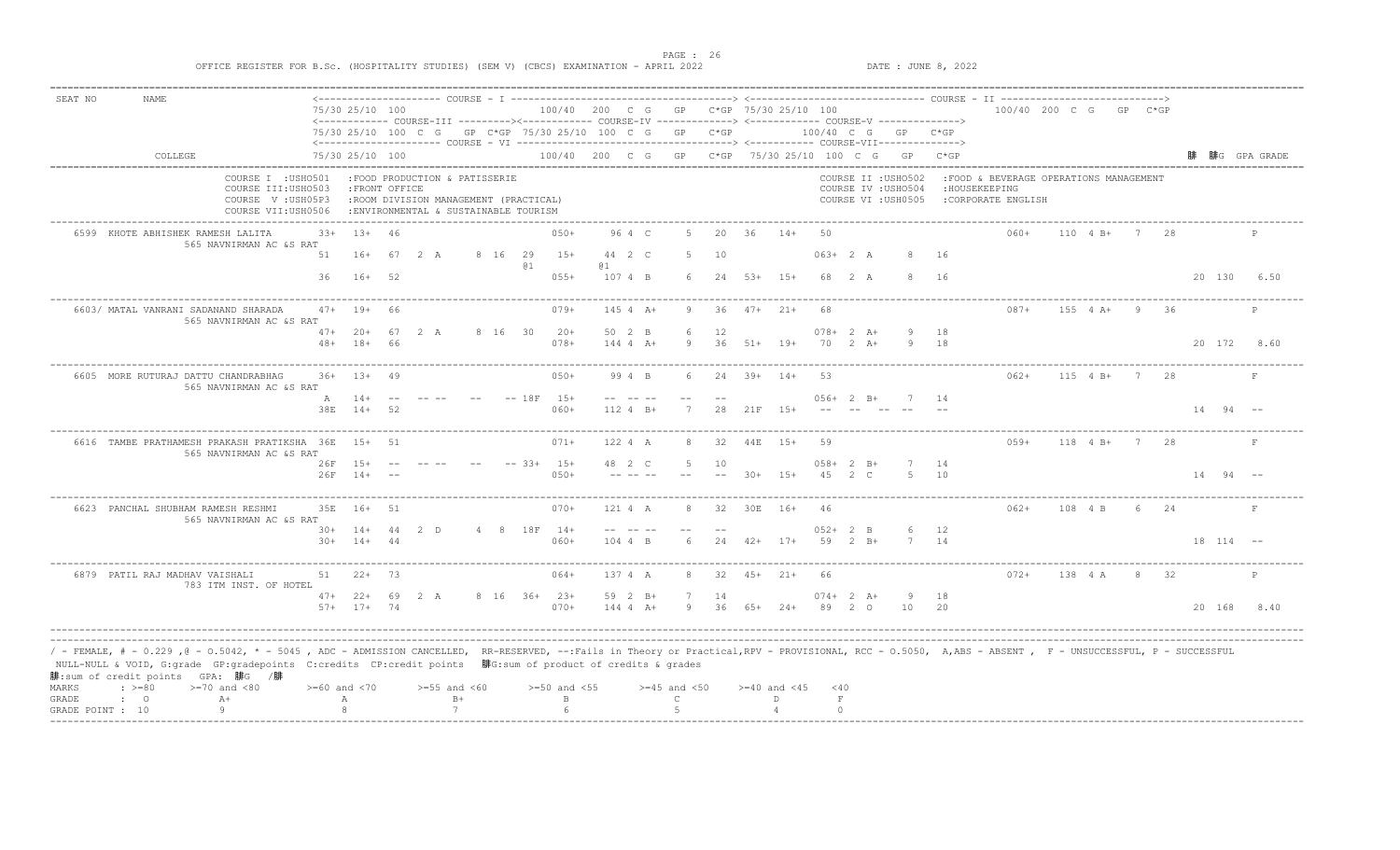PAGE : 26<br>PATE : JUNE 8, 2022<br>DATE : JUNE 8, 2022

| SEAT NO          | <b>NAME</b>                                                                                                                                                                                                                                                                                                                                              |                                                                |                    |                |                                                                                 |      |         |                  |                         |                                                         |                  |      |     |                                                                                                                                                           |               |               |                                            |          |                                        |         |                        |                |    |                 |              |
|------------------|----------------------------------------------------------------------------------------------------------------------------------------------------------------------------------------------------------------------------------------------------------------------------------------------------------------------------------------------------------|----------------------------------------------------------------|--------------------|----------------|---------------------------------------------------------------------------------|------|---------|------------------|-------------------------|---------------------------------------------------------|------------------|------|-----|-----------------------------------------------------------------------------------------------------------------------------------------------------------|---------------|---------------|--------------------------------------------|----------|----------------------------------------|---------|------------------------|----------------|----|-----------------|--------------|
|                  |                                                                                                                                                                                                                                                                                                                                                          |                                                                | 75/30 25/10 100    |                |                                                                                 |      |         |                  |                         |                                                         |                  |      |     | 100/40 200 C G GP C*GP 75/30 25/10 100<br><------------- COURSE-III ---------><------------ COURSE-IV ------------> <------------ COURSE-V -------------> |               |               |                                            |          |                                        |         | 100/40 200 C G GP C*GP |                |    |                 |              |
|                  |                                                                                                                                                                                                                                                                                                                                                          |                                                                |                    |                |                                                                                 |      |         |                  |                         | 75/30 25/10 100 C G GP C*GP 75/30 25/10 100 C G GP C*GP |                  |      |     |                                                                                                                                                           | 100/40 C G GP |               |                                            | $C*GP$   |                                        |         |                        |                |    |                 |              |
|                  | COLLEGE                                                                                                                                                                                                                                                                                                                                                  |                                                                | 75/30 25/10 100    |                |                                                                                 |      |         |                  |                         |                                                         |                  |      |     | 100/40 200 C G GP C*GP 75/30 25/10 100 C G GP C*GP                                                                                                        |               |               |                                            |          |                                        |         |                        |                |    |                 | 腓G GPA GRADE |
|                  |                                                                                                                                                                                                                                                                                                                                                          | COURSE I : USHO501                                             |                    |                | :FOOD PRODUCTION & PATISSERIE                                                   |      |         |                  |                         |                                                         |                  |      |     |                                                                                                                                                           |               |               | COURSE II : USHO502                        |          | :FOOD & BEVERAGE OPERATIONS MANAGEMENT |         |                        |                |    |                 |              |
|                  |                                                                                                                                                                                                                                                                                                                                                          | COURSE III:USH0503<br>COURSE V: USH05P3<br>COURSE VII: USH0506 |                    | : FRONT OFFICE | : ROOM DIVISION MANAGEMENT (PRACTICAL)<br>: ENVIRONMENTAL & SUSTAINABLE TOURISM |      |         |                  |                         |                                                         |                  |      |     |                                                                                                                                                           |               |               | COURSE IV : USHO504<br>COURSE VI : USH0505 |          | : HOUSEKEEPING<br>:CORPORATE ENGLISH   |         |                        |                |    |                 |              |
|                  | 6599 KHOTE ABHISHEK RAMESH LALITA                                                                                                                                                                                                                                                                                                                        | 565 NAVNIRMAN AC &S RAT                                        | $33+$              | $13+ 46$       |                                                                                 |      |         |                  | $050+$                  | 96 4 C                                                  |                  | 20   | 36  | $14+$                                                                                                                                                     | 50            |               |                                            |          | $060+$                                 |         | $110 \t 4 B+ 7$        |                |    |                 |              |
|                  |                                                                                                                                                                                                                                                                                                                                                          |                                                                | 51                 | 16+            | 67 2 A                                                                          |      | 8 16 29 | @ 1              | $1.5 +$                 | 44 2 C<br>(a 1                                          | -5.              | 10   |     |                                                                                                                                                           |               | $063+2 A$     | 8                                          | - 16     |                                        |         |                        |                |    |                 |              |
|                  |                                                                                                                                                                                                                                                                                                                                                          |                                                                | 36 16+ 52          |                |                                                                                 |      |         |                  | $055+$                  | 107 4 B                                                 |                  |      |     | $6$ 24 53+ 15+                                                                                                                                            |               | 68 2 A        | 8                                          | 16       |                                        |         |                        |                |    |                 | 20 130 6.50  |
|                  | 6603/ MATAL VANRANI SADANAND SHARADA                                                                                                                                                                                                                                                                                                                     |                                                                | $47+ 19+ 66$       |                |                                                                                 |      |         |                  | $079+$                  | 145 4 A+                                                | 9                | 36   |     | $47 + 21 +$                                                                                                                                               | 68            |               |                                            |          | $087+$                                 |         | 155 4 A+               | - 9            | 36 |                 | $\mathbb{P}$ |
|                  |                                                                                                                                                                                                                                                                                                                                                          | 565 NAVNIRMAN AC &S RAT                                        | $47+ 20+ 67 2 A$   |                |                                                                                 |      | 8 16 30 |                  | $20+$                   | 50 2 B                                                  |                  | -12  |     |                                                                                                                                                           |               | $078 + 2 A +$ | 9                                          | 18       |                                        |         |                        |                |    |                 |              |
|                  |                                                                                                                                                                                                                                                                                                                                                          |                                                                | $48 + 18 + 66$     |                |                                                                                 |      |         |                  | $078+$                  | $144 4 A +$                                             | 9                |      |     | $36$ $51+$ $19+$                                                                                                                                          | 70            | $2+A+$        | 9 18                                       |          |                                        |         |                        |                |    |                 | 20 172 8.60  |
|                  | 6605 MORE RUTURAJ DATTU CHANDRABHAG                                                                                                                                                                                                                                                                                                                      | 565 NAVNIRMAN AC &S RAT                                        | $36+ 13+ 49$       |                |                                                                                 |      |         |                  | $050+$                  | 99 4 B                                                  |                  | - 24 |     | $39+$ 14+                                                                                                                                                 | 53            |               |                                            |          | $062+$                                 |         | 115 4 B+               | - 7            | 28 |                 | $\mathbf{F}$ |
|                  |                                                                                                                                                                                                                                                                                                                                                          |                                                                | A 14+              |                |                                                                                 |      |         | $-- 18F 15+$     |                         |                                                         |                  |      |     |                                                                                                                                                           |               |               | $0.56 + 2 B + 7$                           | - 14     |                                        |         |                        |                |    |                 |              |
|                  |                                                                                                                                                                                                                                                                                                                                                          |                                                                | 38E 14+ 52         |                |                                                                                 |      |         |                  | $060+$                  | 112 4 B+                                                | 7                | 28   |     | 21F 15+                                                                                                                                                   |               |               |                                            |          |                                        |         |                        |                |    | $14 \t 94 \t -$ |              |
|                  | 6616 TAMBE PRATHAMESH PRAKASH PRATIKSHA 36E 15+ 51                                                                                                                                                                                                                                                                                                       | 565 NAVNIRMAN AC &S RAT                                        |                    |                |                                                                                 |      |         |                  | $071+$                  | 122 4 A                                                 | 8                | 32   | 44E | $15+$                                                                                                                                                     | .59           |               |                                            |          | $059+$                                 |         | 118 4 B+               | $\overline{7}$ | 28 |                 | $\mathbf{F}$ |
|                  |                                                                                                                                                                                                                                                                                                                                                          |                                                                | $26F$ $15+$ $--$   |                |                                                                                 |      |         | $--$ 33+ 15+     |                         | 48 2 C                                                  |                  | 10   |     |                                                                                                                                                           |               | $058 + 2 B +$ |                                            | 14<br>10 |                                        |         |                        |                |    |                 |              |
|                  |                                                                                                                                                                                                                                                                                                                                                          |                                                                | $26F$ $14+$ --     |                |                                                                                 |      |         |                  | $050+$                  |                                                         |                  |      |     | $30+ 15+$                                                                                                                                                 |               | 45 2 C        |                                            |          |                                        |         |                        |                |    | $14 \t 94 \t -$ |              |
|                  | 6623 PANCHAL SHUBHAM RAMESH RESHMI                                                                                                                                                                                                                                                                                                                       | 565 NAVNIRMAN AC &S RAT                                        | 35E 16+ 51         |                |                                                                                 |      |         |                  | $070+$                  | 121 4 A                                                 | 8                | 32   |     | 30E 16+                                                                                                                                                   | 46            |               |                                            |          | $062+$                                 | 108 4 B |                        | 6 24           |    |                 | F            |
|                  |                                                                                                                                                                                                                                                                                                                                                          |                                                                | $30+$ 14+ 44       |                | 2 D                                                                             |      |         | 4 8 18F 14+      |                         |                                                         |                  |      |     |                                                                                                                                                           |               | $052 + 2 B$   | 6                                          | 12       |                                        |         |                        |                |    |                 |              |
|                  |                                                                                                                                                                                                                                                                                                                                                          |                                                                | $30+ 14+ 44$       |                |                                                                                 |      |         |                  | $060+$                  | 104 4 B                                                 |                  |      |     | $24 \t 42+ \t 17+$                                                                                                                                        | 59            | $2 \quad B+$  | $\overline{7}$                             | 14       |                                        |         |                        |                |    | $18$ $114$ --   |              |
|                  | 6879 PATIL RAJ MADHAV VAISHALI                                                                                                                                                                                                                                                                                                                           | 783 ITM INST. OF HOTEL                                         | $51 22+ 73$        |                |                                                                                 |      |         |                  | $064+$                  | 137 4 A                                                 | 8                |      |     | $32 \t 45+ \t 21+$                                                                                                                                        | 66            |               |                                            |          | $072+$                                 | 138 4 A |                        | 8 32           |    |                 | $\mathbb{P}$ |
|                  |                                                                                                                                                                                                                                                                                                                                                          |                                                                | $47+22+69$         |                | 2 A                                                                             |      |         | 8 16 36+ 23+     |                         | 59 2 B+                                                 |                  | 14   |     |                                                                                                                                                           |               | $074 + 2 A +$ | - 9                                        | 18       |                                        |         |                        |                |    |                 |              |
|                  |                                                                                                                                                                                                                                                                                                                                                          |                                                                | $57+$ 17+ 74       |                |                                                                                 |      |         |                  | $070+$                  | $144 4 A +$                                             | 9                | 36   |     | $65+24+$                                                                                                                                                  |               | 89 2 0        | 10                                         | 20       |                                        |         |                        |                |    | 20 168          | 8.40         |
|                  |                                                                                                                                                                                                                                                                                                                                                          |                                                                |                    |                |                                                                                 |      |         |                  |                         |                                                         |                  |      |     |                                                                                                                                                           |               |               |                                            |          |                                        |         |                        |                |    |                 |              |
|                  | / - FEMALE, # - 0.229,0 - 0.5042, * - 5045, ADC - ADMISSION CANCELLED, RR-RESERVED, --:Fails in Theory or Practical,RPV - PROVISIONAL, RCC - 0.5050, A,ABS - ABSENT, F - UNSUCCESSFUL, P - SUCCESSFUL<br>NULL-NULL & VOID, G:grade GP:gradepoints C:credits CP:credit points 腓G:sum of product of credits & grades<br>腓: sum of credit points GPA: 腓G /腓 |                                                                |                    |                |                                                                                 |      |         |                  |                         |                                                         |                  |      |     |                                                                                                                                                           |               |               |                                            |          |                                        |         |                        |                |    |                 |              |
| MARKS            | $\div$ >=80<br>$>=70$ and $<80$                                                                                                                                                                                                                                                                                                                          |                                                                | $>= 60$ and $< 70$ |                | $>=55$ and $<60$                                                                |      |         | $>=50$ and $<55$ |                         |                                                         | $>=45$ and $<50$ |      |     | $>= 40$ and $< 45$                                                                                                                                        |               | < 40          |                                            |          |                                        |         |                        |                |    |                 |              |
| GRADE            | $A+$<br>$\cdot$ 0                                                                                                                                                                                                                                                                                                                                        |                                                                | Α<br>$\mathcal{R}$ |                | $\overline{7}$                                                                  | $B+$ |         |                  | $\mathbb B$<br>$\kappa$ |                                                         | $\mathbb{C}$     |      |     | D.                                                                                                                                                        |               | F<br>$\cap$   |                                            |          |                                        |         |                        |                |    |                 |              |
| GRADE POINT : 10 |                                                                                                                                                                                                                                                                                                                                                          |                                                                |                    |                |                                                                                 |      |         |                  |                         |                                                         |                  |      |     |                                                                                                                                                           |               |               |                                            |          |                                        |         |                        |                |    |                 |              |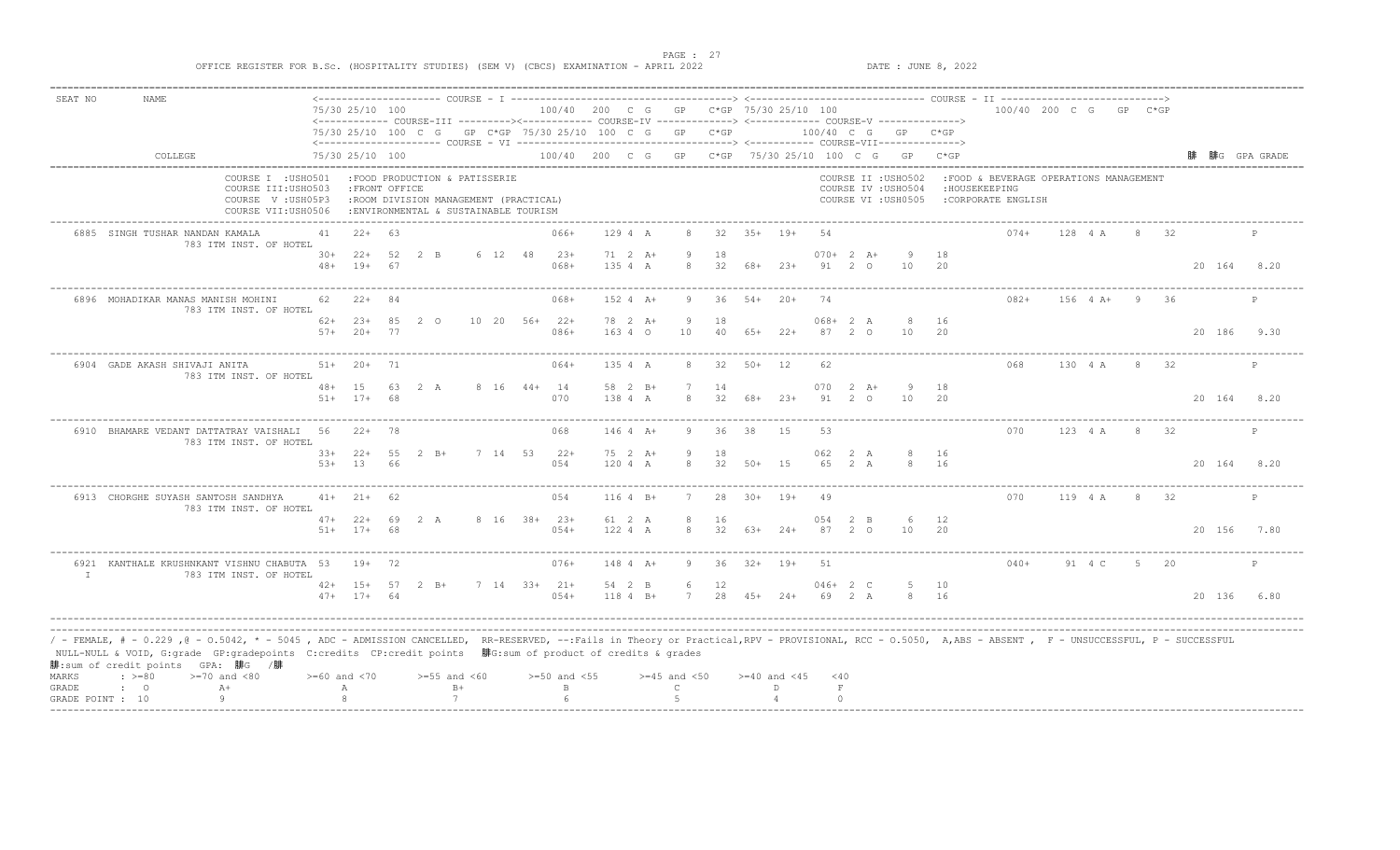PAGE : 27<br>PATE : JUNE 8, 2022<br>DATE : JUNE 8, 2022

| 100/40 200 C G GP C*GP 75/30 25/10 100<br><------------ COURSE-III ---------><----------- COURSE-IV -------------> <------------- COURSE-V ------------->><br>$100/40$ C G GP C*GP<br>100/40 200 C G GP C*GP 75/30 25/10 100 C G GP C*GP<br>COURSE II : USHO502<br>COURSE IV : USHO504<br>COURSE VI : USH0505<br>$19+$<br>.54<br>$070+2 A+$<br>$23+$<br>91 2 0<br>10<br>$54+$ 20+<br>74<br>068+<br>2 A | : HOUSEKEEPING<br>18<br>20                                                      | 100/40 200 C G GP C*GP<br>: FOOD & BEVERAGE OPERATIONS MANAGEMENT<br>:CORPORATE ENGLISH<br>$074+$ | 128 4 A                                                                                                                                                                                                  | -8                           | 32  |                              | 腓G GPA GRADE                                   |
|--------------------------------------------------------------------------------------------------------------------------------------------------------------------------------------------------------------------------------------------------------------------------------------------------------------------------------------------------------------------------------------------------------|---------------------------------------------------------------------------------|---------------------------------------------------------------------------------------------------|----------------------------------------------------------------------------------------------------------------------------------------------------------------------------------------------------------|------------------------------|-----|------------------------------|------------------------------------------------|
|                                                                                                                                                                                                                                                                                                                                                                                                        |                                                                                 |                                                                                                   |                                                                                                                                                                                                          |                              |     |                              |                                                |
|                                                                                                                                                                                                                                                                                                                                                                                                        |                                                                                 |                                                                                                   |                                                                                                                                                                                                          |                              |     |                              |                                                |
|                                                                                                                                                                                                                                                                                                                                                                                                        |                                                                                 |                                                                                                   |                                                                                                                                                                                                          |                              |     |                              |                                                |
|                                                                                                                                                                                                                                                                                                                                                                                                        |                                                                                 |                                                                                                   |                                                                                                                                                                                                          |                              |     |                              |                                                |
|                                                                                                                                                                                                                                                                                                                                                                                                        |                                                                                 |                                                                                                   |                                                                                                                                                                                                          |                              |     |                              |                                                |
|                                                                                                                                                                                                                                                                                                                                                                                                        |                                                                                 |                                                                                                   |                                                                                                                                                                                                          |                              |     |                              |                                                |
|                                                                                                                                                                                                                                                                                                                                                                                                        |                                                                                 |                                                                                                   |                                                                                                                                                                                                          |                              |     |                              |                                                |
|                                                                                                                                                                                                                                                                                                                                                                                                        |                                                                                 |                                                                                                   |                                                                                                                                                                                                          |                              |     | 20 164 8.20                  |                                                |
|                                                                                                                                                                                                                                                                                                                                                                                                        |                                                                                 | $082+$                                                                                            | $156 + 4 +$                                                                                                                                                                                              | $\overline{9}$               | -36 |                              | $\mathbb{P}$                                   |
|                                                                                                                                                                                                                                                                                                                                                                                                        | 16                                                                              |                                                                                                   |                                                                                                                                                                                                          |                              |     |                              |                                                |
| $65+22+$<br>87<br>$2^{\circ}$<br>10                                                                                                                                                                                                                                                                                                                                                                    | 20                                                                              |                                                                                                   |                                                                                                                                                                                                          |                              |     | 20 186 9.30                  |                                                |
| $50+12$<br>62                                                                                                                                                                                                                                                                                                                                                                                          |                                                                                 | 068                                                                                               |                                                                                                                                                                                                          |                              |     |                              | $\mathbb{P}$                                   |
| 070<br>$2 \overline{A}$ +                                                                                                                                                                                                                                                                                                                                                                              | 18                                                                              |                                                                                                   |                                                                                                                                                                                                          |                              |     |                              |                                                |
| $23+$                                                                                                                                                                                                                                                                                                                                                                                                  |                                                                                 |                                                                                                   |                                                                                                                                                                                                          |                              |     |                              |                                                |
| 15<br>53                                                                                                                                                                                                                                                                                                                                                                                               |                                                                                 | 070                                                                                               |                                                                                                                                                                                                          |                              |     |                              | P                                              |
| 062<br>2 A                                                                                                                                                                                                                                                                                                                                                                                             | 16                                                                              |                                                                                                   |                                                                                                                                                                                                          |                              |     |                              |                                                |
|                                                                                                                                                                                                                                                                                                                                                                                                        | 8                                                                               |                                                                                                   |                                                                                                                                                                                                          |                              |     |                              |                                                |
| $30+ 19+$<br>49                                                                                                                                                                                                                                                                                                                                                                                        |                                                                                 | 070                                                                                               |                                                                                                                                                                                                          |                              |     |                              |                                                |
| $2 \quad B$<br>0.54                                                                                                                                                                                                                                                                                                                                                                                    |                                                                                 |                                                                                                   |                                                                                                                                                                                                          |                              |     |                              |                                                |
| $24+$                                                                                                                                                                                                                                                                                                                                                                                                  |                                                                                 |                                                                                                   |                                                                                                                                                                                                          |                              |     |                              | 7.80                                           |
| $19+$<br>51                                                                                                                                                                                                                                                                                                                                                                                            |                                                                                 | $040+$                                                                                            |                                                                                                                                                                                                          | $5 -$                        | 20  |                              |                                                |
| $046+2$ C                                                                                                                                                                                                                                                                                                                                                                                              |                                                                                 |                                                                                                   |                                                                                                                                                                                                          |                              |     |                              |                                                |
| $2.4+$                                                                                                                                                                                                                                                                                                                                                                                                 |                                                                                 |                                                                                                   |                                                                                                                                                                                                          |                              |     |                              | 6.80                                           |
| 32 50+ 15                                                                                                                                                                                                                                                                                                                                                                                              | 91<br>$2\degree$ O<br>65<br>2 A<br>87<br>$\overline{2}$<br>$\circ$<br>69<br>2 A | 10<br>-20<br>8<br>16<br>6 12<br>20<br>10<br>5 10<br>8 16                                          | / - FEMALE, # - 0.229 ,0 - 0.5042, * - 5045 , ADC - ADMISSION CANCELLED, RR-RESERVED, --:Fails in Theory or Practical,RPV - PROVISIONAL, RCC - 0.5050, A,ABS - ABSENT , F - UNSUCCESSFUL, P - SUCCESSFUL | 130 4 A<br>119 4 A<br>91 4 C |     | 8 32<br>123 4 A 8 32<br>8 32 | 20 164 8.20<br>20 164 8.20<br>20 156<br>20 136 |